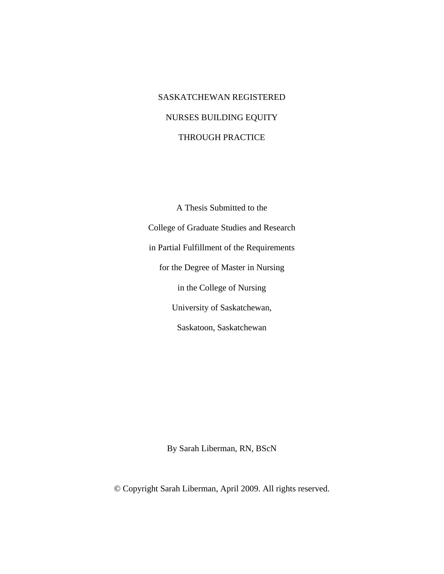# SASKATCHEWAN REGISTERED NURSES BUILDING EQUITY THROUGH PRACTICE

A Thesis Submitted to the College of Graduate Studies and Research in Partial Fulfillment of the Requirements for the Degree of Master in Nursing in the College of Nursing University of Saskatchewan, Saskatoon, Saskatchewan

By Sarah Liberman, RN, BScN

© Copyright Sarah Liberman, April 2009. All rights reserved.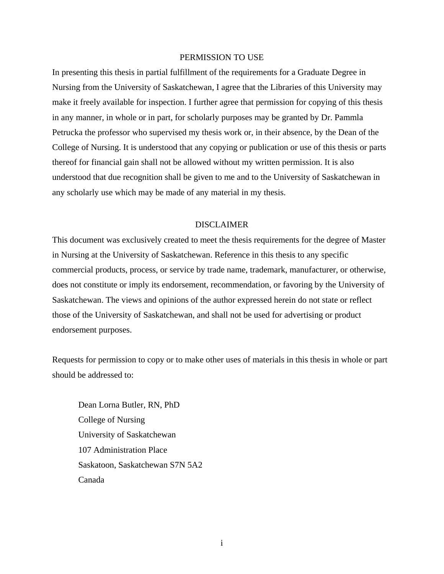#### PERMISSION TO USE

In presenting this thesis in partial fulfillment of the requirements for a Graduate Degree in Nursing from the University of Saskatchewan, I agree that the Libraries of this University may make it freely available for inspection. I further agree that permission for copying of this thesis in any manner, in whole or in part, for scholarly purposes may be granted by Dr. Pammla Petrucka the professor who supervised my thesis work or, in their absence, by the Dean of the College of Nursing. It is understood that any copying or publication or use of this thesis or parts thereof for financial gain shall not be allowed without my written permission. It is also understood that due recognition shall be given to me and to the University of Saskatchewan in any scholarly use which may be made of any material in my thesis.

#### DISCLAIMER

This document was exclusively created to meet the thesis requirements for the degree of Master in Nursing at the University of Saskatchewan. Reference in this thesis to any specific commercial products, process, or service by trade name, trademark, manufacturer, or otherwise, does not constitute or imply its endorsement, recommendation, or favoring by the University of Saskatchewan. The views and opinions of the author expressed herein do not state or reflect those of the University of Saskatchewan, and shall not be used for advertising or product endorsement purposes.

Requests for permission to copy or to make other uses of materials in this thesis in whole or part should be addressed to:

 Dean Lorna Butler, RN, PhD College of Nursing University of Saskatchewan 107 Administration Place Saskatoon, Saskatchewan S7N 5A2 Canada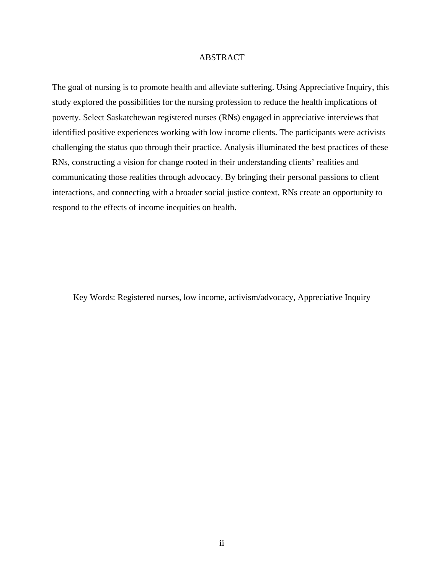#### ABSTRACT

The goal of nursing is to promote health and alleviate suffering. Using Appreciative Inquiry, this study explored the possibilities for the nursing profession to reduce the health implications of poverty. Select Saskatchewan registered nurses (RNs) engaged in appreciative interviews that identified positive experiences working with low income clients. The participants were activists challenging the status quo through their practice. Analysis illuminated the best practices of these RNs, constructing a vision for change rooted in their understanding clients' realities and communicating those realities through advocacy. By bringing their personal passions to client interactions, and connecting with a broader social justice context, RNs create an opportunity to respond to the effects of income inequities on health.

Key Words: Registered nurses, low income, activism/advocacy, Appreciative Inquiry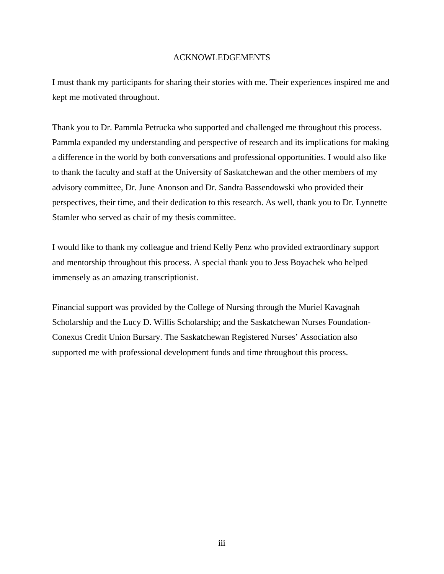#### ACKNOWLEDGEMENTS

I must thank my participants for sharing their stories with me. Their experiences inspired me and kept me motivated throughout.

Thank you to Dr. Pammla Petrucka who supported and challenged me throughout this process. Pammla expanded my understanding and perspective of research and its implications for making a difference in the world by both conversations and professional opportunities. I would also like to thank the faculty and staff at the University of Saskatchewan and the other members of my advisory committee, Dr. June Anonson and Dr. Sandra Bassendowski who provided their perspectives, their time, and their dedication to this research. As well, thank you to Dr. Lynnette Stamler who served as chair of my thesis committee.

I would like to thank my colleague and friend Kelly Penz who provided extraordinary support and mentorship throughout this process. A special thank you to Jess Boyachek who helped immensely as an amazing transcriptionist.

Financial support was provided by the College of Nursing through the Muriel Kavagnah Scholarship and the Lucy D. Willis Scholarship; and the Saskatchewan Nurses Foundation-Conexus Credit Union Bursary. The Saskatchewan Registered Nurses' Association also supported me with professional development funds and time throughout this process.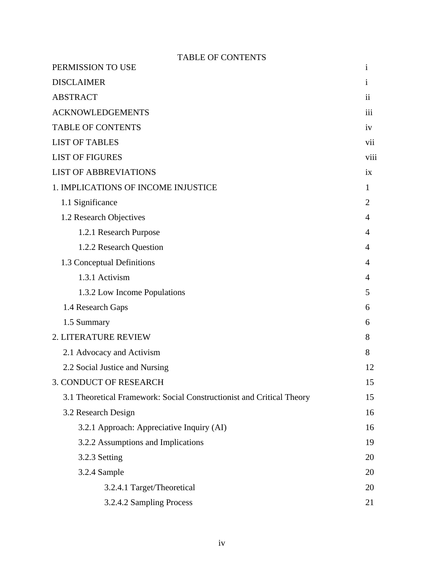| <b>TABLE OF CONTENTS</b>                                              |                     |
|-----------------------------------------------------------------------|---------------------|
| PERMISSION TO USE                                                     | i                   |
| <b>DISCLAIMER</b>                                                     | <sup>i</sup>        |
| <b>ABSTRACT</b>                                                       | $\ddot{\mathbf{i}}$ |
| <b>ACKNOWLEDGEMENTS</b>                                               | iii                 |
| <b>TABLE OF CONTENTS</b>                                              | 1V                  |
| <b>LIST OF TABLES</b>                                                 | vii                 |
| <b>LIST OF FIGURES</b>                                                | viii                |
| <b>LIST OF ABBREVIATIONS</b>                                          | ix                  |
| 1. IMPLICATIONS OF INCOME INJUSTICE                                   | 1                   |
| 1.1 Significance                                                      | $\overline{2}$      |
| 1.2 Research Objectives                                               | 4                   |
| 1.2.1 Research Purpose                                                | 4                   |
| 1.2.2 Research Question                                               | 4                   |
| 1.3 Conceptual Definitions                                            | 4                   |
| 1.3.1 Activism                                                        | 4                   |
| 1.3.2 Low Income Populations                                          | 5                   |
| 1.4 Research Gaps                                                     | 6                   |
| 1.5 Summary                                                           | 6                   |
| 2. LITERATURE REVIEW                                                  | 8                   |
| 2.1 Advocacy and Activism                                             | 8                   |
| 2.2 Social Justice and Nursing                                        | 12                  |
| <b>3. CONDUCT OF RESEARCH</b>                                         | 15                  |
| 3.1 Theoretical Framework: Social Constructionist and Critical Theory | 15                  |
| 3.2 Research Design                                                   | 16                  |
| 3.2.1 Approach: Appreciative Inquiry (AI)                             | 16                  |
| 3.2.2 Assumptions and Implications                                    | 19                  |
| 3.2.3 Setting                                                         | 20                  |
| 3.2.4 Sample                                                          | 20                  |
| 3.2.4.1 Target/Theoretical                                            | 20                  |
| 3.2.4.2 Sampling Process                                              | 21                  |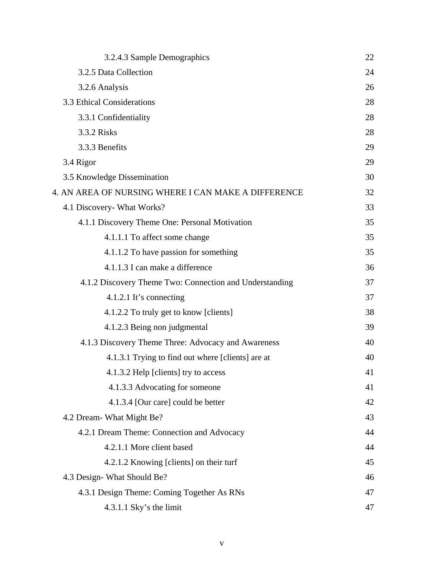| 3.2.4.3 Sample Demographics                             | 22 |
|---------------------------------------------------------|----|
| 3.2.5 Data Collection                                   | 24 |
| 3.2.6 Analysis                                          | 26 |
| 3.3 Ethical Considerations                              | 28 |
| 3.3.1 Confidentiality                                   | 28 |
| 3.3.2 Risks                                             | 28 |
| 3.3.3 Benefits                                          | 29 |
| 3.4 Rigor                                               | 29 |
| 3.5 Knowledge Dissemination                             | 30 |
| 4. AN AREA OF NURSING WHERE I CAN MAKE A DIFFERENCE     | 32 |
| 4.1 Discovery- What Works?                              | 33 |
| 4.1.1 Discovery Theme One: Personal Motivation          | 35 |
| 4.1.1.1 To affect some change                           | 35 |
| 4.1.1.2 To have passion for something                   | 35 |
| 4.1.1.3 I can make a difference                         | 36 |
| 4.1.2 Discovery Theme Two: Connection and Understanding | 37 |
| 4.1.2.1 It's connecting                                 | 37 |
| 4.1.2.2 To truly get to know [clients]                  | 38 |
| 4.1.2.3 Being non judgmental                            | 39 |
| 4.1.3 Discovery Theme Three: Advocacy and Awareness     | 40 |
| 4.1.3.1 Trying to find out where [clients] are at       | 40 |
| 4.1.3.2 Help [clients] try to access                    | 41 |
| 4.1.3.3 Advocating for someone                          | 41 |
| 4.1.3.4 [Our care] could be better                      | 42 |
| 4.2 Dream- What Might Be?                               | 43 |
| 4.2.1 Dream Theme: Connection and Advocacy              | 44 |
| 4.2.1.1 More client based                               | 44 |
| 4.2.1.2 Knowing [clients] on their turf                 | 45 |
| 4.3 Design-What Should Be?                              | 46 |
| 4.3.1 Design Theme: Coming Together As RNs              | 47 |
| 4.3.1.1 Sky's the limit                                 | 47 |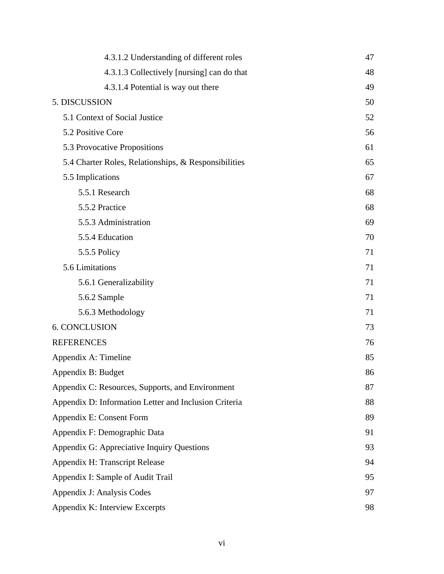| 4.3.1.2 Understanding of different roles              | 47 |
|-------------------------------------------------------|----|
| 4.3.1.3 Collectively [nursing] can do that            | 48 |
| 4.3.1.4 Potential is way out there                    | 49 |
| 5. DISCUSSION                                         | 50 |
| 5.1 Context of Social Justice                         | 52 |
| 5.2 Positive Core                                     | 56 |
| 5.3 Provocative Propositions                          | 61 |
| 5.4 Charter Roles, Relationships, & Responsibilities  | 65 |
| 5.5 Implications                                      | 67 |
| 5.5.1 Research                                        | 68 |
| 5.5.2 Practice                                        | 68 |
| 5.5.3 Administration                                  | 69 |
| 5.5.4 Education                                       | 70 |
| 5.5.5 Policy                                          | 71 |
| 5.6 Limitations                                       | 71 |
| 5.6.1 Generalizability                                | 71 |
| 5.6.2 Sample                                          | 71 |
| 5.6.3 Methodology                                     | 71 |
| <b>6. CONCLUSION</b>                                  | 73 |
| <b>REFERENCES</b>                                     | 76 |
| Appendix A: Timeline                                  | 85 |
| Appendix B: Budget                                    | 86 |
| Appendix C: Resources, Supports, and Environment      | 87 |
| Appendix D: Information Letter and Inclusion Criteria | 88 |
| Appendix E: Consent Form                              | 89 |
| Appendix F: Demographic Data                          | 91 |
| Appendix G: Appreciative Inquiry Questions            | 93 |
| Appendix H: Transcript Release                        | 94 |
| Appendix I: Sample of Audit Trail                     | 95 |
| Appendix J: Analysis Codes                            | 97 |
| Appendix K: Interview Excerpts                        | 98 |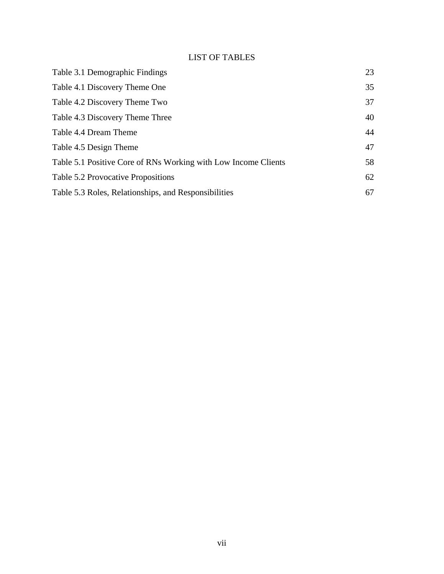## LIST OF TABLES

| Table 3.1 Demographic Findings                                 | 23 |
|----------------------------------------------------------------|----|
| Table 4.1 Discovery Theme One                                  | 35 |
| Table 4.2 Discovery Theme Two                                  | 37 |
| Table 4.3 Discovery Theme Three                                | 40 |
| Table 4.4 Dream Theme                                          | 44 |
| Table 4.5 Design Theme                                         | 47 |
| Table 5.1 Positive Core of RNs Working with Low Income Clients | 58 |
| Table 5.2 Provocative Propositions                             | 62 |
| Table 5.3 Roles, Relationships, and Responsibilities           | 67 |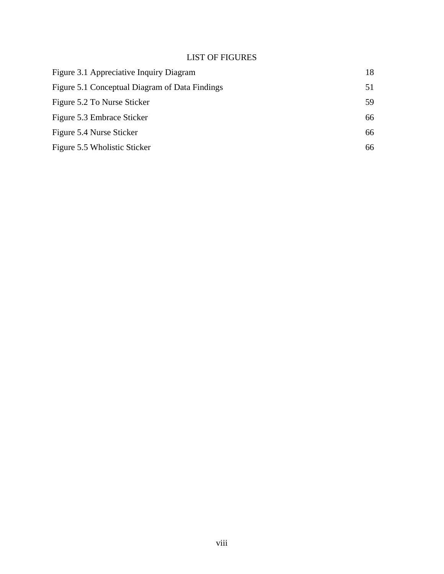## LIST OF FIGURES

| Figure 3.1 Appreciative Inquiry Diagram        |     |
|------------------------------------------------|-----|
| Figure 5.1 Conceptual Diagram of Data Findings | 51  |
| Figure 5.2 To Nurse Sticker                    | 59. |
| Figure 5.3 Embrace Sticker                     | 66  |
| Figure 5.4 Nurse Sticker                       | 66  |
| Figure 5.5 Wholistic Sticker                   | 66  |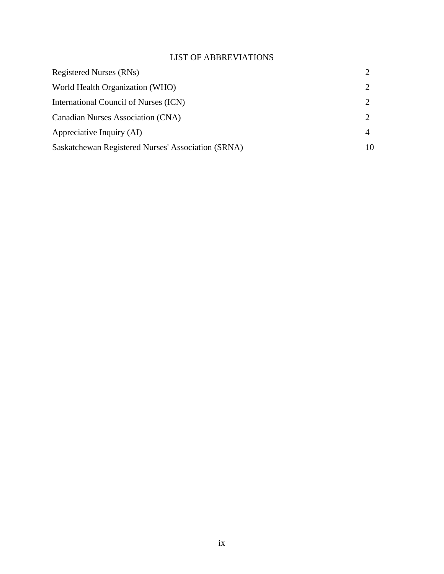## LIST OF ABBREVIATIONS

| <b>Registered Nurses (RNs)</b>                     |   |
|----------------------------------------------------|---|
| World Health Organization (WHO)                    |   |
| International Council of Nurses (ICN)              |   |
| Canadian Nurses Association (CNA)                  |   |
| Appreciative Inquiry (AI)                          | 4 |
| Saskatchewan Registered Nurses' Association (SRNA) |   |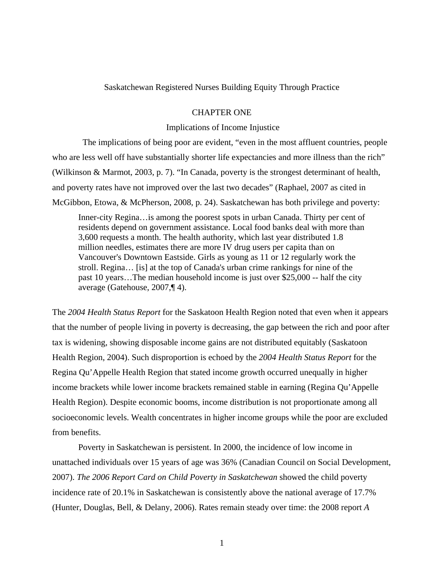Saskatchewan Registered Nurses Building Equity Through Practice

#### CHAPTER ONE

#### Implications of Income Injustice

 The implications of being poor are evident, "even in the most affluent countries, people who are less well off have substantially shorter life expectancies and more illness than the rich" (Wilkinson & Marmot, 2003, p. 7). "In Canada, poverty is the strongest determinant of health, and poverty rates have not improved over the last two decades" (Raphael, 2007 as cited in McGibbon, Etowa, & McPherson, 2008, p. 24). Saskatchewan has both privilege and poverty:

Inner-city Regina…is among the poorest spots in urban Canada. Thirty per cent of residents depend on government assistance. Local food banks deal with more than 3,600 requests a month. The health authority, which last year distributed 1.8 million needles, estimates there are more IV drug users per capita than on Vancouver's Downtown Eastside. Girls as young as 11 or 12 regularly work the stroll. Regina… [is] at the top of Canada's urban crime rankings for nine of the past 10 years…The median household income is just over \$25,000 -- half the city average (Gatehouse, 2007,¶ 4).

The *2004 Health Status Report* for the Saskatoon Health Region noted that even when it appears that the number of people living in poverty is decreasing, the gap between the rich and poor after tax is widening, showing disposable income gains are not distributed equitably (Saskatoon Health Region, 2004). Such disproportion is echoed by the *2004 Health Status Report* for the Regina Qu'Appelle Health Region that stated income growth occurred unequally in higher income brackets while lower income brackets remained stable in earning (Regina Qu'Appelle Health Region). Despite economic booms, income distribution is not proportionate among all socioeconomic levels. Wealth concentrates in higher income groups while the poor are excluded from benefits.

Poverty in Saskatchewan is persistent. In 2000, the incidence of low income in unattached individuals over 15 years of age was 36% (Canadian Council on Social Development, 2007). *The 2006 Report Card on Child Poverty in Saskatchewan* showed the child poverty incidence rate of 20.1% in Saskatchewan is consistently above the national average of 17.7% (Hunter, Douglas, Bell, & Delany, 2006). Rates remain steady over time: the 2008 report *A*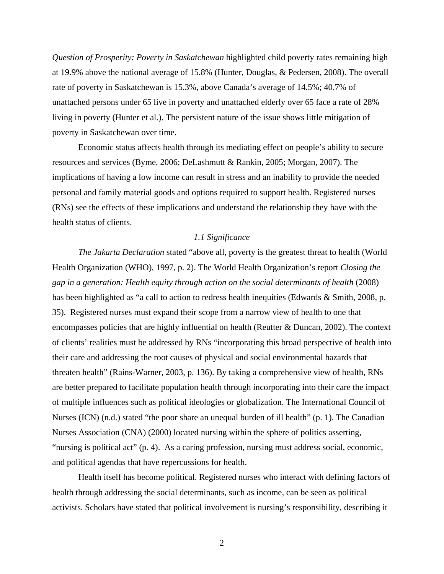*Question of Prosperity: Poverty in Saskatchewan* highlighted child poverty rates remaining high at 19.9% above the national average of 15.8% (Hunter, Douglas, & Pedersen, 2008). The overall rate of poverty in Saskatchewan is 15.3%, above Canada's average of 14.5%; 40.7% of unattached persons under 65 live in poverty and unattached elderly over 65 face a rate of 28% living in poverty (Hunter et al.). The persistent nature of the issue shows little mitigation of poverty in Saskatchewan over time.

 Economic status affects health through its mediating effect on people's ability to secure resources and services (Byme, 2006; DeLashmutt & Rankin, 2005; Morgan, 2007). The implications of having a low income can result in stress and an inability to provide the needed personal and family material goods and options required to support health. Registered nurses (RNs) see the effects of these implications and understand the relationship they have with the health status of clients.

#### *1.1 Significance*

*The Jakarta Declaration* stated "above all, poverty is the greatest threat to health (World Health Organization (WHO), 1997, p. 2). The World Health Organization's report *Closing the gap in a generation: Health equity through action on the social determinants of health* (2008) has been highlighted as "a call to action to redress health inequities (Edwards & Smith, 2008, p. 35). Registered nurses must expand their scope from a narrow view of health to one that encompasses policies that are highly influential on health (Reutter & Duncan, 2002). The context of clients' realities must be addressed by RNs "incorporating this broad perspective of health into their care and addressing the root causes of physical and social environmental hazards that threaten health" (Rains-Warner, 2003, p. 136). By taking a comprehensive view of health, RNs are better prepared to facilitate population health through incorporating into their care the impact of multiple influences such as political ideologies or globalization. The International Council of Nurses (ICN) (n.d.) stated "the poor share an unequal burden of ill health" (p. 1). The Canadian Nurses Association (CNA) (2000) located nursing within the sphere of politics asserting, "nursing is political act" (p. 4). As a caring profession, nursing must address social, economic, and political agendas that have repercussions for health.

 Health itself has become political. Registered nurses who interact with defining factors of health through addressing the social determinants, such as income, can be seen as political activists. Scholars have stated that political involvement is nursing's responsibility, describing it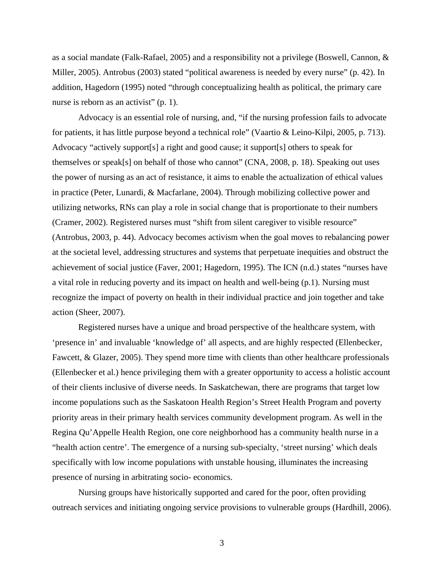as a social mandate (Falk-Rafael, 2005) and a responsibility not a privilege (Boswell, Cannon, & Miller, 2005). Antrobus (2003) stated "political awareness is needed by every nurse" (p. 42). In addition, Hagedorn (1995) noted "through conceptualizing health as political, the primary care nurse is reborn as an activist" (p. 1).

 Advocacy is an essential role of nursing, and, "if the nursing profession fails to advocate for patients, it has little purpose beyond a technical role" (Vaartio & Leino-Kilpi, 2005, p. 713). Advocacy "actively support[s] a right and good cause; it support[s] others to speak for themselves or speak[s] on behalf of those who cannot" (CNA, 2008, p. 18). Speaking out uses the power of nursing as an act of resistance, it aims to enable the actualization of ethical values in practice (Peter, Lunardi, & Macfarlane, 2004). Through mobilizing collective power and utilizing networks, RNs can play a role in social change that is proportionate to their numbers (Cramer, 2002). Registered nurses must "shift from silent caregiver to visible resource" (Antrobus, 2003, p. 44). Advocacy becomes activism when the goal moves to rebalancing power at the societal level, addressing structures and systems that perpetuate inequities and obstruct the achievement of social justice (Faver, 2001; Hagedorn, 1995). The ICN (n.d.) states "nurses have a vital role in reducing poverty and its impact on health and well-being (p.1). Nursing must recognize the impact of poverty on health in their individual practice and join together and take action (Sheer, 2007).

 Registered nurses have a unique and broad perspective of the healthcare system, with 'presence in' and invaluable 'knowledge of' all aspects, and are highly respected (Ellenbecker, Fawcett, & Glazer, 2005). They spend more time with clients than other healthcare professionals (Ellenbecker et al.) hence privileging them with a greater opportunity to access a holistic account of their clients inclusive of diverse needs. In Saskatchewan, there are programs that target low income populations such as the Saskatoon Health Region's Street Health Program and poverty priority areas in their primary health services community development program. As well in the Regina Qu'Appelle Health Region, one core neighborhood has a community health nurse in a "health action centre'. The emergence of a nursing sub-specialty, 'street nursing' which deals specifically with low income populations with unstable housing, illuminates the increasing presence of nursing in arbitrating socio- economics.

 Nursing groups have historically supported and cared for the poor, often providing outreach services and initiating ongoing service provisions to vulnerable groups (Hardhill, 2006).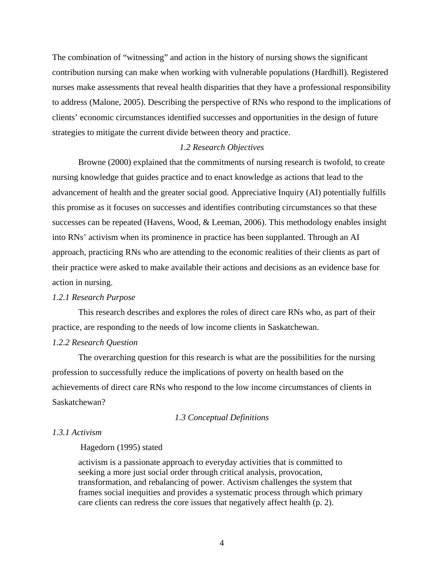The combination of "witnessing" and action in the history of nursing shows the significant contribution nursing can make when working with vulnerable populations (Hardhill). Registered nurses make assessments that reveal health disparities that they have a professional responsibility to address (Malone, 2005). Describing the perspective of RNs who respond to the implications of clients' economic circumstances identified successes and opportunities in the design of future strategies to mitigate the current divide between theory and practice.

#### *1.2 Research Objectives*

 Browne (2000) explained that the commitments of nursing research is twofold, to create nursing knowledge that guides practice and to enact knowledge as actions that lead to the advancement of health and the greater social good. Appreciative Inquiry (AI) potentially fulfills this promise as it focuses on successes and identifies contributing circumstances so that these successes can be repeated (Havens, Wood, & Leeman, 2006). This methodology enables insight into RNs' activism when its prominence in practice has been supplanted. Through an AI approach, practicing RNs who are attending to the economic realities of their clients as part of their practice were asked to make available their actions and decisions as an evidence base for action in nursing.

#### *1.2.1 Research Purpose*

 This research describes and explores the roles of direct care RNs who, as part of their practice, are responding to the needs of low income clients in Saskatchewan.

#### *1.2.2 Research Question*

 The overarching question for this research is what are the possibilities for the nursing profession to successfully reduce the implications of poverty on health based on the achievements of direct care RNs who respond to the low income circumstances of clients in Saskatchewan?

#### *1.3 Conceptual Definitions*

#### *1.3.1 Activism*

#### Hagedorn (1995) stated

activism is a passionate approach to everyday activities that is committed to seeking a more just social order through critical analysis, provocation, transformation, and rebalancing of power. Activism challenges the system that frames social inequities and provides a systematic process through which primary care clients can redress the core issues that negatively affect health (p. 2).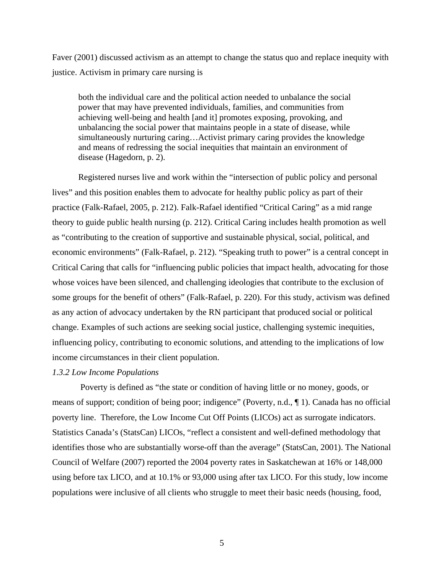Faver (2001) discussed activism as an attempt to change the status quo and replace inequity with justice. Activism in primary care nursing is

both the individual care and the political action needed to unbalance the social power that may have prevented individuals, families, and communities from achieving well-being and health [and it] promotes exposing, provoking, and unbalancing the social power that maintains people in a state of disease, while simultaneously nurturing caring…Activist primary caring provides the knowledge and means of redressing the social inequities that maintain an environment of disease (Hagedorn, p. 2).

 Registered nurses live and work within the "intersection of public policy and personal lives" and this position enables them to advocate for healthy public policy as part of their practice (Falk-Rafael, 2005, p. 212). Falk-Rafael identified "Critical Caring" as a mid range theory to guide public health nursing (p. 212). Critical Caring includes health promotion as well as "contributing to the creation of supportive and sustainable physical, social, political, and economic environments" (Falk-Rafael, p. 212). "Speaking truth to power" is a central concept in Critical Caring that calls for "influencing public policies that impact health, advocating for those whose voices have been silenced, and challenging ideologies that contribute to the exclusion of some groups for the benefit of others" (Falk-Rafael, p. 220). For this study, activism was defined as any action of advocacy undertaken by the RN participant that produced social or political change. Examples of such actions are seeking social justice, challenging systemic inequities, influencing policy, contributing to economic solutions, and attending to the implications of low income circumstances in their client population.

#### *1.3.2 Low Income Populations*

Poverty is defined as "the state or condition of having little or no money, goods, or means of support; condition of being poor; indigence" (Poverty, n.d., ¶ 1). Canada has no official poverty line. Therefore, the Low Income Cut Off Points (LICOs) act as surrogate indicators. Statistics Canada's (StatsCan) LICOs, "reflect a consistent and well-defined methodology that identifies those who are substantially worse-off than the average" (StatsCan, 2001). The National Council of Welfare (2007) reported the 2004 poverty rates in Saskatchewan at 16% or 148,000 using before tax LICO, and at 10.1% or 93,000 using after tax LICO. For this study, low income populations were inclusive of all clients who struggle to meet their basic needs (housing, food,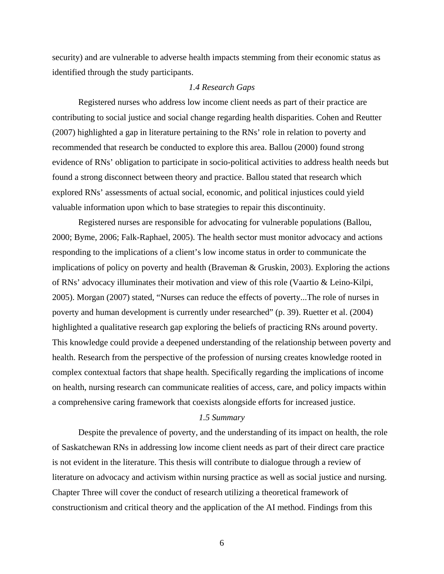security) and are vulnerable to adverse health impacts stemming from their economic status as identified through the study participants.

#### *1.4 Research Gaps*

 Registered nurses who address low income client needs as part of their practice are contributing to social justice and social change regarding health disparities. Cohen and Reutter (2007) highlighted a gap in literature pertaining to the RNs' role in relation to poverty and recommended that research be conducted to explore this area. Ballou (2000) found strong evidence of RNs' obligation to participate in socio-political activities to address health needs but found a strong disconnect between theory and practice. Ballou stated that research which explored RNs' assessments of actual social, economic, and political injustices could yield valuable information upon which to base strategies to repair this discontinuity.

 Registered nurses are responsible for advocating for vulnerable populations (Ballou, 2000; Byme, 2006; Falk-Raphael, 2005). The health sector must monitor advocacy and actions responding to the implications of a client's low income status in order to communicate the implications of policy on poverty and health (Braveman  $\&$  Gruskin, 2003). Exploring the actions of RNs' advocacy illuminates their motivation and view of this role (Vaartio & Leino-Kilpi, 2005). Morgan (2007) stated, "Nurses can reduce the effects of poverty...The role of nurses in poverty and human development is currently under researched" (p. 39). Ruetter et al. (2004) highlighted a qualitative research gap exploring the beliefs of practicing RNs around poverty. This knowledge could provide a deepened understanding of the relationship between poverty and health. Research from the perspective of the profession of nursing creates knowledge rooted in complex contextual factors that shape health. Specifically regarding the implications of income on health, nursing research can communicate realities of access, care, and policy impacts within a comprehensive caring framework that coexists alongside efforts for increased justice.

#### *1.5 Summary*

 Despite the prevalence of poverty, and the understanding of its impact on health, the role of Saskatchewan RNs in addressing low income client needs as part of their direct care practice is not evident in the literature. This thesis will contribute to dialogue through a review of literature on advocacy and activism within nursing practice as well as social justice and nursing. Chapter Three will cover the conduct of research utilizing a theoretical framework of constructionism and critical theory and the application of the AI method. Findings from this

 $\sim$  6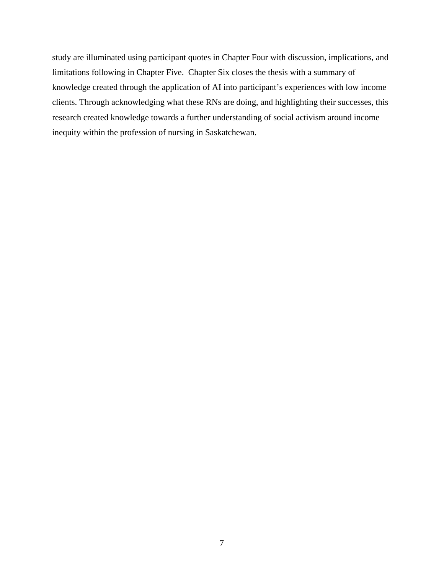study are illuminated using participant quotes in Chapter Four with discussion, implications, and limitations following in Chapter Five. Chapter Six closes the thesis with a summary of knowledge created through the application of AI into participant's experiences with low income clients. Through acknowledging what these RNs are doing, and highlighting their successes, this research created knowledge towards a further understanding of social activism around income inequity within the profession of nursing in Saskatchewan.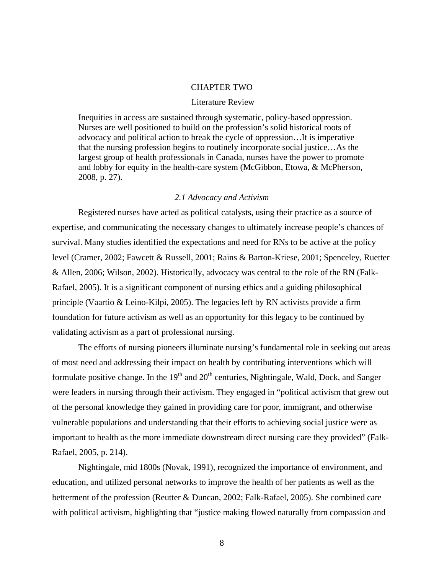#### CHAPTER TWO

#### Literature Review

Inequities in access are sustained through systematic, policy-based oppression. Nurses are well positioned to build on the profession's solid historical roots of advocacy and political action to break the cycle of oppression…It is imperative that the nursing profession begins to routinely incorporate social justice…As the largest group of health professionals in Canada, nurses have the power to promote and lobby for equity in the health-care system (McGibbon, Etowa, & McPherson, 2008, p. 27).

#### *2.1 Advocacy and Activism*

Registered nurses have acted as political catalysts, using their practice as a source of expertise, and communicating the necessary changes to ultimately increase people's chances of survival. Many studies identified the expectations and need for RNs to be active at the policy level (Cramer, 2002; Fawcett & Russell, 2001; Rains & Barton-Kriese, 2001; Spenceley, Ruetter & Allen, 2006; Wilson, 2002). Historically, advocacy was central to the role of the RN (Falk-Rafael, 2005). It is a significant component of nursing ethics and a guiding philosophical principle (Vaartio & Leino-Kilpi, 2005). The legacies left by RN activists provide a firm foundation for future activism as well as an opportunity for this legacy to be continued by validating activism as a part of professional nursing.

 The efforts of nursing pioneers illuminate nursing's fundamental role in seeking out areas of most need and addressing their impact on health by contributing interventions which will formulate positive change. In the  $19<sup>th</sup>$  and  $20<sup>th</sup>$  centuries, Nightingale, Wald, Dock, and Sanger were leaders in nursing through their activism. They engaged in "political activism that grew out of the personal knowledge they gained in providing care for poor, immigrant, and otherwise vulnerable populations and understanding that their efforts to achieving social justice were as important to health as the more immediate downstream direct nursing care they provided" (Falk-Rafael, 2005, p. 214).

 Nightingale, mid 1800s (Novak, 1991), recognized the importance of environment, and education, and utilized personal networks to improve the health of her patients as well as the betterment of the profession (Reutter & Duncan, 2002; Falk-Rafael, 2005). She combined care with political activism, highlighting that "justice making flowed naturally from compassion and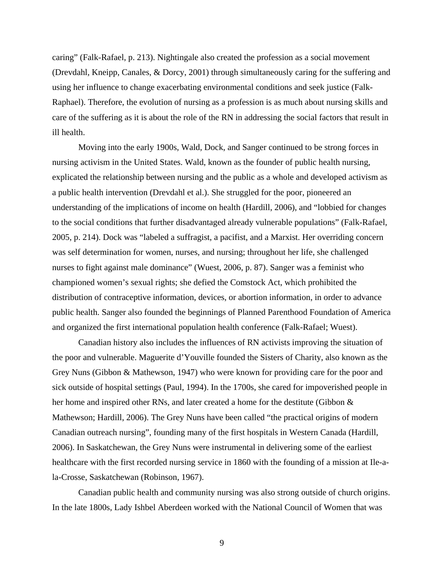caring" (Falk-Rafael, p. 213). Nightingale also created the profession as a social movement (Drevdahl, Kneipp, Canales, & Dorcy, 2001) through simultaneously caring for the suffering and using her influence to change exacerbating environmental conditions and seek justice (Falk-Raphael). Therefore, the evolution of nursing as a profession is as much about nursing skills and care of the suffering as it is about the role of the RN in addressing the social factors that result in ill health.

 Moving into the early 1900s, Wald, Dock, and Sanger continued to be strong forces in nursing activism in the United States. Wald, known as the founder of public health nursing, explicated the relationship between nursing and the public as a whole and developed activism as a public health intervention (Drevdahl et al.). She struggled for the poor, pioneered an understanding of the implications of income on health (Hardill, 2006), and "lobbied for changes to the social conditions that further disadvantaged already vulnerable populations" (Falk-Rafael, 2005, p. 214). Dock was "labeled a suffragist, a pacifist, and a Marxist. Her overriding concern was self determination for women, nurses, and nursing; throughout her life, she challenged nurses to fight against male dominance" (Wuest, 2006, p. 87). Sanger was a feminist who championed women's sexual rights; she defied the Comstock Act, which prohibited the distribution of contraceptive information, devices, or abortion information, in order to advance public health. Sanger also founded the beginnings of Planned Parenthood Foundation of America and organized the first international population health conference (Falk-Rafael; Wuest).

 Canadian history also includes the influences of RN activists improving the situation of the poor and vulnerable. Maguerite d'Youville founded the Sisters of Charity, also known as the Grey Nuns (Gibbon & Mathewson, 1947) who were known for providing care for the poor and sick outside of hospital settings (Paul, 1994). In the 1700s, she cared for impoverished people in her home and inspired other RNs, and later created a home for the destitute (Gibbon & Mathewson; Hardill, 2006). The Grey Nuns have been called "the practical origins of modern Canadian outreach nursing", founding many of the first hospitals in Western Canada (Hardill, 2006). In Saskatchewan, the Grey Nuns were instrumental in delivering some of the earliest healthcare with the first recorded nursing service in 1860 with the founding of a mission at Ile-ala-Crosse, Saskatchewan (Robinson, 1967).

 Canadian public health and community nursing was also strong outside of church origins. In the late 1800s, Lady Ishbel Aberdeen worked with the National Council of Women that was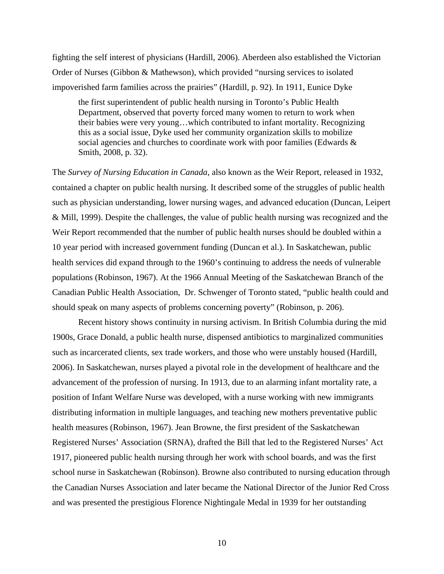fighting the self interest of physicians (Hardill, 2006). Aberdeen also established the Victorian Order of Nurses (Gibbon & Mathewson), which provided "nursing services to isolated impoverished farm families across the prairies" (Hardill, p. 92). In 1911, Eunice Dyke

the first superintendent of public health nursing in Toronto's Public Health Department, observed that poverty forced many women to return to work when their babies were very young…which contributed to infant mortality. Recognizing this as a social issue, Dyke used her community organization skills to mobilize social agencies and churches to coordinate work with poor families (Edwards & Smith, 2008, p. 32).

The *Survey of Nursing Education in Canada*, also known as the Weir Report, released in 1932, contained a chapter on public health nursing. It described some of the struggles of public health such as physician understanding, lower nursing wages, and advanced education (Duncan, Leipert & Mill, 1999). Despite the challenges, the value of public health nursing was recognized and the Weir Report recommended that the number of public health nurses should be doubled within a 10 year period with increased government funding (Duncan et al.). In Saskatchewan, public health services did expand through to the 1960's continuing to address the needs of vulnerable populations (Robinson, 1967). At the 1966 Annual Meeting of the Saskatchewan Branch of the Canadian Public Health Association, Dr. Schwenger of Toronto stated, "public health could and should speak on many aspects of problems concerning poverty" (Robinson, p. 206).

Recent history shows continuity in nursing activism. In British Columbia during the mid 1900s, Grace Donald, a public health nurse, dispensed antibiotics to marginalized communities such as incarcerated clients, sex trade workers, and those who were unstably housed (Hardill, 2006). In Saskatchewan, nurses played a pivotal role in the development of healthcare and the advancement of the profession of nursing. In 1913, due to an alarming infant mortality rate, a position of Infant Welfare Nurse was developed, with a nurse working with new immigrants distributing information in multiple languages, and teaching new mothers preventative public health measures (Robinson, 1967). Jean Browne, the first president of the Saskatchewan Registered Nurses' Association (SRNA), drafted the Bill that led to the Registered Nurses' Act 1917, pioneered public health nursing through her work with school boards, and was the first school nurse in Saskatchewan (Robinson). Browne also contributed to nursing education through the Canadian Nurses Association and later became the National Director of the Junior Red Cross and was presented the prestigious Florence Nightingale Medal in 1939 for her outstanding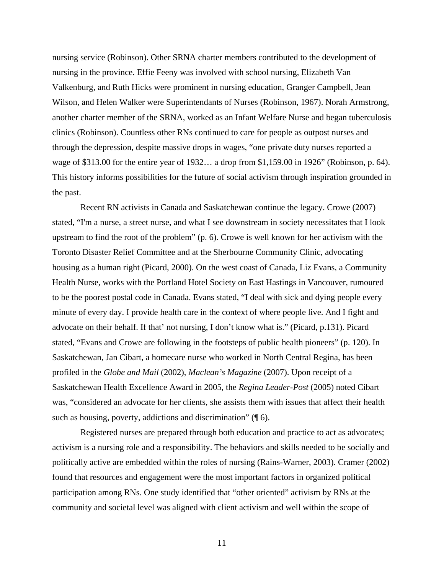nursing service (Robinson). Other SRNA charter members contributed to the development of nursing in the province. Effie Feeny was involved with school nursing, Elizabeth Van Valkenburg, and Ruth Hicks were prominent in nursing education, Granger Campbell, Jean Wilson, and Helen Walker were Superintendants of Nurses (Robinson, 1967). Norah Armstrong, another charter member of the SRNA, worked as an Infant Welfare Nurse and began tuberculosis clinics (Robinson). Countless other RNs continued to care for people as outpost nurses and through the depression, despite massive drops in wages, "one private duty nurses reported a wage of \$313.00 for the entire year of 1932… a drop from \$1,159.00 in 1926" (Robinson, p. 64). This history informs possibilities for the future of social activism through inspiration grounded in the past.

 Recent RN activists in Canada and Saskatchewan continue the legacy. Crowe (2007) stated, "I'm a nurse, a street nurse, and what I see downstream in society necessitates that I look upstream to find the root of the problem" (p. 6). Crowe is well known for her activism with the Toronto Disaster Relief Committee and at the Sherbourne Community Clinic, advocating housing as a human right (Picard, 2000). On the west coast of Canada, Liz Evans, a Community Health Nurse, works with the Portland Hotel Society on East Hastings in Vancouver, rumoured to be the poorest postal code in Canada. Evans stated, "I deal with sick and dying people every minute of every day. I provide health care in the context of where people live. And I fight and advocate on their behalf. If that' not nursing, I don't know what is." (Picard, p.131). Picard stated, "Evans and Crowe are following in the footsteps of public health pioneers" (p. 120). In Saskatchewan, Jan Cibart, a homecare nurse who worked in North Central Regina, has been profiled in the *Globe and Mail* (2002), *Maclean's Magazine* (2007). Upon receipt of a Saskatchewan Health Excellence Award in 2005, the *Regina Leader-Post* (2005) noted Cibart was, "considered an advocate for her clients, she assists them with issues that affect their health such as housing, poverty, addictions and discrimination" ( $\lceil \phi \rceil$ ).

 Registered nurses are prepared through both education and practice to act as advocates; activism is a nursing role and a responsibility. The behaviors and skills needed to be socially and politically active are embedded within the roles of nursing (Rains-Warner, 2003). Cramer (2002) found that resources and engagement were the most important factors in organized political participation among RNs. One study identified that "other oriented" activism by RNs at the community and societal level was aligned with client activism and well within the scope of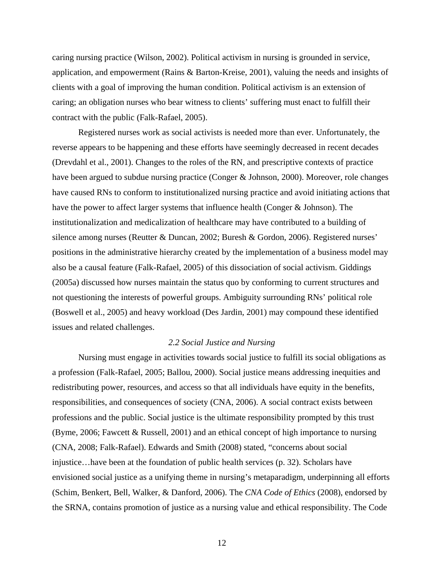caring nursing practice (Wilson, 2002). Political activism in nursing is grounded in service, application, and empowerment (Rains & Barton-Kreise, 2001), valuing the needs and insights of clients with a goal of improving the human condition. Political activism is an extension of caring; an obligation nurses who bear witness to clients' suffering must enact to fulfill their contract with the public (Falk-Rafael, 2005).

 Registered nurses work as social activists is needed more than ever. Unfortunately, the reverse appears to be happening and these efforts have seemingly decreased in recent decades (Drevdahl et al., 2001). Changes to the roles of the RN, and prescriptive contexts of practice have been argued to subdue nursing practice (Conger & Johnson, 2000). Moreover, role changes have caused RNs to conform to institutionalized nursing practice and avoid initiating actions that have the power to affect larger systems that influence health (Conger & Johnson). The institutionalization and medicalization of healthcare may have contributed to a building of silence among nurses (Reutter & Duncan, 2002; Buresh & Gordon, 2006). Registered nurses' positions in the administrative hierarchy created by the implementation of a business model may also be a causal feature (Falk-Rafael, 2005) of this dissociation of social activism. Giddings (2005a) discussed how nurses maintain the status quo by conforming to current structures and not questioning the interests of powerful groups. Ambiguity surrounding RNs' political role (Boswell et al., 2005) and heavy workload (Des Jardin, 2001) may compound these identified issues and related challenges.

#### *2.2 Social Justice and Nursing*

Nursing must engage in activities towards social justice to fulfill its social obligations as a profession (Falk-Rafael, 2005; Ballou, 2000). Social justice means addressing inequities and redistributing power, resources, and access so that all individuals have equity in the benefits, responsibilities, and consequences of society (CNA, 2006). A social contract exists between professions and the public. Social justice is the ultimate responsibility prompted by this trust (Byme, 2006; Fawcett & Russell, 2001) and an ethical concept of high importance to nursing (CNA, 2008; Falk-Rafael). Edwards and Smith (2008) stated, "concerns about social injustice…have been at the foundation of public health services (p. 32). Scholars have envisioned social justice as a unifying theme in nursing's metaparadigm, underpinning all efforts (Schim, Benkert, Bell, Walker, & Danford, 2006). The *CNA Code of Ethics* (2008), endorsed by the SRNA, contains promotion of justice as a nursing value and ethical responsibility. The Code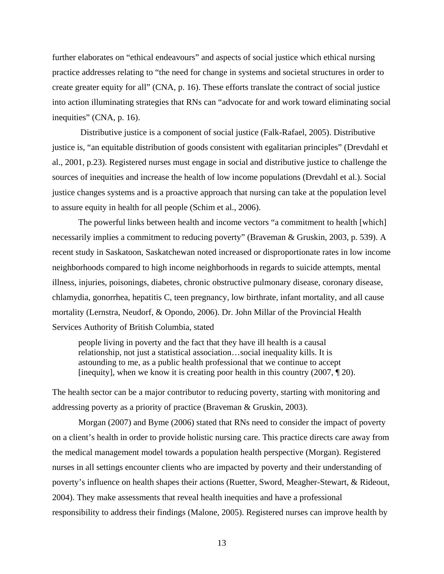further elaborates on "ethical endeavours" and aspects of social justice which ethical nursing practice addresses relating to "the need for change in systems and societal structures in order to create greater equity for all" (CNA, p. 16). These efforts translate the contract of social justice into action illuminating strategies that RNs can "advocate for and work toward eliminating social inequities" (CNA, p. 16).

 Distributive justice is a component of social justice (Falk-Rafael, 2005). Distributive justice is, "an equitable distribution of goods consistent with egalitarian principles" (Drevdahl et al., 2001, p.23). Registered nurses must engage in social and distributive justice to challenge the sources of inequities and increase the health of low income populations (Drevdahl et al.). Social justice changes systems and is a proactive approach that nursing can take at the population level to assure equity in health for all people (Schim et al., 2006).

The powerful links between health and income vectors "a commitment to health [which] necessarily implies a commitment to reducing poverty" (Braveman & Gruskin, 2003, p. 539). A recent study in Saskatoon, Saskatchewan noted increased or disproportionate rates in low income neighborhoods compared to high income neighborhoods in regards to suicide attempts, mental illness, injuries, poisonings, diabetes, chronic obstructive pulmonary disease, coronary disease, chlamydia, gonorrhea, hepatitis C, teen pregnancy, low birthrate, infant mortality, and all cause mortality (Lernstra, Neudorf, & Opondo, 2006). Dr. John Millar of the Provincial Health Services Authority of British Columbia, stated

people living in poverty and the fact that they have ill health is a causal relationship, not just a statistical association…social inequality kills. It is astounding to me, as a public health professional that we continue to accept [inequity], when we know it is creating poor health in this country  $(2007, \P 20)$ .

The health sector can be a major contributor to reducing poverty, starting with monitoring and addressing poverty as a priority of practice (Braveman & Gruskin, 2003).

 Morgan (2007) and Byme (2006) stated that RNs need to consider the impact of poverty on a client's health in order to provide holistic nursing care. This practice directs care away from the medical management model towards a population health perspective (Morgan). Registered nurses in all settings encounter clients who are impacted by poverty and their understanding of poverty's influence on health shapes their actions (Ruetter, Sword, Meagher-Stewart, & Rideout, 2004). They make assessments that reveal health inequities and have a professional responsibility to address their findings (Malone, 2005). Registered nurses can improve health by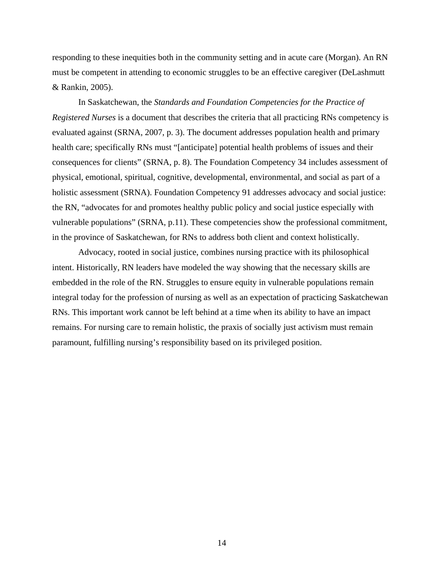responding to these inequities both in the community setting and in acute care (Morgan). An RN must be competent in attending to economic struggles to be an effective caregiver (DeLashmutt & Rankin, 2005).

 In Saskatchewan, the *Standards and Foundation Competencies for the Practice of Registered Nurses* is a document that describes the criteria that all practicing RNs competency is evaluated against (SRNA, 2007, p. 3). The document addresses population health and primary health care; specifically RNs must "[anticipate] potential health problems of issues and their consequences for clients" (SRNA, p. 8). The Foundation Competency 34 includes assessment of physical, emotional, spiritual, cognitive, developmental, environmental, and social as part of a holistic assessment (SRNA). Foundation Competency 91 addresses advocacy and social justice: the RN, "advocates for and promotes healthy public policy and social justice especially with vulnerable populations" (SRNA, p.11). These competencies show the professional commitment, in the province of Saskatchewan, for RNs to address both client and context holistically.

 Advocacy, rooted in social justice, combines nursing practice with its philosophical intent. Historically, RN leaders have modeled the way showing that the necessary skills are embedded in the role of the RN. Struggles to ensure equity in vulnerable populations remain integral today for the profession of nursing as well as an expectation of practicing Saskatchewan RNs. This important work cannot be left behind at a time when its ability to have an impact remains. For nursing care to remain holistic, the praxis of socially just activism must remain paramount, fulfilling nursing's responsibility based on its privileged position.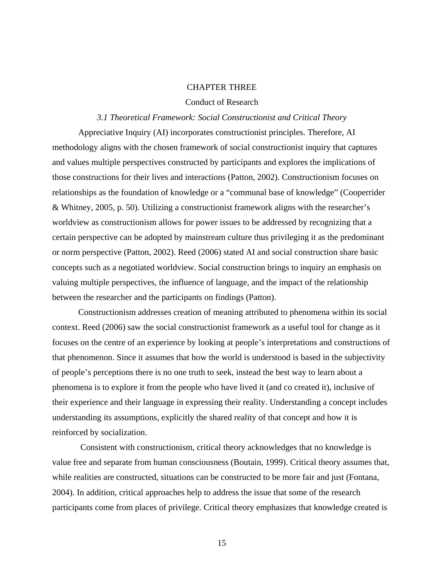#### CHAPTER THREE

#### Conduct of Research

#### *3.1 Theoretical Framework: Social Constructionist and Critical Theory*

 Appreciative Inquiry (AI) incorporates constructionist principles. Therefore, AI methodology aligns with the chosen framework of social constructionist inquiry that captures and values multiple perspectives constructed by participants and explores the implications of those constructions for their lives and interactions (Patton, 2002). Constructionism focuses on relationships as the foundation of knowledge or a "communal base of knowledge" (Cooperrider & Whitney, 2005, p. 50). Utilizing a constructionist framework aligns with the researcher's worldview as constructionism allows for power issues to be addressed by recognizing that a certain perspective can be adopted by mainstream culture thus privileging it as the predominant or norm perspective (Patton, 2002). Reed (2006) stated AI and social construction share basic concepts such as a negotiated worldview. Social construction brings to inquiry an emphasis on valuing multiple perspectives, the influence of language, and the impact of the relationship between the researcher and the participants on findings (Patton).

 Constructionism addresses creation of meaning attributed to phenomena within its social context. Reed (2006) saw the social constructionist framework as a useful tool for change as it focuses on the centre of an experience by looking at people's interpretations and constructions of that phenomenon. Since it assumes that how the world is understood is based in the subjectivity of people's perceptions there is no one truth to seek, instead the best way to learn about a phenomena is to explore it from the people who have lived it (and co created it), inclusive of their experience and their language in expressing their reality. Understanding a concept includes understanding its assumptions, explicitly the shared reality of that concept and how it is reinforced by socialization.

 Consistent with constructionism, critical theory acknowledges that no knowledge is value free and separate from human consciousness (Boutain, 1999). Critical theory assumes that, while realities are constructed, situations can be constructed to be more fair and just (Fontana, 2004). In addition, critical approaches help to address the issue that some of the research participants come from places of privilege. Critical theory emphasizes that knowledge created is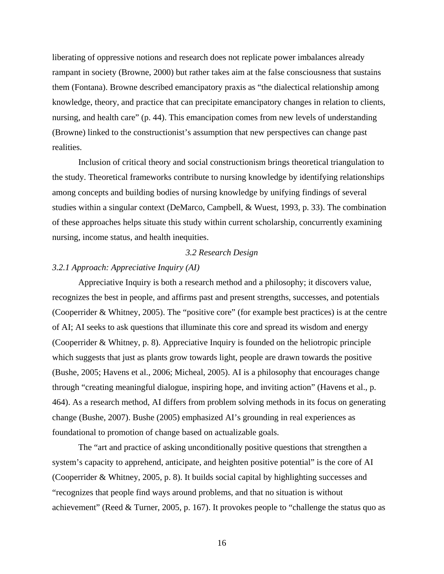liberating of oppressive notions and research does not replicate power imbalances already rampant in society (Browne, 2000) but rather takes aim at the false consciousness that sustains them (Fontana). Browne described emancipatory praxis as "the dialectical relationship among knowledge, theory, and practice that can precipitate emancipatory changes in relation to clients, nursing, and health care" (p. 44). This emancipation comes from new levels of understanding (Browne) linked to the constructionist's assumption that new perspectives can change past realities.

Inclusion of critical theory and social constructionism brings theoretical triangulation to the study. Theoretical frameworks contribute to nursing knowledge by identifying relationships among concepts and building bodies of nursing knowledge by unifying findings of several studies within a singular context (DeMarco, Campbell, & Wuest, 1993, p. 33). The combination of these approaches helps situate this study within current scholarship, concurrently examining nursing, income status, and health inequities.

#### *3.2 Research Design*

#### *3.2.1 Approach: Appreciative Inquiry (AI)*

 Appreciative Inquiry is both a research method and a philosophy; it discovers value, recognizes the best in people, and affirms past and present strengths, successes, and potentials (Cooperrider & Whitney, 2005). The "positive core" (for example best practices) is at the centre of AI; AI seeks to ask questions that illuminate this core and spread its wisdom and energy (Cooperrider & Whitney, p. 8). Appreciative Inquiry is founded on the heliotropic principle which suggests that just as plants grow towards light, people are drawn towards the positive (Bushe, 2005; Havens et al., 2006; Micheal, 2005). AI is a philosophy that encourages change through "creating meaningful dialogue, inspiring hope, and inviting action" (Havens et al., p. 464). As a research method, AI differs from problem solving methods in its focus on generating change (Bushe, 2007). Bushe (2005) emphasized AI's grounding in real experiences as foundational to promotion of change based on actualizable goals.

The "art and practice of asking unconditionally positive questions that strengthen a system's capacity to apprehend, anticipate, and heighten positive potential" is the core of AI (Cooperrider & Whitney, 2005, p. 8). It builds social capital by highlighting successes and "recognizes that people find ways around problems, and that no situation is without achievement" (Reed & Turner, 2005, p. 167). It provokes people to "challenge the status quo as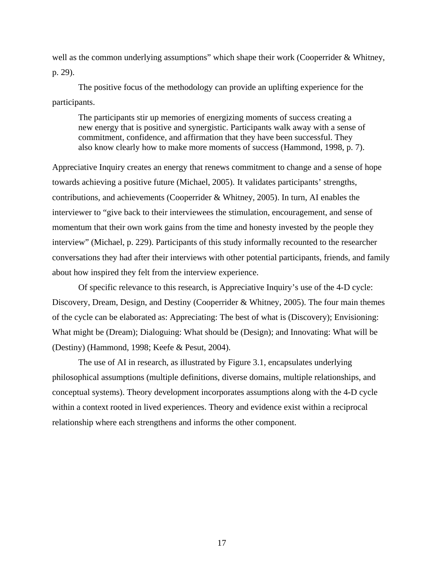well as the common underlying assumptions" which shape their work (Cooperrider & Whitney, p. 29).

The positive focus of the methodology can provide an uplifting experience for the participants.

The participants stir up memories of energizing moments of success creating a new energy that is positive and synergistic. Participants walk away with a sense of commitment, confidence, and affirmation that they have been successful. They also know clearly how to make more moments of success (Hammond, 1998, p. 7).

Appreciative Inquiry creates an energy that renews commitment to change and a sense of hope towards achieving a positive future (Michael, 2005). It validates participants' strengths, contributions, and achievements (Cooperrider & Whitney, 2005). In turn, AI enables the interviewer to "give back to their interviewees the stimulation, encouragement, and sense of momentum that their own work gains from the time and honesty invested by the people they interview" (Michael, p. 229). Participants of this study informally recounted to the researcher conversations they had after their interviews with other potential participants, friends, and family about how inspired they felt from the interview experience.

Of specific relevance to this research, is Appreciative Inquiry's use of the 4-D cycle: Discovery, Dream, Design, and Destiny (Cooperrider & Whitney, 2005). The four main themes of the cycle can be elaborated as: Appreciating: The best of what is (Discovery); Envisioning: What might be (Dream); Dialoguing: What should be (Design); and Innovating: What will be (Destiny) (Hammond, 1998; Keefe & Pesut, 2004).

The use of AI in research, as illustrated by Figure 3.1, encapsulates underlying philosophical assumptions (multiple definitions, diverse domains, multiple relationships, and conceptual systems). Theory development incorporates assumptions along with the 4-D cycle within a context rooted in lived experiences. Theory and evidence exist within a reciprocal relationship where each strengthens and informs the other component.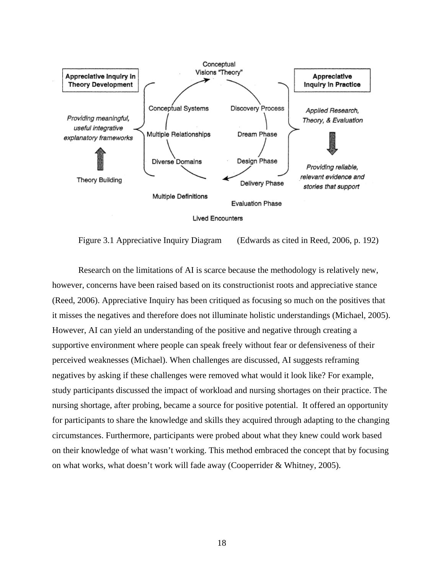

Figure 3.1 Appreciative Inquiry Diagram (Edwards as cited in Reed, 2006, p. 192)

Research on the limitations of AI is scarce because the methodology is relatively new, however, concerns have been raised based on its constructionist roots and appreciative stance (Reed, 2006). Appreciative Inquiry has been critiqued as focusing so much on the positives that it misses the negatives and therefore does not illuminate holistic understandings (Michael, 2005). However, AI can yield an understanding of the positive and negative through creating a supportive environment where people can speak freely without fear or defensiveness of their perceived weaknesses (Michael). When challenges are discussed, AI suggests reframing negatives by asking if these challenges were removed what would it look like? For example, study participants discussed the impact of workload and nursing shortages on their practice. The nursing shortage, after probing, became a source for positive potential. It offered an opportunity for participants to share the knowledge and skills they acquired through adapting to the changing circumstances. Furthermore, participants were probed about what they knew could work based on their knowledge of what wasn't working. This method embraced the concept that by focusing on what works, what doesn't work will fade away (Cooperrider & Whitney, 2005).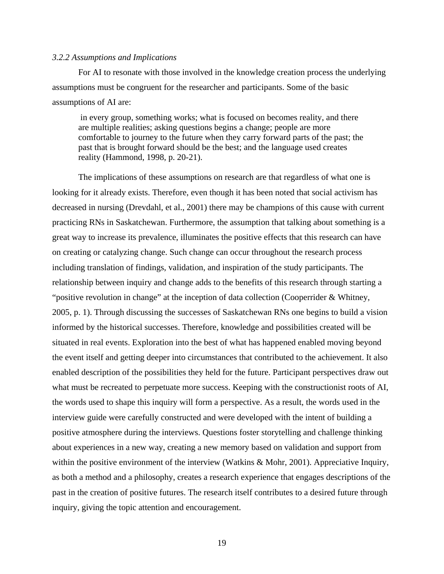#### *3.2.2 Assumptions and Implications*

For AI to resonate with those involved in the knowledge creation process the underlying assumptions must be congruent for the researcher and participants. Some of the basic assumptions of AI are:

 in every group, something works; what is focused on becomes reality, and there are multiple realities; asking questions begins a change; people are more comfortable to journey to the future when they carry forward parts of the past; the past that is brought forward should be the best; and the language used creates reality (Hammond, 1998, p. 20-21).

 The implications of these assumptions on research are that regardless of what one is looking for it already exists. Therefore, even though it has been noted that social activism has decreased in nursing (Drevdahl, et al., 2001) there may be champions of this cause with current practicing RNs in Saskatchewan. Furthermore, the assumption that talking about something is a great way to increase its prevalence, illuminates the positive effects that this research can have on creating or catalyzing change. Such change can occur throughout the research process including translation of findings, validation, and inspiration of the study participants. The relationship between inquiry and change adds to the benefits of this research through starting a "positive revolution in change" at the inception of data collection (Cooperrider & Whitney, 2005, p. 1). Through discussing the successes of Saskatchewan RNs one begins to build a vision informed by the historical successes. Therefore, knowledge and possibilities created will be situated in real events. Exploration into the best of what has happened enabled moving beyond the event itself and getting deeper into circumstances that contributed to the achievement. It also enabled description of the possibilities they held for the future. Participant perspectives draw out what must be recreated to perpetuate more success. Keeping with the constructionist roots of AI, the words used to shape this inquiry will form a perspective. As a result, the words used in the interview guide were carefully constructed and were developed with the intent of building a positive atmosphere during the interviews. Questions foster storytelling and challenge thinking about experiences in a new way, creating a new memory based on validation and support from within the positive environment of the interview (Watkins & Mohr, 2001). Appreciative Inquiry, as both a method and a philosophy, creates a research experience that engages descriptions of the past in the creation of positive futures. The research itself contributes to a desired future through inquiry, giving the topic attention and encouragement.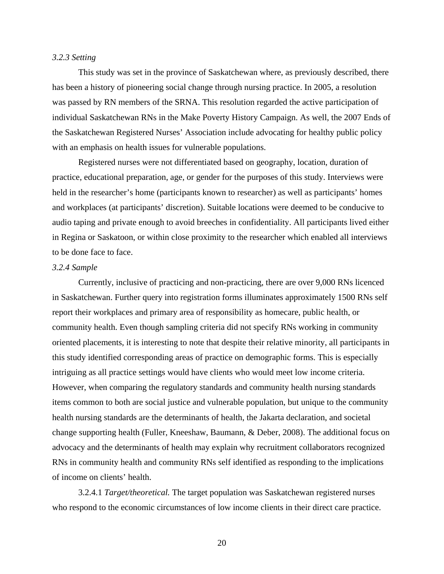#### *3.2.3 Setting*

 This study was set in the province of Saskatchewan where, as previously described, there has been a history of pioneering social change through nursing practice. In 2005, a resolution was passed by RN members of the SRNA. This resolution regarded the active participation of individual Saskatchewan RNs in the Make Poverty History Campaign. As well, the 2007 Ends of the Saskatchewan Registered Nurses' Association include advocating for healthy public policy with an emphasis on health issues for vulnerable populations.

 Registered nurses were not differentiated based on geography, location, duration of practice, educational preparation, age, or gender for the purposes of this study. Interviews were held in the researcher's home (participants known to researcher) as well as participants' homes and workplaces (at participants' discretion). Suitable locations were deemed to be conducive to audio taping and private enough to avoid breeches in confidentiality. All participants lived either in Regina or Saskatoon, or within close proximity to the researcher which enabled all interviews to be done face to face.

#### *3.2.4 Sample*

 Currently, inclusive of practicing and non-practicing, there are over 9,000 RNs licenced in Saskatchewan. Further query into registration forms illuminates approximately 1500 RNs self report their workplaces and primary area of responsibility as homecare, public health, or community health. Even though sampling criteria did not specify RNs working in community oriented placements, it is interesting to note that despite their relative minority, all participants in this study identified corresponding areas of practice on demographic forms. This is especially intriguing as all practice settings would have clients who would meet low income criteria. However, when comparing the regulatory standards and community health nursing standards items common to both are social justice and vulnerable population, but unique to the community health nursing standards are the determinants of health, the Jakarta declaration, and societal change supporting health (Fuller, Kneeshaw, Baumann, & Deber, 2008). The additional focus on advocacy and the determinants of health may explain why recruitment collaborators recognized RNs in community health and community RNs self identified as responding to the implications of income on clients' health.

 3.2.4.1 *Target/theoretical.* The target population was Saskatchewan registered nurses who respond to the economic circumstances of low income clients in their direct care practice.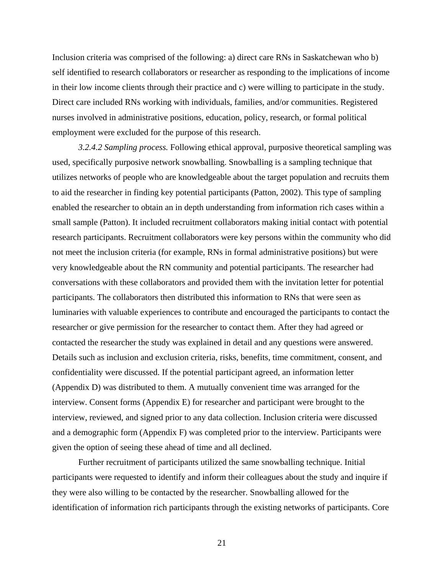Inclusion criteria was comprised of the following: a) direct care RNs in Saskatchewan who b) self identified to research collaborators or researcher as responding to the implications of income in their low income clients through their practice and c) were willing to participate in the study. Direct care included RNs working with individuals, families, and/or communities. Registered nurses involved in administrative positions, education, policy, research, or formal political employment were excluded for the purpose of this research.

*3.2.4.2 Sampling process.* Following ethical approval, purposive theoretical sampling was used, specifically purposive network snowballing. Snowballing is a sampling technique that utilizes networks of people who are knowledgeable about the target population and recruits them to aid the researcher in finding key potential participants (Patton, 2002). This type of sampling enabled the researcher to obtain an in depth understanding from information rich cases within a small sample (Patton). It included recruitment collaborators making initial contact with potential research participants. Recruitment collaborators were key persons within the community who did not meet the inclusion criteria (for example, RNs in formal administrative positions) but were very knowledgeable about the RN community and potential participants. The researcher had conversations with these collaborators and provided them with the invitation letter for potential participants. The collaborators then distributed this information to RNs that were seen as luminaries with valuable experiences to contribute and encouraged the participants to contact the researcher or give permission for the researcher to contact them. After they had agreed or contacted the researcher the study was explained in detail and any questions were answered. Details such as inclusion and exclusion criteria, risks, benefits, time commitment, consent, and confidentiality were discussed. If the potential participant agreed, an information letter (Appendix D) was distributed to them. A mutually convenient time was arranged for the interview. Consent forms (Appendix E) for researcher and participant were brought to the interview, reviewed, and signed prior to any data collection. Inclusion criteria were discussed and a demographic form (Appendix F) was completed prior to the interview. Participants were given the option of seeing these ahead of time and all declined.

 Further recruitment of participants utilized the same snowballing technique. Initial participants were requested to identify and inform their colleagues about the study and inquire if they were also willing to be contacted by the researcher. Snowballing allowed for the identification of information rich participants through the existing networks of participants. Core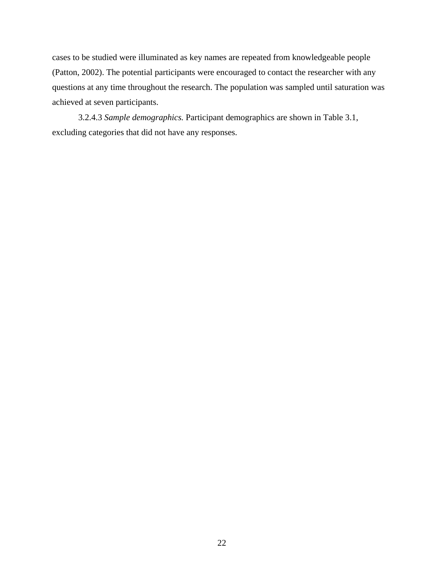cases to be studied were illuminated as key names are repeated from knowledgeable people (Patton, 2002). The potential participants were encouraged to contact the researcher with any questions at any time throughout the research. The population was sampled until saturation was achieved at seven participants.

 3.2.4.3 *Sample demographics.* Participant demographics are shown in Table 3.1, excluding categories that did not have any responses.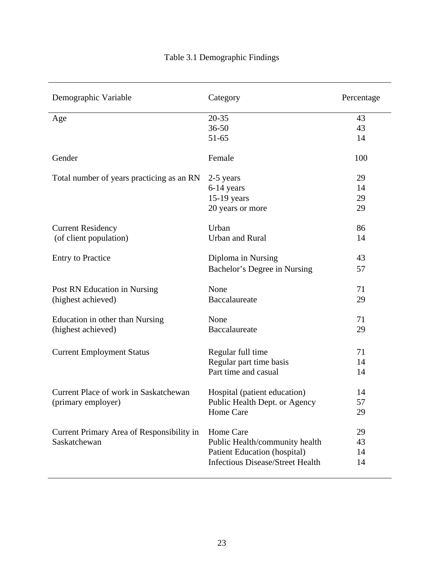## Table 3.1 Demographic Findings

| Demographic Variable                                      | Category                                                              | Percentage |
|-----------------------------------------------------------|-----------------------------------------------------------------------|------------|
| Age                                                       | $20 - 35$                                                             | 43         |
|                                                           | $36 - 50$                                                             | 43         |
|                                                           | $51 - 65$                                                             | 14         |
| Gender                                                    | Female                                                                | 100        |
| Total number of years practicing as an RN                 | 2-5 years                                                             | 29         |
|                                                           | 6-14 years                                                            | 14         |
|                                                           | 15-19 years                                                           | 29         |
|                                                           | 20 years or more                                                      | 29         |
| <b>Current Residency</b>                                  | Urban                                                                 | 86         |
| (of client population)                                    | <b>Urban and Rural</b>                                                | 14         |
| <b>Entry to Practice</b>                                  | Diploma in Nursing                                                    | 43         |
|                                                           | Bachelor's Degree in Nursing                                          | 57         |
| Post RN Education in Nursing                              | None                                                                  | 71         |
| (highest achieved)                                        | Baccalaureate                                                         | 29         |
| Education in other than Nursing                           | None                                                                  | 71         |
| (highest achieved)                                        | Baccalaureate                                                         | 29         |
| <b>Current Employment Status</b>                          | Regular full time                                                     | 71         |
|                                                           | Regular part time basis                                               | 14         |
|                                                           | Part time and casual                                                  | 14         |
| Current Place of work in Saskatchewan                     | Hospital (patient education)                                          | 14         |
| (primary employer)                                        | Public Health Dept. or Agency                                         | 57         |
|                                                           | Home Care                                                             | 29         |
|                                                           | Home Care                                                             | 29         |
| Current Primary Area of Responsibility in<br>Saskatchewan |                                                                       | 43         |
|                                                           | Public Health/community health<br><b>Patient Education (hospital)</b> | 14         |
|                                                           | <b>Infectious Disease/Street Health</b>                               | 14         |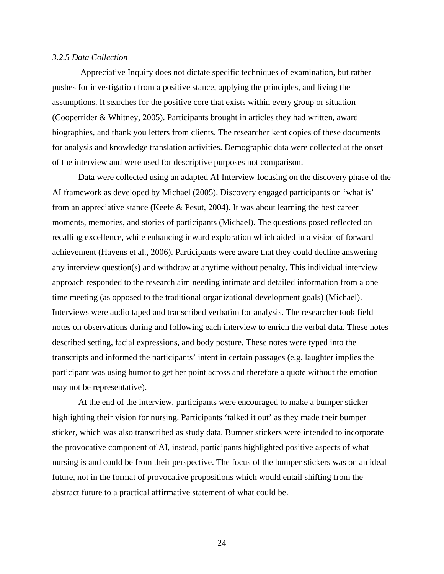#### *3.2.5 Data Collection*

 Appreciative Inquiry does not dictate specific techniques of examination, but rather pushes for investigation from a positive stance, applying the principles, and living the assumptions. It searches for the positive core that exists within every group or situation (Cooperrider & Whitney, 2005). Participants brought in articles they had written, award biographies, and thank you letters from clients. The researcher kept copies of these documents for analysis and knowledge translation activities. Demographic data were collected at the onset of the interview and were used for descriptive purposes not comparison.

Data were collected using an adapted AI Interview focusing on the discovery phase of the AI framework as developed by Michael (2005). Discovery engaged participants on 'what is' from an appreciative stance (Keefe & Pesut, 2004). It was about learning the best career moments, memories, and stories of participants (Michael). The questions posed reflected on recalling excellence, while enhancing inward exploration which aided in a vision of forward achievement (Havens et al., 2006). Participants were aware that they could decline answering any interview question(s) and withdraw at anytime without penalty. This individual interview approach responded to the research aim needing intimate and detailed information from a one time meeting (as opposed to the traditional organizational development goals) (Michael). Interviews were audio taped and transcribed verbatim for analysis. The researcher took field notes on observations during and following each interview to enrich the verbal data. These notes described setting, facial expressions, and body posture. These notes were typed into the transcripts and informed the participants' intent in certain passages (e.g. laughter implies the participant was using humor to get her point across and therefore a quote without the emotion may not be representative).

At the end of the interview, participants were encouraged to make a bumper sticker highlighting their vision for nursing. Participants 'talked it out' as they made their bumper sticker, which was also transcribed as study data. Bumper stickers were intended to incorporate the provocative component of AI, instead, participants highlighted positive aspects of what nursing is and could be from their perspective. The focus of the bumper stickers was on an ideal future, not in the format of provocative propositions which would entail shifting from the abstract future to a practical affirmative statement of what could be.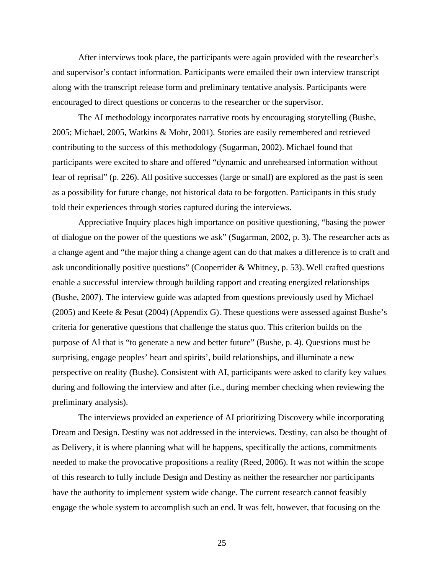After interviews took place, the participants were again provided with the researcher's and supervisor's contact information. Participants were emailed their own interview transcript along with the transcript release form and preliminary tentative analysis. Participants were encouraged to direct questions or concerns to the researcher or the supervisor.

 The AI methodology incorporates narrative roots by encouraging storytelling (Bushe, 2005; Michael, 2005, Watkins & Mohr, 2001). Stories are easily remembered and retrieved contributing to the success of this methodology (Sugarman, 2002). Michael found that participants were excited to share and offered "dynamic and unrehearsed information without fear of reprisal" (p. 226). All positive successes (large or small) are explored as the past is seen as a possibility for future change, not historical data to be forgotten. Participants in this study told their experiences through stories captured during the interviews.

Appreciative Inquiry places high importance on positive questioning, "basing the power of dialogue on the power of the questions we ask" (Sugarman, 2002, p. 3). The researcher acts as a change agent and "the major thing a change agent can do that makes a difference is to craft and ask unconditionally positive questions" (Cooperrider & Whitney, p. 53). Well crafted questions enable a successful interview through building rapport and creating energized relationships (Bushe, 2007). The interview guide was adapted from questions previously used by Michael (2005) and Keefe & Pesut (2004) (Appendix G). These questions were assessed against Bushe's criteria for generative questions that challenge the status quo. This criterion builds on the purpose of AI that is "to generate a new and better future" (Bushe, p. 4). Questions must be surprising, engage peoples' heart and spirits', build relationships, and illuminate a new perspective on reality (Bushe). Consistent with AI, participants were asked to clarify key values during and following the interview and after (i.e., during member checking when reviewing the preliminary analysis).

The interviews provided an experience of AI prioritizing Discovery while incorporating Dream and Design. Destiny was not addressed in the interviews. Destiny, can also be thought of as Delivery, it is where planning what will be happens, specifically the actions, commitments needed to make the provocative propositions a reality (Reed, 2006). It was not within the scope of this research to fully include Design and Destiny as neither the researcher nor participants have the authority to implement system wide change. The current research cannot feasibly engage the whole system to accomplish such an end. It was felt, however, that focusing on the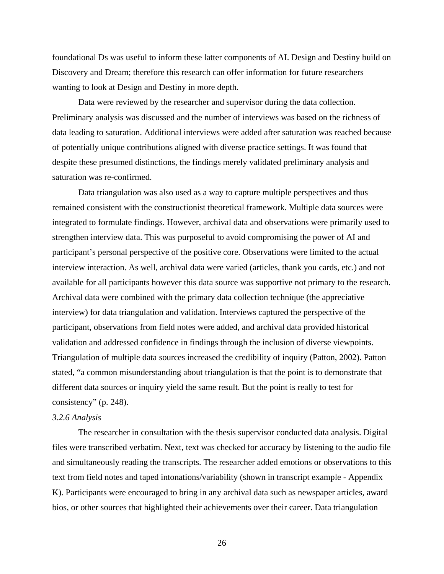foundational Ds was useful to inform these latter components of AI. Design and Destiny build on Discovery and Dream; therefore this research can offer information for future researchers wanting to look at Design and Destiny in more depth.

Data were reviewed by the researcher and supervisor during the data collection. Preliminary analysis was discussed and the number of interviews was based on the richness of data leading to saturation. Additional interviews were added after saturation was reached because of potentially unique contributions aligned with diverse practice settings. It was found that despite these presumed distinctions, the findings merely validated preliminary analysis and saturation was re-confirmed.

Data triangulation was also used as a way to capture multiple perspectives and thus remained consistent with the constructionist theoretical framework. Multiple data sources were integrated to formulate findings. However, archival data and observations were primarily used to strengthen interview data. This was purposeful to avoid compromising the power of AI and participant's personal perspective of the positive core. Observations were limited to the actual interview interaction. As well, archival data were varied (articles, thank you cards, etc.) and not available for all participants however this data source was supportive not primary to the research. Archival data were combined with the primary data collection technique (the appreciative interview) for data triangulation and validation. Interviews captured the perspective of the participant, observations from field notes were added, and archival data provided historical validation and addressed confidence in findings through the inclusion of diverse viewpoints. Triangulation of multiple data sources increased the credibility of inquiry (Patton, 2002). Patton stated, "a common misunderstanding about triangulation is that the point is to demonstrate that different data sources or inquiry yield the same result. But the point is really to test for consistency" (p. 248).

#### *3.2.6 Analysis*

The researcher in consultation with the thesis supervisor conducted data analysis. Digital files were transcribed verbatim. Next, text was checked for accuracy by listening to the audio file and simultaneously reading the transcripts. The researcher added emotions or observations to this text from field notes and taped intonations/variability (shown in transcript example - Appendix K). Participants were encouraged to bring in any archival data such as newspaper articles, award bios, or other sources that highlighted their achievements over their career. Data triangulation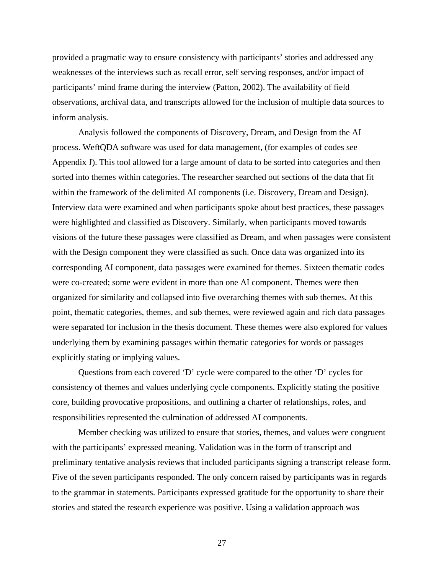provided a pragmatic way to ensure consistency with participants' stories and addressed any weaknesses of the interviews such as recall error, self serving responses, and/or impact of participants' mind frame during the interview (Patton, 2002). The availability of field observations, archival data, and transcripts allowed for the inclusion of multiple data sources to inform analysis.

Analysis followed the components of Discovery, Dream, and Design from the AI process. WeftQDA software was used for data management, (for examples of codes see Appendix J). This tool allowed for a large amount of data to be sorted into categories and then sorted into themes within categories. The researcher searched out sections of the data that fit within the framework of the delimited AI components (i.e. Discovery, Dream and Design). Interview data were examined and when participants spoke about best practices, these passages were highlighted and classified as Discovery. Similarly, when participants moved towards visions of the future these passages were classified as Dream, and when passages were consistent with the Design component they were classified as such. Once data was organized into its corresponding AI component, data passages were examined for themes. Sixteen thematic codes were co-created; some were evident in more than one AI component. Themes were then organized for similarity and collapsed into five overarching themes with sub themes. At this point, thematic categories, themes, and sub themes, were reviewed again and rich data passages were separated for inclusion in the thesis document. These themes were also explored for values underlying them by examining passages within thematic categories for words or passages explicitly stating or implying values.

Questions from each covered 'D' cycle were compared to the other 'D' cycles for consistency of themes and values underlying cycle components. Explicitly stating the positive core, building provocative propositions, and outlining a charter of relationships, roles, and responsibilities represented the culmination of addressed AI components.

Member checking was utilized to ensure that stories, themes, and values were congruent with the participants' expressed meaning. Validation was in the form of transcript and preliminary tentative analysis reviews that included participants signing a transcript release form. Five of the seven participants responded. The only concern raised by participants was in regards to the grammar in statements. Participants expressed gratitude for the opportunity to share their stories and stated the research experience was positive. Using a validation approach was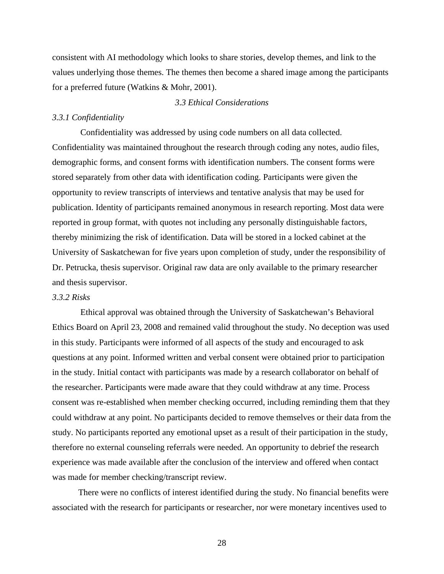consistent with AI methodology which looks to share stories, develop themes, and link to the values underlying those themes. The themes then become a shared image among the participants for a preferred future (Watkins & Mohr, 2001).

#### *3.3 Ethical Considerations*

## *3.3.1 Confidentiality*

Confidentiality was addressed by using code numbers on all data collected. Confidentiality was maintained throughout the research through coding any notes, audio files, demographic forms, and consent forms with identification numbers. The consent forms were stored separately from other data with identification coding. Participants were given the opportunity to review transcripts of interviews and tentative analysis that may be used for publication. Identity of participants remained anonymous in research reporting. Most data were reported in group format, with quotes not including any personally distinguishable factors, thereby minimizing the risk of identification. Data will be stored in a locked cabinet at the University of Saskatchewan for five years upon completion of study, under the responsibility of Dr. Petrucka, thesis supervisor. Original raw data are only available to the primary researcher and thesis supervisor.

## *3.3.2 Risks*

Ethical approval was obtained through the University of Saskatchewan's Behavioral Ethics Board on April 23, 2008 and remained valid throughout the study. No deception was used in this study. Participants were informed of all aspects of the study and encouraged to ask questions at any point. Informed written and verbal consent were obtained prior to participation in the study. Initial contact with participants was made by a research collaborator on behalf of the researcher. Participants were made aware that they could withdraw at any time. Process consent was re-established when member checking occurred, including reminding them that they could withdraw at any point. No participants decided to remove themselves or their data from the study. No participants reported any emotional upset as a result of their participation in the study, therefore no external counseling referrals were needed. An opportunity to debrief the research experience was made available after the conclusion of the interview and offered when contact was made for member checking/transcript review.

There were no conflicts of interest identified during the study. No financial benefits were associated with the research for participants or researcher, nor were monetary incentives used to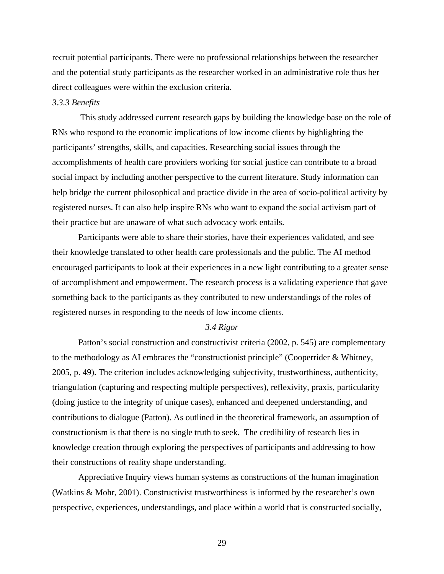recruit potential participants. There were no professional relationships between the researcher and the potential study participants as the researcher worked in an administrative role thus her direct colleagues were within the exclusion criteria.

## *3.3.3 Benefits*

This study addressed current research gaps by building the knowledge base on the role of RNs who respond to the economic implications of low income clients by highlighting the participants' strengths, skills, and capacities. Researching social issues through the accomplishments of health care providers working for social justice can contribute to a broad social impact by including another perspective to the current literature. Study information can help bridge the current philosophical and practice divide in the area of socio-political activity by registered nurses. It can also help inspire RNs who want to expand the social activism part of their practice but are unaware of what such advocacy work entails.

 Participants were able to share their stories, have their experiences validated, and see their knowledge translated to other health care professionals and the public. The AI method encouraged participants to look at their experiences in a new light contributing to a greater sense of accomplishment and empowerment. The research process is a validating experience that gave something back to the participants as they contributed to new understandings of the roles of registered nurses in responding to the needs of low income clients.

## *3.4 Rigor*

 Patton's social construction and constructivist criteria (2002, p. 545) are complementary to the methodology as AI embraces the "constructionist principle" (Cooperrider & Whitney, 2005, p. 49). The criterion includes acknowledging subjectivity, trustworthiness, authenticity, triangulation (capturing and respecting multiple perspectives), reflexivity, praxis, particularity (doing justice to the integrity of unique cases), enhanced and deepened understanding, and contributions to dialogue (Patton). As outlined in the theoretical framework, an assumption of constructionism is that there is no single truth to seek. The credibility of research lies in knowledge creation through exploring the perspectives of participants and addressing to how their constructions of reality shape understanding.

Appreciative Inquiry views human systems as constructions of the human imagination (Watkins & Mohr, 2001). Constructivist trustworthiness is informed by the researcher's own perspective, experiences, understandings, and place within a world that is constructed socially,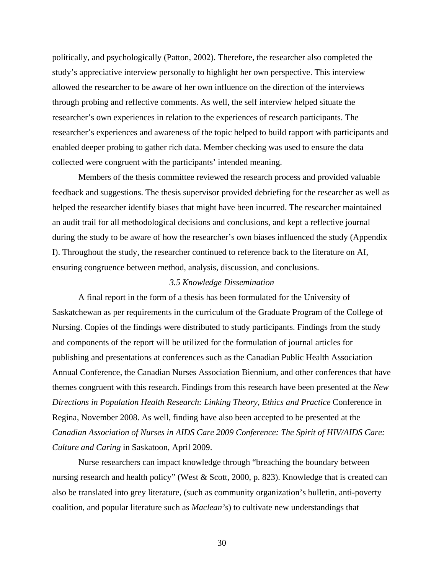politically, and psychologically (Patton, 2002). Therefore, the researcher also completed the study's appreciative interview personally to highlight her own perspective. This interview allowed the researcher to be aware of her own influence on the direction of the interviews through probing and reflective comments. As well, the self interview helped situate the researcher's own experiences in relation to the experiences of research participants. The researcher's experiences and awareness of the topic helped to build rapport with participants and enabled deeper probing to gather rich data. Member checking was used to ensure the data collected were congruent with the participants' intended meaning.

Members of the thesis committee reviewed the research process and provided valuable feedback and suggestions. The thesis supervisor provided debriefing for the researcher as well as helped the researcher identify biases that might have been incurred. The researcher maintained an audit trail for all methodological decisions and conclusions, and kept a reflective journal during the study to be aware of how the researcher's own biases influenced the study (Appendix I). Throughout the study, the researcher continued to reference back to the literature on AI, ensuring congruence between method, analysis, discussion, and conclusions.

## *3.5 Knowledge Dissemination*

 A final report in the form of a thesis has been formulated for the University of Saskatchewan as per requirements in the curriculum of the Graduate Program of the College of Nursing. Copies of the findings were distributed to study participants. Findings from the study and components of the report will be utilized for the formulation of journal articles for publishing and presentations at conferences such as the Canadian Public Health Association Annual Conference, the Canadian Nurses Association Biennium, and other conferences that have themes congruent with this research. Findings from this research have been presented at the *New Directions in Population Health Research: Linking Theory, Ethics and Practice* Conference in Regina, November 2008. As well, finding have also been accepted to be presented at the *Canadian Association of Nurses in AIDS Care 2009 Conference: The Spirit of HIV/AIDS Care: Culture and Caring* in Saskatoon, April 2009.

 Nurse researchers can impact knowledge through "breaching the boundary between nursing research and health policy" (West & Scott, 2000, p. 823). Knowledge that is created can also be translated into grey literature, (such as community organization's bulletin, anti-poverty coalition, and popular literature such as *Maclean's*) to cultivate new understandings that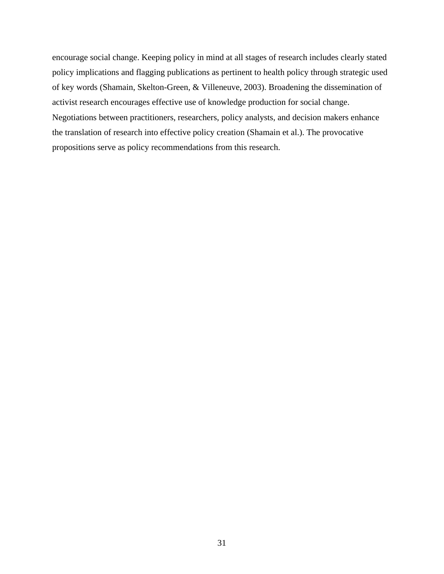encourage social change. Keeping policy in mind at all stages of research includes clearly stated policy implications and flagging publications as pertinent to health policy through strategic used of key words (Shamain, Skelton-Green, & Villeneuve, 2003). Broadening the dissemination of activist research encourages effective use of knowledge production for social change. Negotiations between practitioners, researchers, policy analysts, and decision makers enhance the translation of research into effective policy creation (Shamain et al.). The provocative propositions serve as policy recommendations from this research.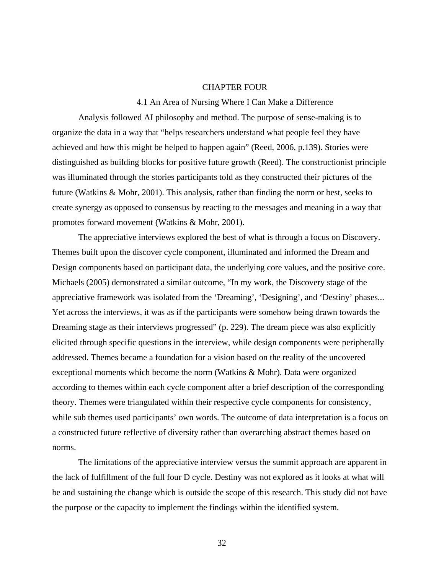## CHAPTER FOUR

#### 4.1 An Area of Nursing Where I Can Make a Difference

Analysis followed AI philosophy and method. The purpose of sense-making is to organize the data in a way that "helps researchers understand what people feel they have achieved and how this might be helped to happen again" (Reed, 2006, p.139). Stories were distinguished as building blocks for positive future growth (Reed). The constructionist principle was illuminated through the stories participants told as they constructed their pictures of the future (Watkins & Mohr, 2001). This analysis, rather than finding the norm or best, seeks to create synergy as opposed to consensus by reacting to the messages and meaning in a way that promotes forward movement (Watkins & Mohr, 2001).

The appreciative interviews explored the best of what is through a focus on Discovery. Themes built upon the discover cycle component, illuminated and informed the Dream and Design components based on participant data, the underlying core values, and the positive core. Michaels (2005) demonstrated a similar outcome, "In my work, the Discovery stage of the appreciative framework was isolated from the 'Dreaming', 'Designing', and 'Destiny' phases... Yet across the interviews, it was as if the participants were somehow being drawn towards the Dreaming stage as their interviews progressed" (p. 229). The dream piece was also explicitly elicited through specific questions in the interview, while design components were peripherally addressed. Themes became a foundation for a vision based on the reality of the uncovered exceptional moments which become the norm (Watkins & Mohr). Data were organized according to themes within each cycle component after a brief description of the corresponding theory. Themes were triangulated within their respective cycle components for consistency, while sub themes used participants' own words. The outcome of data interpretation is a focus on a constructed future reflective of diversity rather than overarching abstract themes based on norms.

The limitations of the appreciative interview versus the summit approach are apparent in the lack of fulfillment of the full four D cycle. Destiny was not explored as it looks at what will be and sustaining the change which is outside the scope of this research. This study did not have the purpose or the capacity to implement the findings within the identified system.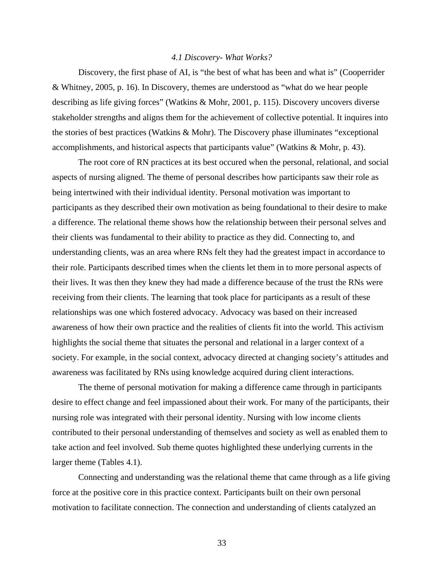## *4.1 Discovery- What Works?*

Discovery, the first phase of AI, is "the best of what has been and what is" (Cooperrider & Whitney, 2005, p. 16). In Discovery, themes are understood as "what do we hear people describing as life giving forces" (Watkins & Mohr, 2001, p. 115). Discovery uncovers diverse stakeholder strengths and aligns them for the achievement of collective potential. It inquires into the stories of best practices (Watkins & Mohr). The Discovery phase illuminates "exceptional accomplishments, and historical aspects that participants value" (Watkins & Mohr, p. 43).

The root core of RN practices at its best occured when the personal, relational, and social aspects of nursing aligned. The theme of personal describes how participants saw their role as being intertwined with their individual identity. Personal motivation was important to participants as they described their own motivation as being foundational to their desire to make a difference. The relational theme shows how the relationship between their personal selves and their clients was fundamental to their ability to practice as they did. Connecting to, and understanding clients, was an area where RNs felt they had the greatest impact in accordance to their role. Participants described times when the clients let them in to more personal aspects of their lives. It was then they knew they had made a difference because of the trust the RNs were receiving from their clients. The learning that took place for participants as a result of these relationships was one which fostered advocacy. Advocacy was based on their increased awareness of how their own practice and the realities of clients fit into the world. This activism highlights the social theme that situates the personal and relational in a larger context of a society. For example, in the social context, advocacy directed at changing society's attitudes and awareness was facilitated by RNs using knowledge acquired during client interactions.

The theme of personal motivation for making a difference came through in participants desire to effect change and feel impassioned about their work. For many of the participants, their nursing role was integrated with their personal identity. Nursing with low income clients contributed to their personal understanding of themselves and society as well as enabled them to take action and feel involved. Sub theme quotes highlighted these underlying currents in the larger theme (Tables 4.1).

 Connecting and understanding was the relational theme that came through as a life giving force at the positive core in this practice context. Participants built on their own personal motivation to facilitate connection. The connection and understanding of clients catalyzed an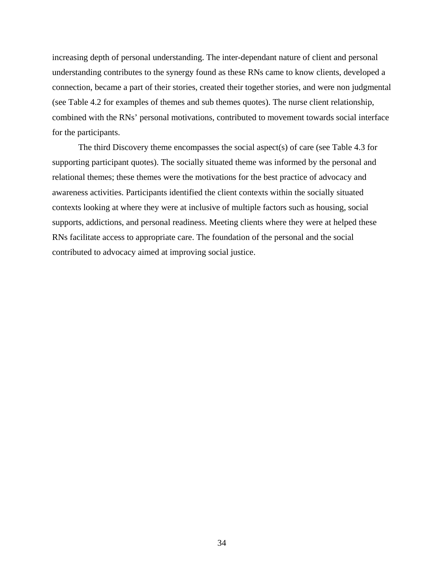increasing depth of personal understanding. The inter-dependant nature of client and personal understanding contributes to the synergy found as these RNs came to know clients, developed a connection, became a part of their stories, created their together stories, and were non judgmental (see Table 4.2 for examples of themes and sub themes quotes). The nurse client relationship, combined with the RNs' personal motivations, contributed to movement towards social interface for the participants.

 The third Discovery theme encompasses the social aspect(s) of care (see Table 4.3 for supporting participant quotes). The socially situated theme was informed by the personal and relational themes; these themes were the motivations for the best practice of advocacy and awareness activities. Participants identified the client contexts within the socially situated contexts looking at where they were at inclusive of multiple factors such as housing, social supports, addictions, and personal readiness. Meeting clients where they were at helped these RNs facilitate access to appropriate care. The foundation of the personal and the social contributed to advocacy aimed at improving social justice.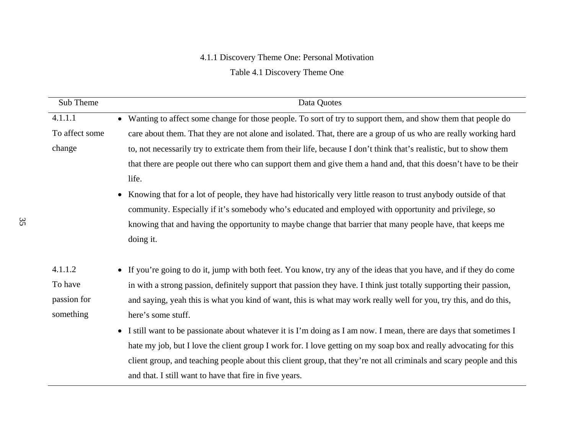# 4.1.1 Discovery Theme One: Personal Motivation

## Table 4.1 Discovery Theme One

| Sub Theme      | Data Quotes                                                                                                         |
|----------------|---------------------------------------------------------------------------------------------------------------------|
| 4.1.1.1        | • Wanting to affect some change for those people. To sort of try to support them, and show them that people do      |
| To affect some | care about them. That they are not alone and isolated. That, there are a group of us who are really working hard    |
| change         | to, not necessarily try to extricate them from their life, because I don't think that's realistic, but to show them |
|                | that there are people out there who can support them and give them a hand and, that this doesn't have to be their   |
|                | life.                                                                                                               |
|                | • Knowing that for a lot of people, they have had historically very little reason to trust anybody outside of that  |
|                | community. Especially if it's somebody who's educated and employed with opportunity and privilege, so               |
|                | knowing that and having the opportunity to maybe change that barrier that many people have, that keeps me           |
|                | doing it.                                                                                                           |
|                |                                                                                                                     |
| 4.1.1.2        | • If you're going to do it, jump with both feet. You know, try any of the ideas that you have, and if they do come  |
| To have        | in with a strong passion, definitely support that passion they have. I think just totally supporting their passion, |
| passion for    | and saying, yeah this is what you kind of want, this is what may work really well for you, try this, and do this,   |
| something      | here's some stuff.                                                                                                  |
|                | • I still want to be passionate about whatever it is I'm doing as I am now. I mean, there are days that sometimes I |
|                | hate my job, but I love the client group I work for. I love getting on my soap box and really advocating for this   |
|                | client group, and teaching people about this client group, that they're not all criminals and scary people and this |
|                | and that. I still want to have that fire in five years.                                                             |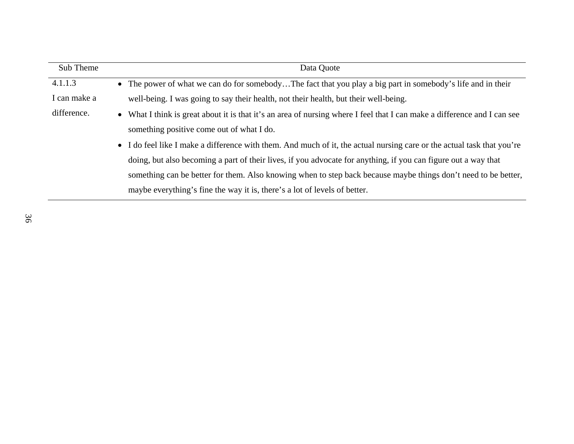| Sub Theme    | Data Quote                                                                                                               |
|--------------|--------------------------------------------------------------------------------------------------------------------------|
| 4.1.1.3      | • The power of what we can do for somebodyThe fact that you play a big part in somebody's life and in their              |
| I can make a | well-being. I was going to say their health, not their health, but their well-being.                                     |
| difference.  | • What I think is great about it is that it's an area of nursing where I feel that I can make a difference and I can see |
|              | something positive come out of what I do.                                                                                |
|              | • I do feel like I make a difference with them. And much of it, the actual nursing care or the actual task that you're   |
|              | doing, but also becoming a part of their lives, if you advocate for anything, if you can figure out a way that           |
|              | something can be better for them. Also knowing when to step back because maybe things don't need to be better,           |
|              | maybe everything's fine the way it is, there's a lot of levels of better.                                                |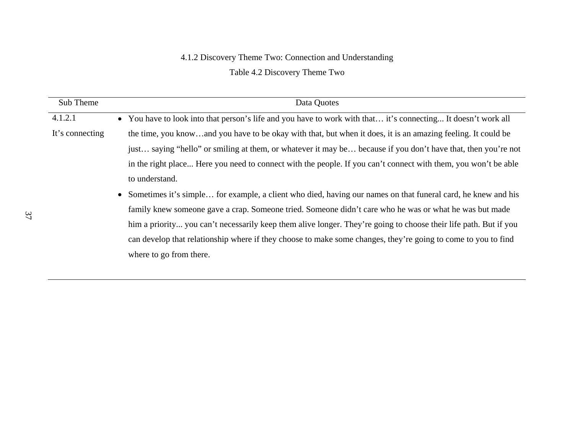### 4.1.2 Discovery Theme Two: Connection and Understanding

## Table 4.2 Discovery Theme Two

| Sub Theme       | Data Quotes                                                                                                      |
|-----------------|------------------------------------------------------------------------------------------------------------------|
| 4.1.2.1         | • You have to look into that person's life and you have to work with that it's connecting It doesn't work all    |
| It's connecting | the time, you knowand you have to be okay with that, but when it does, it is an amazing feeling. It could be     |
|                 | just saying "hello" or smiling at them, or whatever it may be because if you don't have that, then you're not    |
|                 | in the right place Here you need to connect with the people. If you can't connect with them, you won't be able   |
|                 | to understand.                                                                                                   |
|                 | • Sometimes it's simple for example, a client who died, having our names on that funeral card, he knew and his   |
|                 | family knew someone gave a crap. Someone tried. Someone didn't care who he was or what he was but made           |
|                 | him a priority you can't necessarily keep them alive longer. They're going to choose their life path. But if you |
|                 | can develop that relationship where if they choose to make some changes, they're going to come to you to find    |
|                 | where to go from there.                                                                                          |
|                 |                                                                                                                  |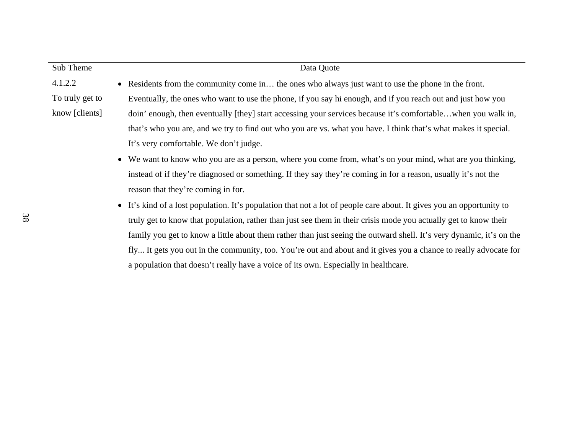| • Residents from the community come in the ones who always just want to use the phone in the front.                              |
|----------------------------------------------------------------------------------------------------------------------------------|
| Eventually, the ones who want to use the phone, if you say hi enough, and if you reach out and just how you                      |
| doin' enough, then eventually [they] start accessing your services because it's comfortablewhen you walk in,                     |
| that's who you are, and we try to find out who you are vs. what you have. I think that's what makes it special.                  |
| It's very comfortable. We don't judge.                                                                                           |
| We want to know who you are as a person, where you come from, what's on your mind, what are you thinking,                        |
| instead of if they're diagnosed or something. If they say they're coming in for a reason, usually it's not the                   |
| reason that they're coming in for.                                                                                               |
| It's kind of a lost population. It's population that not a lot of people care about. It gives you an opportunity to<br>$\bullet$ |
| truly get to know that population, rather than just see them in their crisis mode you actually get to know their                 |
| family you get to know a little about them rather than just seeing the outward shell. It's very dynamic, it's on the             |
| fly It gets you out in the community, too. You're out and about and it gives you a chance to really advocate for                 |
| a population that doesn't really have a voice of its own. Especially in healthcare.                                              |
|                                                                                                                                  |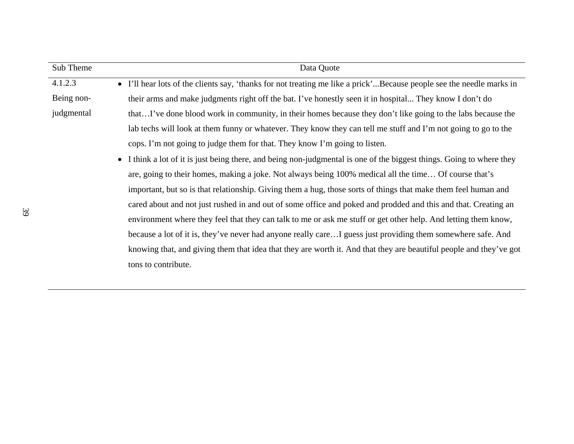| Sub Theme  | Data Quote                                                                                                                       |
|------------|----------------------------------------------------------------------------------------------------------------------------------|
| 4.1.2.3    | I'll hear lots of the clients say, 'thanks for not treating me like a prick'Because people see the needle marks in<br>$\bullet$  |
| Being non- | their arms and make judgments right off the bat. I've honestly seen it in hospital They know I don't do                          |
| judgmental | thatI've done blood work in community, in their homes because they don't like going to the labs because the                      |
|            | lab techs will look at them funny or whatever. They know they can tell me stuff and I'm not going to go to the                   |
|            | cops. I'm not going to judge them for that. They know I'm going to listen.                                                       |
|            | I think a lot of it is just being there, and being non-judgmental is one of the biggest things. Going to where they<br>$\bullet$ |
|            | are, going to their homes, making a joke. Not always being 100% medical all the time Of course that's                            |
|            | important, but so is that relationship. Giving them a hug, those sorts of things that make them feel human and                   |
|            | cared about and not just rushed in and out of some office and poked and prodded and this and that. Creating an                   |
|            | environment where they feel that they can talk to me or ask me stuff or get other help. And letting them know,                   |
|            | because a lot of it is, they've never had anyone really careI guess just providing them somewhere safe. And                      |
|            | knowing that, and giving them that idea that they are worth it. And that they are beautiful people and they've got               |
|            | tons to contribute.                                                                                                              |
|            |                                                                                                                                  |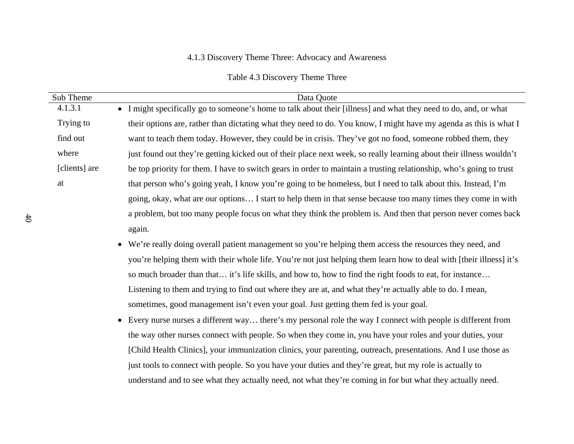## 4.1.3 Discovery Theme Three: Advocacy and Awareness

Table 4.3 Discovery Theme Three

| Sub Theme     | Data Quote                                                                                                          |
|---------------|---------------------------------------------------------------------------------------------------------------------|
| 4.1.3.1       | • I might specifically go to someone's home to talk about their [illness] and what they need to do, and, or what    |
| Trying to     | their options are, rather than dictating what they need to do. You know, I might have my agenda as this is what I   |
| find out      | want to teach them today. However, they could be in crisis. They've got no food, someone robbed them, they          |
| where         | just found out they're getting kicked out of their place next week, so really learning about their illness wouldn't |
| [clients] are | be top priority for them. I have to switch gears in order to maintain a trusting relationship, who's going to trust |
| at            | that person who's going yeah, I know you're going to be homeless, but I need to talk about this. Instead, I'm       |
|               | going, okay, what are our options I start to help them in that sense because too many times they come in with       |
|               | a problem, but too many people focus on what they think the problem is. And then that person never comes back       |
|               | again.                                                                                                              |
|               | • We're really doing overall patient management so you're helping them access the resources they need, and          |
|               | you're helping them with their whole life. You're not just helping them learn how to deal with [their illness] it's |
|               | so much broader than that it's life skills, and how to, how to find the right foods to eat, for instance            |
|               | Listening to them and trying to find out where they are at, and what they're actually able to do. I mean,           |
|               | sometimes, good management isn't even your goal. Just getting them fed is your goal.                                |
|               | • Every nurse nurses a different way there's my personal role the way I connect with people is different from       |
|               | the way other nurses connect with people. So when they come in, you have your roles and your duties, your           |
|               | [Child Health Clinics], your immunization clinics, your parenting, outreach, presentations. And I use those as      |
|               | just tools to connect with people. So you have your duties and they're great, but my role is actually to            |
|               | understand and to see what they actually need, not what they're coming in for but what they actually need.          |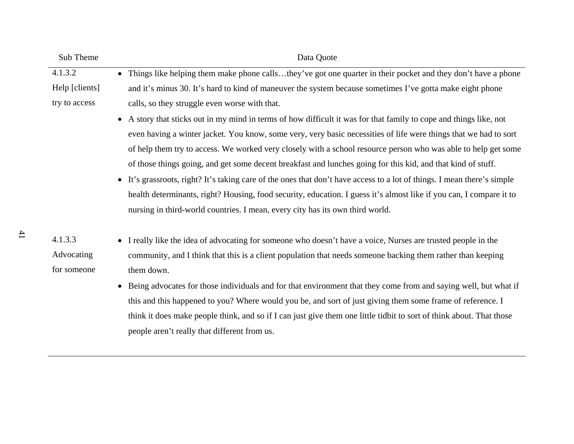| Sub Theme      | Data Quote                                                                                                              |
|----------------|-------------------------------------------------------------------------------------------------------------------------|
| 4.1.3.2        | • Things like helping them make phone callsthey've got one quarter in their pocket and they don't have a phone          |
| Help [clients] | and it's minus 30. It's hard to kind of maneuver the system because sometimes I've gotta make eight phone               |
| try to access  | calls, so they struggle even worse with that.                                                                           |
|                | • A story that sticks out in my mind in terms of how difficult it was for that family to cope and things like, not      |
|                | even having a winter jacket. You know, some very, very basic necessities of life were things that we had to sort        |
|                | of help them try to access. We worked very closely with a school resource person who was able to help get some          |
|                | of those things going, and get some decent breakfast and lunches going for this kid, and that kind of stuff.            |
|                | • It's grassroots, right? It's taking care of the ones that don't have access to a lot of things. I mean there's simple |
|                | health determinants, right? Housing, food security, education. I guess it's almost like if you can, I compare it to     |
|                | nursing in third-world countries. I mean, every city has its own third world.                                           |
| 4.1.3.3        | • I really like the idea of advocating for someone who doesn't have a voice, Nurses are trusted people in the           |
| Advocating     | community, and I think that this is a client population that needs someone backing them rather than keeping             |
| for someone    | them down.                                                                                                              |
|                | • Being advocates for those individuals and for that environment that they come from and saying well, but what if       |
|                | this and this happened to you? Where would you be, and sort of just giving them some frame of reference. I              |
|                | think it does make people think, and so if I can just give them one little tidbit to sort of think about. That those    |
|                | people aren't really that different from us.                                                                            |
|                |                                                                                                                         |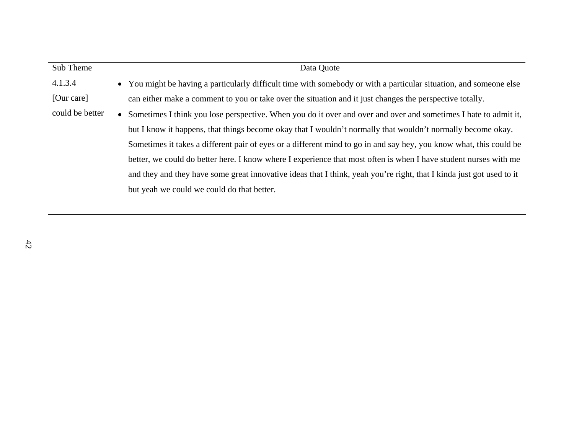| Sub Theme       | Data Quote                                                                                                            |
|-----------------|-----------------------------------------------------------------------------------------------------------------------|
| 4.1.3.4         | • You might be having a particularly difficult time with somebody or with a particular situation, and someone else    |
| [Our care]      | can either make a comment to you or take over the situation and it just changes the perspective totally.              |
| could be better | • Sometimes I think you lose perspective. When you do it over and over and over and sometimes I hate to admit it,     |
|                 | but I know it happens, that things become okay that I wouldn't normally that wouldn't normally become okay.           |
|                 | Sometimes it takes a different pair of eyes or a different mind to go in and say hey, you know what, this could be    |
|                 | better, we could do better here. I know where I experience that most often is when I have student nurses with me      |
|                 | and they and they have some great innovative ideas that I think, yeah you're right, that I kind a just got used to it |
|                 | but yeah we could we could do that better.                                                                            |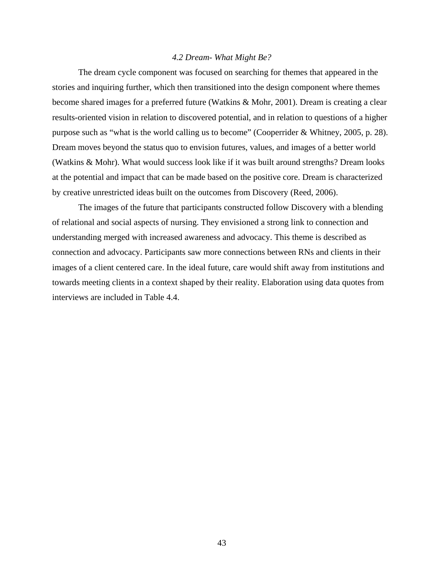## *4.2 Dream- What Might Be?*

The dream cycle component was focused on searching for themes that appeared in the stories and inquiring further, which then transitioned into the design component where themes become shared images for a preferred future (Watkins & Mohr, 2001). Dream is creating a clear results-oriented vision in relation to discovered potential, and in relation to questions of a higher purpose such as "what is the world calling us to become" (Cooperrider & Whitney, 2005, p. 28). Dream moves beyond the status quo to envision futures, values, and images of a better world (Watkins & Mohr). What would success look like if it was built around strengths? Dream looks at the potential and impact that can be made based on the positive core. Dream is characterized by creative unrestricted ideas built on the outcomes from Discovery (Reed, 2006).

The images of the future that participants constructed follow Discovery with a blending of relational and social aspects of nursing. They envisioned a strong link to connection and understanding merged with increased awareness and advocacy. This theme is described as connection and advocacy. Participants saw more connections between RNs and clients in their images of a client centered care. In the ideal future, care would shift away from institutions and towards meeting clients in a context shaped by their reality. Elaboration using data quotes from interviews are included in Table 4.4.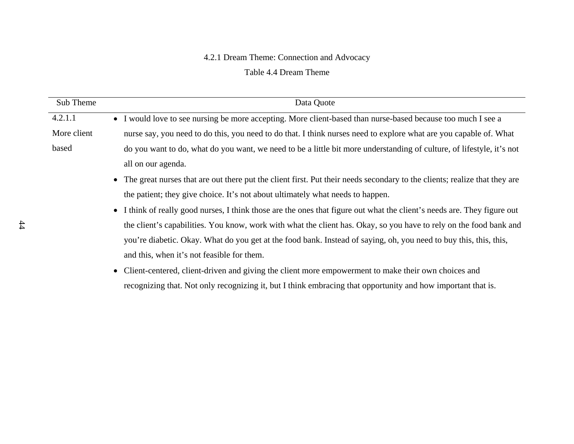## 4.2.1 Dream Theme: Connection and Advocacy

Table 4.4 Dream Theme

| Sub Theme   | Data Quote                                                                                                                  |
|-------------|-----------------------------------------------------------------------------------------------------------------------------|
| 4.2.1.1     | • I would love to see nursing be more accepting. More client-based than nurse-based because too much I see a                |
| More client | nurse say, you need to do this, you need to do that. I think nurses need to explore what are you capable of. What           |
| based       | do you want to do, what do you want, we need to be a little bit more understanding of culture, of lifestyle, it's not       |
|             | all on our agenda.                                                                                                          |
|             | • The great nurses that are out there put the client first. Put their needs secondary to the clients; realize that they are |
|             | the patient; they give choice. It's not about ultimately what needs to happen.                                              |
|             | • I think of really good nurses, I think those are the ones that figure out what the client's needs are. They figure out    |
|             | the client's capabilities. You know, work with what the client has. Okay, so you have to rely on the food bank and          |
|             | you're diabetic. Okay. What do you get at the food bank. Instead of saying, oh, you need to buy this, this, this,           |
|             | and this, when it's not feasible for them.                                                                                  |
|             | • Client-centered, client-driven and giving the client more empowerment to make their own choices and                       |
|             | recognizing that. Not only recognizing it, but I think embracing that opportunity and how important that is.                |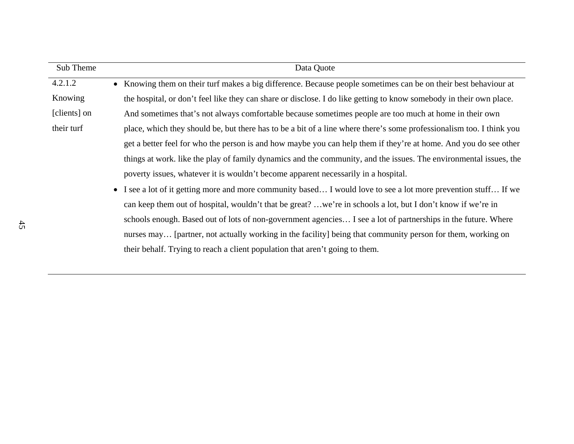| Sub Theme    | Data Quote                                                                                                           |
|--------------|----------------------------------------------------------------------------------------------------------------------|
| 4.2.1.2      | • Knowing them on their turf makes a big difference. Because people sometimes can be on their best behaviour at      |
| Knowing      | the hospital, or don't feel like they can share or disclose. I do like getting to know somebody in their own place.  |
| [clients] on | And sometimes that's not always comfortable because sometimes people are too much at home in their own               |
| their turf   | place, which they should be, but there has to be a bit of a line where there's some professionalism too. I think you |
|              | get a better feel for who the person is and how maybe you can help them if they're at home. And you do see other     |
|              | things at work. like the play of family dynamics and the community, and the issues. The environmental issues, the    |
|              | poverty issues, whatever it is wouldn't become apparent necessarily in a hospital.                                   |
|              | • I see a lot of it getting more and more community based I would love to see a lot more prevention stuff If we      |
|              | can keep them out of hospital, wouldn't that be great? we're in schools a lot, but I don't know if we're in          |
|              | schools enough. Based out of lots of non-government agencies I see a lot of partnerships in the future. Where        |
|              | nurses may [partner, not actually working in the facility] being that community person for them, working on          |
|              | their behalf. Trying to reach a client population that aren't going to them.                                         |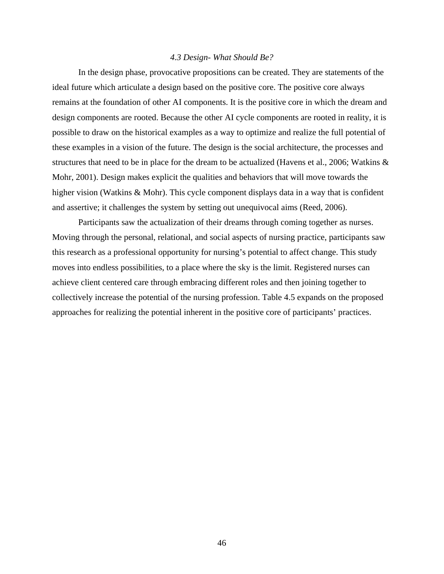## *4.3 Design- What Should Be?*

 In the design phase, provocative propositions can be created. They are statements of the ideal future which articulate a design based on the positive core. The positive core always remains at the foundation of other AI components. It is the positive core in which the dream and design components are rooted. Because the other AI cycle components are rooted in reality, it is possible to draw on the historical examples as a way to optimize and realize the full potential of these examples in a vision of the future. The design is the social architecture, the processes and structures that need to be in place for the dream to be actualized (Havens et al., 2006; Watkins & Mohr, 2001). Design makes explicit the qualities and behaviors that will move towards the higher vision (Watkins & Mohr). This cycle component displays data in a way that is confident and assertive; it challenges the system by setting out unequivocal aims (Reed, 2006).

Participants saw the actualization of their dreams through coming together as nurses. Moving through the personal, relational, and social aspects of nursing practice, participants saw this research as a professional opportunity for nursing's potential to affect change. This study moves into endless possibilities, to a place where the sky is the limit. Registered nurses can achieve client centered care through embracing different roles and then joining together to collectively increase the potential of the nursing profession. Table 4.5 expands on the proposed approaches for realizing the potential inherent in the positive core of participants' practices.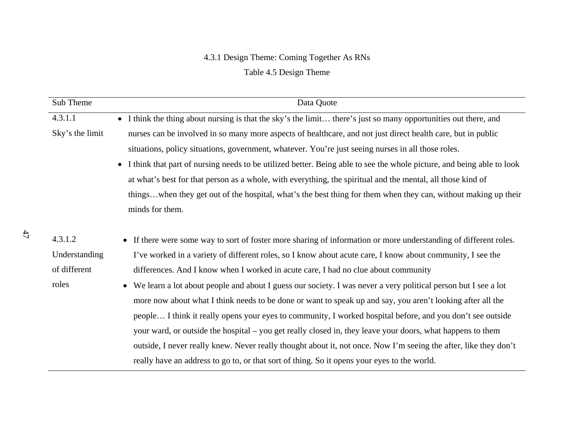# 4.3.1 Design Theme: Coming Together As RNs

Table 4.5 Design Theme

| Sub Theme       | Data Quote                                                                                                                         |
|-----------------|------------------------------------------------------------------------------------------------------------------------------------|
| 4.3.1.1         | I think the thing about nursing is that the sky's the limit there's just so many opportunities out there, and<br>$\bullet$         |
| Sky's the limit | nurses can be involved in so many more aspects of healthcare, and not just direct health care, but in public                       |
|                 | situations, policy situations, government, whatever. You're just seeing nurses in all those roles.                                 |
|                 | I think that part of nursing needs to be utilized better. Being able to see the whole picture, and being able to look<br>$\bullet$ |
|                 | at what's best for that person as a whole, with everything, the spiritual and the mental, all those kind of                        |
|                 | thingswhen they get out of the hospital, what's the best thing for them when they can, without making up their                     |
|                 | minds for them.                                                                                                                    |
|                 |                                                                                                                                    |
| 4.3.1.2         | • If there were some way to sort of foster more sharing of information or more understanding of different roles.                   |
| Understanding   | I've worked in a variety of different roles, so I know about acute care, I know about community, I see the                         |
| of different    | differences. And I know when I worked in acute care, I had no clue about community                                                 |
| roles           | We learn a lot about people and about I guess our society. I was never a very political person but I see a lot                     |
|                 | more now about what I think needs to be done or want to speak up and say, you aren't looking after all the                         |
|                 | people I think it really opens your eyes to community, I worked hospital before, and you don't see outside                         |
|                 | your ward, or outside the hospital – you get really closed in, they leave your doors, what happens to them                         |
|                 | outside, I never really knew. Never really thought about it, not once. Now I'm seeing the after, like they don't                   |
|                 | really have an address to go to, or that sort of thing. So it opens your eyes to the world.                                        |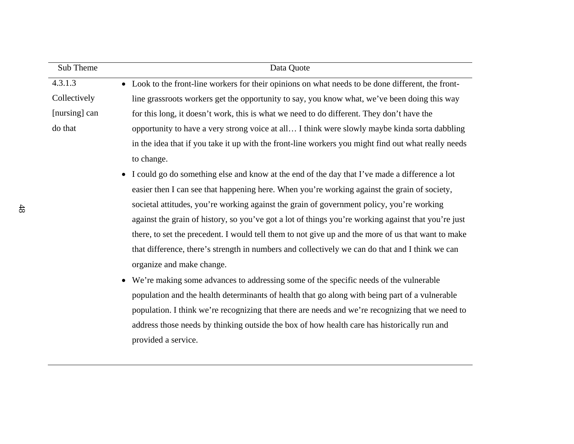| Sub Theme     | Data Quote                                                                                                    |
|---------------|---------------------------------------------------------------------------------------------------------------|
| 4.3.1.3       | Look to the front-line workers for their opinions on what needs to be done different, the front-<br>$\bullet$ |
| Collectively  | line grassroots workers get the opportunity to say, you know what, we've been doing this way                  |
| [nursing] can | for this long, it doesn't work, this is what we need to do different. They don't have the                     |
| do that       | opportunity to have a very strong voice at all I think were slowly maybe kinda sorta dabbling                 |
|               | in the idea that if you take it up with the front-line workers you might find out what really needs           |
|               | to change.                                                                                                    |
|               | I could go do something else and know at the end of the day that I've made a difference a lot<br>$\bullet$    |
|               | easier then I can see that happening here. When you're working against the grain of society,                  |
|               | societal attitudes, you're working against the grain of government policy, you're working                     |
|               | against the grain of history, so you've got a lot of things you're working against that you're just           |
|               | there, to set the precedent. I would tell them to not give up and the more of us that want to make            |
|               | that difference, there's strength in numbers and collectively we can do that and I think we can               |
|               | organize and make change.                                                                                     |
|               | We're making some advances to addressing some of the specific needs of the vulnerable<br>$\bullet$            |
|               | population and the health determinants of health that go along with being part of a vulnerable                |
|               | population. I think we're recognizing that there are needs and we're recognizing that we need to              |
|               | address those needs by thinking outside the box of how health care has historically run and                   |
|               | provided a service.                                                                                           |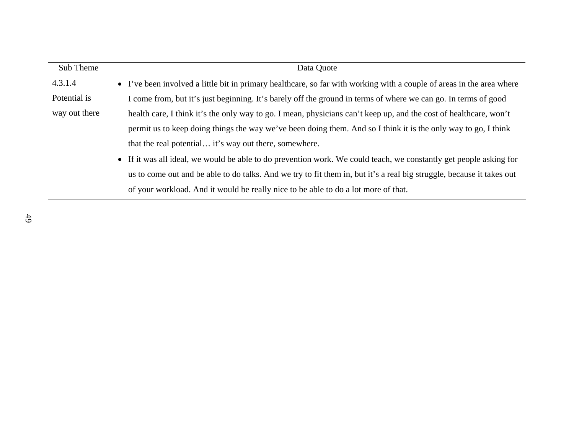| Sub Theme     | Data Quote                                                                                                            |
|---------------|-----------------------------------------------------------------------------------------------------------------------|
| 4.3.1.4       | • I've been involved a little bit in primary healthcare, so far with working with a couple of areas in the area where |
| Potential is  | I come from, but it's just beginning. It's barely off the ground in terms of where we can go. In terms of good        |
| way out there | health care, I think it's the only way to go. I mean, physicians can't keep up, and the cost of healthcare, won't     |
|               | permit us to keep doing things the way we've been doing them. And so I think it is the only way to go, I think        |
|               | that the real potential it's way out there, somewhere.                                                                |
|               | • If it was all ideal, we would be able to do prevention work. We could teach, we constantly get people asking for    |
|               | us to come out and be able to do talks. And we try to fit them in, but it's a real big struggle, because it takes out |
|               | of your workload. And it would be really nice to be able to do a lot more of that.                                    |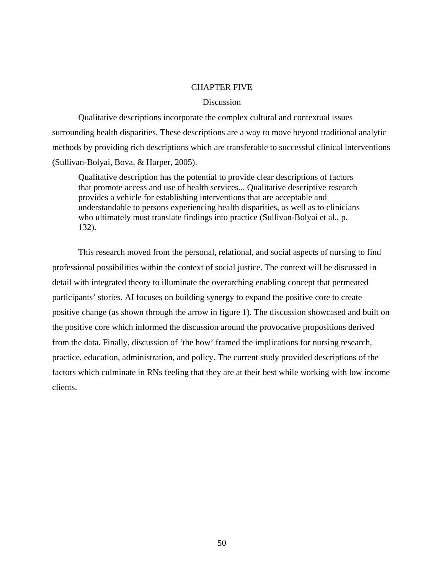## CHAPTER FIVE

## Discussion

 Qualitative descriptions incorporate the complex cultural and contextual issues surrounding health disparities. These descriptions are a way to move beyond traditional analytic methods by providing rich descriptions which are transferable to successful clinical interventions (Sullivan-Bolyai, Bova, & Harper, 2005).

Qualitative description has the potential to provide clear descriptions of factors that promote access and use of health services... Qualitative descriptive research provides a vehicle for establishing interventions that are acceptable and understandable to persons experiencing health disparities, as well as to clinicians who ultimately must translate findings into practice (Sullivan-Bolyai et al., p. 132).

This research moved from the personal, relational, and social aspects of nursing to find professional possibilities within the context of social justice. The context will be discussed in detail with integrated theory to illuminate the overarching enabling concept that permeated participants' stories. AI focuses on building synergy to expand the positive core to create positive change (as shown through the arrow in figure 1). The discussion showcased and built on the positive core which informed the discussion around the provocative propositions derived from the data. Finally, discussion of 'the how' framed the implications for nursing research, practice, education, administration, and policy. The current study provided descriptions of the factors which culminate in RNs feeling that they are at their best while working with low income clients.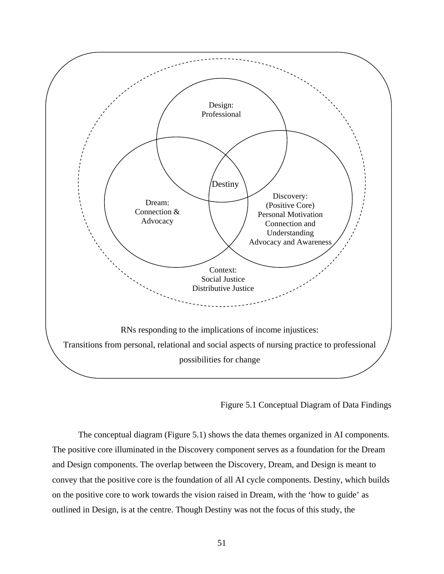

Figure 5.1 Conceptual Diagram of Data Findings

 The conceptual diagram (Figure 5.1) shows the data themes organized in AI components. The positive core illuminated in the Discovery component serves as a foundation for the Dream and Design components. The overlap between the Discovery, Dream, and Design is meant to convey that the positive core is the foundation of all AI cycle components. Destiny, which builds on the positive core to work towards the vision raised in Dream, with the 'how to guide' as outlined in Design, is at the centre. Though Destiny was not the focus of this study, the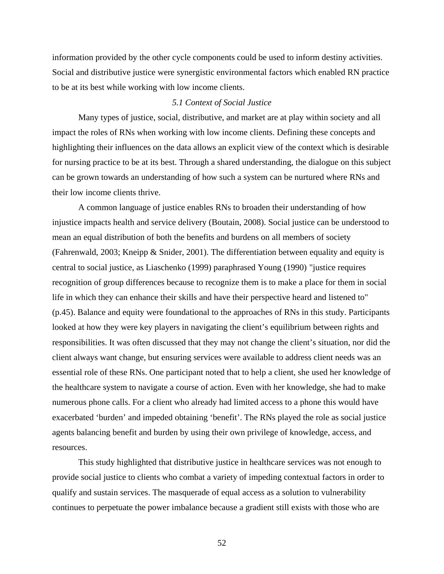information provided by the other cycle components could be used to inform destiny activities. Social and distributive justice were synergistic environmental factors which enabled RN practice to be at its best while working with low income clients.

### *5.1 Context of Social Justice*

 Many types of justice, social, distributive, and market are at play within society and all impact the roles of RNs when working with low income clients. Defining these concepts and highlighting their influences on the data allows an explicit view of the context which is desirable for nursing practice to be at its best. Through a shared understanding, the dialogue on this subject can be grown towards an understanding of how such a system can be nurtured where RNs and their low income clients thrive.

 A common language of justice enables RNs to broaden their understanding of how injustice impacts health and service delivery (Boutain, 2008). Social justice can be understood to mean an equal distribution of both the benefits and burdens on all members of society (Fahrenwald, 2003; Kneipp & Snider, 2001). The differentiation between equality and equity is central to social justice, as Liaschenko (1999) paraphrased Young (1990) "justice requires recognition of group differences because to recognize them is to make a place for them in social life in which they can enhance their skills and have their perspective heard and listened to" (p.45). Balance and equity were foundational to the approaches of RNs in this study. Participants looked at how they were key players in navigating the client's equilibrium between rights and responsibilities. It was often discussed that they may not change the client's situation, nor did the client always want change, but ensuring services were available to address client needs was an essential role of these RNs. One participant noted that to help a client, she used her knowledge of the healthcare system to navigate a course of action. Even with her knowledge, she had to make numerous phone calls. For a client who already had limited access to a phone this would have exacerbated 'burden' and impeded obtaining 'benefit'. The RNs played the role as social justice agents balancing benefit and burden by using their own privilege of knowledge, access, and resources.

 This study highlighted that distributive justice in healthcare services was not enough to provide social justice to clients who combat a variety of impeding contextual factors in order to qualify and sustain services. The masquerade of equal access as a solution to vulnerability continues to perpetuate the power imbalance because a gradient still exists with those who are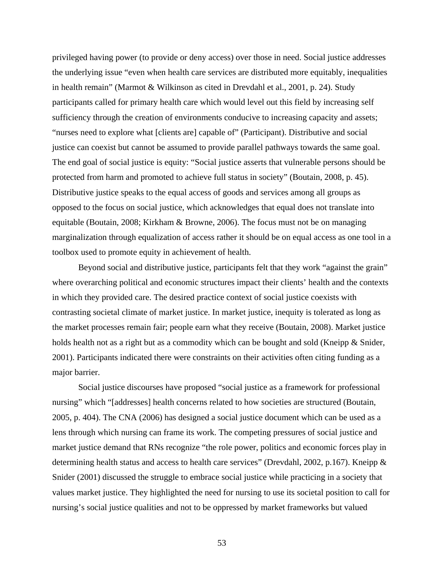privileged having power (to provide or deny access) over those in need. Social justice addresses the underlying issue "even when health care services are distributed more equitably, inequalities in health remain" (Marmot & Wilkinson as cited in Drevdahl et al., 2001, p. 24). Study participants called for primary health care which would level out this field by increasing self sufficiency through the creation of environments conducive to increasing capacity and assets; "nurses need to explore what [clients are] capable of" (Participant). Distributive and social justice can coexist but cannot be assumed to provide parallel pathways towards the same goal. The end goal of social justice is equity: "Social justice asserts that vulnerable persons should be protected from harm and promoted to achieve full status in society" (Boutain, 2008, p. 45). Distributive justice speaks to the equal access of goods and services among all groups as opposed to the focus on social justice, which acknowledges that equal does not translate into equitable (Boutain, 2008; Kirkham & Browne, 2006). The focus must not be on managing marginalization through equalization of access rather it should be on equal access as one tool in a toolbox used to promote equity in achievement of health.

Beyond social and distributive justice, participants felt that they work "against the grain" where overarching political and economic structures impact their clients' health and the contexts in which they provided care. The desired practice context of social justice coexists with contrasting societal climate of market justice. In market justice, inequity is tolerated as long as the market processes remain fair; people earn what they receive (Boutain, 2008). Market justice holds health not as a right but as a commodity which can be bought and sold (Kneipp & Snider, 2001). Participants indicated there were constraints on their activities often citing funding as a major barrier.

 Social justice discourses have proposed "social justice as a framework for professional nursing" which "[addresses] health concerns related to how societies are structured (Boutain, 2005, p. 404). The CNA (2006) has designed a social justice document which can be used as a lens through which nursing can frame its work. The competing pressures of social justice and market justice demand that RNs recognize "the role power, politics and economic forces play in determining health status and access to health care services" (Drevdahl, 2002, p.167). Kneipp & Snider (2001) discussed the struggle to embrace social justice while practicing in a society that values market justice. They highlighted the need for nursing to use its societal position to call for nursing's social justice qualities and not to be oppressed by market frameworks but valued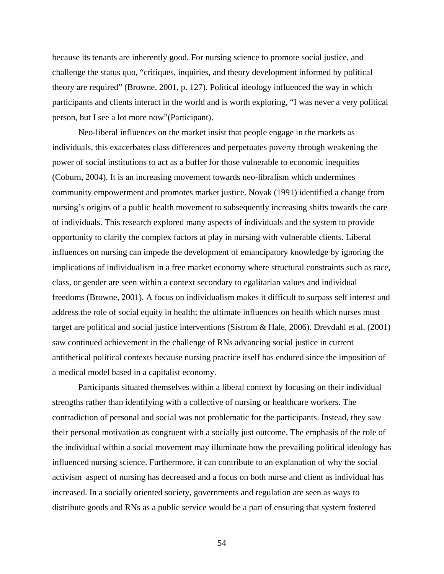because its tenants are inherently good. For nursing science to promote social justice, and challenge the status quo, "critiques, inquiries, and theory development informed by political theory are required" (Browne, 2001, p. 127). Political ideology influenced the way in which participants and clients interact in the world and is worth exploring, "I was never a very political person, but I see a lot more now"(Participant).

 Neo-liberal influences on the market insist that people engage in the markets as individuals, this exacerbates class differences and perpetuates poverty through weakening the power of social institutions to act as a buffer for those vulnerable to economic inequities (Coburn, 2004). It is an increasing movement towards neo-libralism which undermines community empowerment and promotes market justice. Novak (1991) identified a change from nursing's origins of a public health movement to subsequently increasing shifts towards the care of individuals. This research explored many aspects of individuals and the system to provide opportunity to clarify the complex factors at play in nursing with vulnerable clients. Liberal influences on nursing can impede the development of emancipatory knowledge by ignoring the implications of individualism in a free market economy where structural constraints such as race, class, or gender are seen within a context secondary to egalitarian values and individual freedoms (Browne, 2001). A focus on individualism makes it difficult to surpass self interest and address the role of social equity in health; the ultimate influences on health which nurses must target are political and social justice interventions (Sistrom & Hale, 2006). Drevdahl et al. (2001) saw continued achievement in the challenge of RNs advancing social justice in current antithetical political contexts because nursing practice itself has endured since the imposition of a medical model based in a capitalist economy.

Participants situated themselves within a liberal context by focusing on their individual strengths rather than identifying with a collective of nursing or healthcare workers. The contradiction of personal and social was not problematic for the participants. Instead, they saw their personal motivation as congruent with a socially just outcome. The emphasis of the role of the individual within a social movement may illuminate how the prevailing political ideology has influenced nursing science. Furthermore, it can contribute to an explanation of why the social activism aspect of nursing has decreased and a focus on both nurse and client as individual has increased. In a socially oriented society, governments and regulation are seen as ways to distribute goods and RNs as a public service would be a part of ensuring that system fostered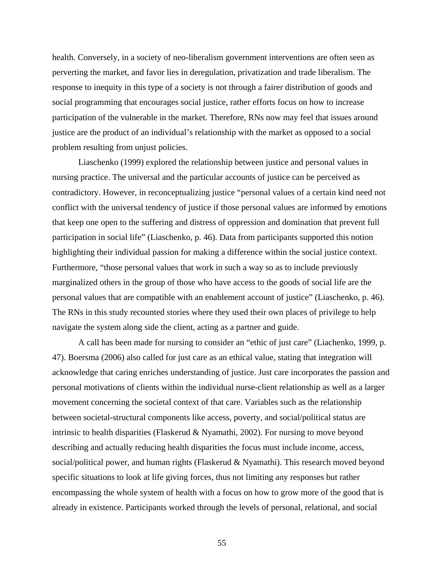health. Conversely, in a society of neo-liberalism government interventions are often seen as perverting the market, and favor lies in deregulation, privatization and trade liberalism. The response to inequity in this type of a society is not through a fairer distribution of goods and social programming that encourages social justice, rather efforts focus on how to increase participation of the vulnerable in the market. Therefore, RNs now may feel that issues around justice are the product of an individual's relationship with the market as opposed to a social problem resulting from unjust policies.

 Liaschenko (1999) explored the relationship between justice and personal values in nursing practice. The universal and the particular accounts of justice can be perceived as contradictory. However, in reconceptualizing justice "personal values of a certain kind need not conflict with the universal tendency of justice if those personal values are informed by emotions that keep one open to the suffering and distress of oppression and domination that prevent full participation in social life" (Liaschenko, p. 46). Data from participants supported this notion highlighting their individual passion for making a difference within the social justice context. Furthermore, "those personal values that work in such a way so as to include previously marginalized others in the group of those who have access to the goods of social life are the personal values that are compatible with an enablement account of justice" (Liaschenko, p. 46). The RNs in this study recounted stories where they used their own places of privilege to help navigate the system along side the client, acting as a partner and guide.

 A call has been made for nursing to consider an "ethic of just care" (Liachenko, 1999, p. 47). Boersma (2006) also called for just care as an ethical value, stating that integration will acknowledge that caring enriches understanding of justice. Just care incorporates the passion and personal motivations of clients within the individual nurse-client relationship as well as a larger movement concerning the societal context of that care. Variables such as the relationship between societal-structural components like access, poverty, and social/political status are intrinsic to health disparities (Flaskerud & Nyamathi, 2002). For nursing to move beyond describing and actually reducing health disparities the focus must include income, access, social/political power, and human rights (Flaskerud & Nyamathi). This research moved beyond specific situations to look at life giving forces, thus not limiting any responses but rather encompassing the whole system of health with a focus on how to grow more of the good that is already in existence. Participants worked through the levels of personal, relational, and social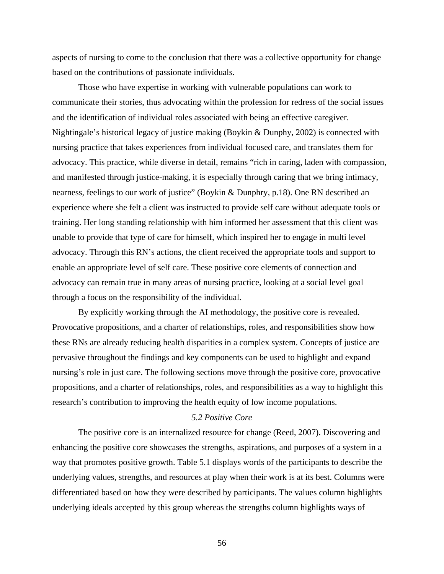aspects of nursing to come to the conclusion that there was a collective opportunity for change based on the contributions of passionate individuals.

 Those who have expertise in working with vulnerable populations can work to communicate their stories, thus advocating within the profession for redress of the social issues and the identification of individual roles associated with being an effective caregiver. Nightingale's historical legacy of justice making (Boykin & Dunphy, 2002) is connected with nursing practice that takes experiences from individual focused care, and translates them for advocacy. This practice, while diverse in detail, remains "rich in caring, laden with compassion, and manifested through justice-making, it is especially through caring that we bring intimacy, nearness, feelings to our work of justice" (Boykin & Dunphry, p.18). One RN described an experience where she felt a client was instructed to provide self care without adequate tools or training. Her long standing relationship with him informed her assessment that this client was unable to provide that type of care for himself, which inspired her to engage in multi level advocacy. Through this RN's actions, the client received the appropriate tools and support to enable an appropriate level of self care. These positive core elements of connection and advocacy can remain true in many areas of nursing practice, looking at a social level goal through a focus on the responsibility of the individual.

 By explicitly working through the AI methodology, the positive core is revealed. Provocative propositions, and a charter of relationships, roles, and responsibilities show how these RNs are already reducing health disparities in a complex system. Concepts of justice are pervasive throughout the findings and key components can be used to highlight and expand nursing's role in just care. The following sections move through the positive core, provocative propositions, and a charter of relationships, roles, and responsibilities as a way to highlight this research's contribution to improving the health equity of low income populations.

## *5.2 Positive Core*

 The positive core is an internalized resource for change (Reed, 2007). Discovering and enhancing the positive core showcases the strengths, aspirations, and purposes of a system in a way that promotes positive growth. Table 5.1 displays words of the participants to describe the underlying values, strengths, and resources at play when their work is at its best. Columns were differentiated based on how they were described by participants. The values column highlights underlying ideals accepted by this group whereas the strengths column highlights ways of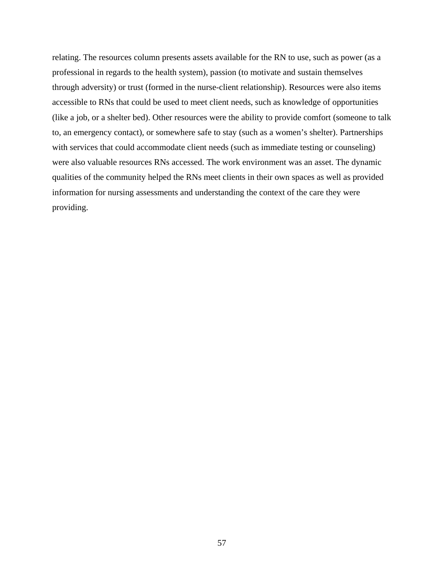relating. The resources column presents assets available for the RN to use, such as power (as a professional in regards to the health system), passion (to motivate and sustain themselves through adversity) or trust (formed in the nurse-client relationship). Resources were also items accessible to RNs that could be used to meet client needs, such as knowledge of opportunities (like a job, or a shelter bed). Other resources were the ability to provide comfort (someone to talk to, an emergency contact), or somewhere safe to stay (such as a women's shelter). Partnerships with services that could accommodate client needs (such as immediate testing or counseling) were also valuable resources RNs accessed. The work environment was an asset. The dynamic qualities of the community helped the RNs meet clients in their own spaces as well as provided information for nursing assessments and understanding the context of the care they were providing.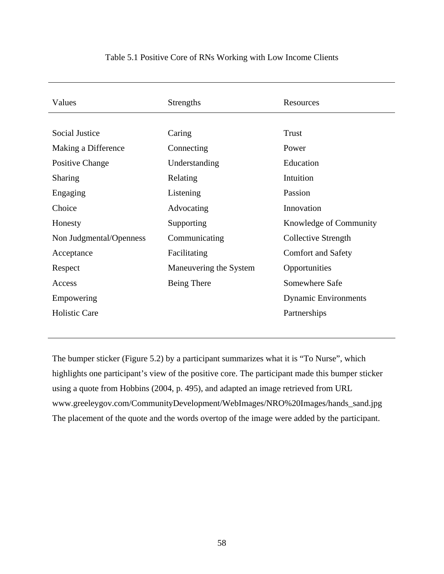| Values                  | Strengths              | Resources                   |
|-------------------------|------------------------|-----------------------------|
|                         |                        |                             |
| Social Justice          | Caring                 | Trust                       |
| Making a Difference     | Connecting             | Power                       |
| Positive Change         | Understanding          | Education                   |
| <b>Sharing</b>          | Relating               | Intuition                   |
| Engaging                | Listening              | Passion                     |
| Choice                  | Advocating             | Innovation                  |
| Honesty                 | Supporting             | Knowledge of Community      |
| Non Judgmental/Openness | Communicating          | Collective Strength         |
| Acceptance              | Facilitating           | <b>Comfort and Safety</b>   |
| Respect                 | Maneuvering the System | Opportunities               |
| Access                  | Being There            | Somewhere Safe              |
| Empowering              |                        | <b>Dynamic Environments</b> |
| <b>Holistic Care</b>    |                        | Partnerships                |

## Table 5.1 Positive Core of RNs Working with Low Income Clients

The bumper sticker (Figure 5.2) by a participant summarizes what it is "To Nurse", which highlights one participant's view of the positive core. The participant made this bumper sticker using a quote from Hobbins (2004, p. 495), and adapted an image retrieved from URL www.greeleygov.com/CommunityDevelopment/WebImages/NRO%20Images/hands\_sand.jpg The placement of the quote and the words overtop of the image were added by the participant.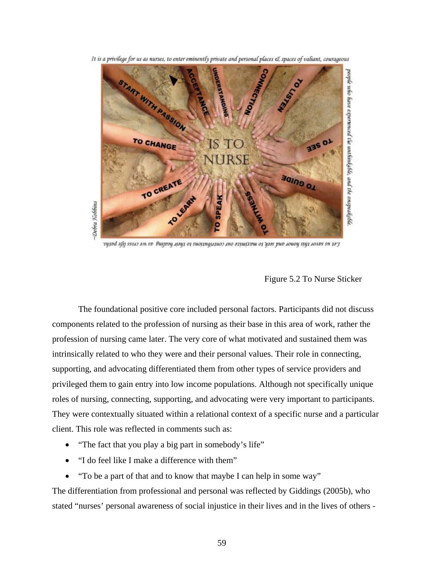It is a privilege for us as nurses, to enter eminently private and personal places & spaces of valiant, courageous



уурь пр годах хэрээр баг баг болуу байгаа баг багуулаг байгаа багуулаг багуулаг багуулаг хэрээ багуулаг багуула

## Figure 5.2 To Nurse Sticker

 The foundational positive core included personal factors. Participants did not discuss components related to the profession of nursing as their base in this area of work, rather the profession of nursing came later. The very core of what motivated and sustained them was intrinsically related to who they were and their personal values. Their role in connecting, supporting, and advocating differentiated them from other types of service providers and privileged them to gain entry into low income populations. Although not specifically unique roles of nursing, connecting, supporting, and advocating were very important to participants. They were contextually situated within a relational context of a specific nurse and a particular client. This role was reflected in comments such as:

- "The fact that you play a big part in somebody's life"
- "I do feel like I make a difference with them"
- "To be a part of that and to know that maybe I can help in some way"

The differentiation from professional and personal was reflected by Giddings (2005b), who stated "nurses' personal awareness of social injustice in their lives and in the lives of others -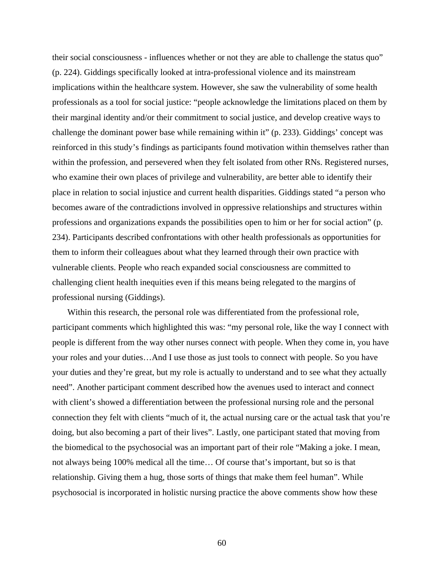their social consciousness - influences whether or not they are able to challenge the status quo" (p. 224). Giddings specifically looked at intra-professional violence and its mainstream implications within the healthcare system. However, she saw the vulnerability of some health professionals as a tool for social justice: "people acknowledge the limitations placed on them by their marginal identity and/or their commitment to social justice, and develop creative ways to challenge the dominant power base while remaining within it" (p. 233). Giddings' concept was reinforced in this study's findings as participants found motivation within themselves rather than within the profession, and persevered when they felt isolated from other RNs. Registered nurses, who examine their own places of privilege and vulnerability, are better able to identify their place in relation to social injustice and current health disparities. Giddings stated "a person who becomes aware of the contradictions involved in oppressive relationships and structures within professions and organizations expands the possibilities open to him or her for social action" (p. 234). Participants described confrontations with other health professionals as opportunities for them to inform their colleagues about what they learned through their own practice with vulnerable clients. People who reach expanded social consciousness are committed to challenging client health inequities even if this means being relegated to the margins of professional nursing (Giddings).

 Within this research, the personal role was differentiated from the professional role, participant comments which highlighted this was: "my personal role, like the way I connect with people is different from the way other nurses connect with people. When they come in, you have your roles and your duties…And I use those as just tools to connect with people. So you have your duties and they're great, but my role is actually to understand and to see what they actually need". Another participant comment described how the avenues used to interact and connect with client's showed a differentiation between the professional nursing role and the personal connection they felt with clients "much of it, the actual nursing care or the actual task that you're doing, but also becoming a part of their lives". Lastly, one participant stated that moving from the biomedical to the psychosocial was an important part of their role "Making a joke. I mean, not always being 100% medical all the time… Of course that's important, but so is that relationship. Giving them a hug, those sorts of things that make them feel human". While psychosocial is incorporated in holistic nursing practice the above comments show how these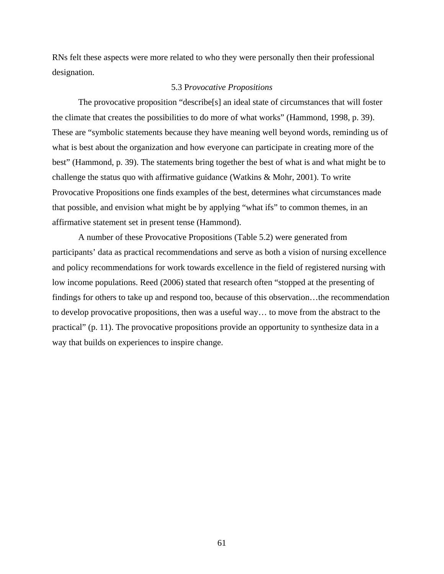RNs felt these aspects were more related to who they were personally then their professional designation.

## 5.3 P*rovocative Propositions*

 The provocative proposition "describe[s] an ideal state of circumstances that will foster the climate that creates the possibilities to do more of what works" (Hammond, 1998, p. 39). These are "symbolic statements because they have meaning well beyond words, reminding us of what is best about the organization and how everyone can participate in creating more of the best" (Hammond, p. 39). The statements bring together the best of what is and what might be to challenge the status quo with affirmative guidance (Watkins & Mohr, 2001). To write Provocative Propositions one finds examples of the best, determines what circumstances made that possible, and envision what might be by applying "what ifs" to common themes, in an affirmative statement set in present tense (Hammond).

 A number of these Provocative Propositions (Table 5.2) were generated from participants' data as practical recommendations and serve as both a vision of nursing excellence and policy recommendations for work towards excellence in the field of registered nursing with low income populations. Reed (2006) stated that research often "stopped at the presenting of findings for others to take up and respond too, because of this observation…the recommendation to develop provocative propositions, then was a useful way… to move from the abstract to the practical" (p. 11). The provocative propositions provide an opportunity to synthesize data in a way that builds on experiences to inspire change.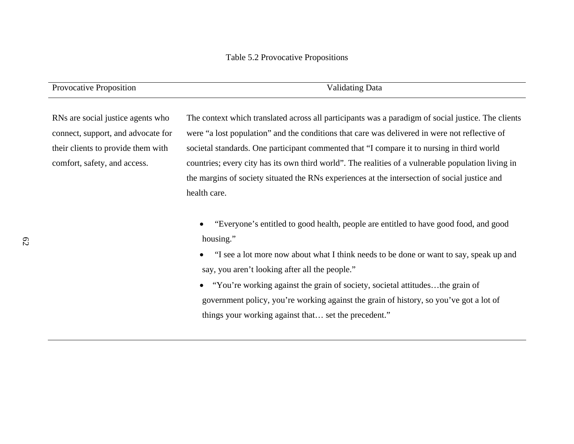| Provocative Proposition            | <b>Validating Data</b>                                                                             |
|------------------------------------|----------------------------------------------------------------------------------------------------|
|                                    |                                                                                                    |
| RNs are social justice agents who  | The context which translated across all participants was a paradigm of social justice. The clients |
| connect, support, and advocate for | were "a lost population" and the conditions that care was delivered in were not reflective of      |
| their clients to provide them with | societal standards. One participant commented that "I compare it to nursing in third world         |
| comfort, safety, and access.       | countries; every city has its own third world". The realities of a vulnerable population living in |
|                                    | the margins of society situated the RNs experiences at the intersection of social justice and      |
|                                    | health care.                                                                                       |
|                                    |                                                                                                    |
|                                    | Everyone's entitled to good health people are entitled to have good food and good                  |

- • "Everyone's entitled to good health, people are entitled to have good food, and good housing."
- "I see a lot more now about what I think needs to be done or want to say, speak up and say, you aren't looking after all the people."
- "You're working against the grain of society, societal attitudes...the grain of government policy, you're working against the grain of history, so you've got a lot of things your working against that… set the precedent."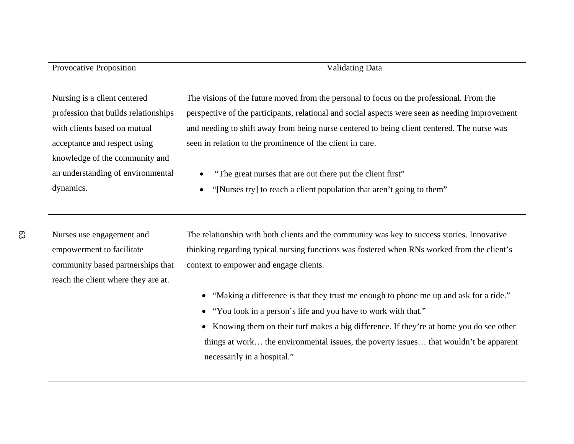# Provocative Proposition Validating Data

Nursing is a client centered profession that builds relationships with clients based on mutual acceptance and respect using knowledge of the community and an understanding of environmental dynamics.

The visions of the future moved from the personal to focus on the professional. From the perspective of the participants, relational and social aspects were seen as needing improvement and needing to shift away from being nurse centered to being client centered. The nurse was seen in relation to the prominence of the client in care.

- •"The great nurses that are out there put the client first"
- $\bullet$ "[Nurses try] to reach a client population that aren't going to them"

Nurses use engagement and empowerment to facilitate community based partnerships that reach the client where they are at.

The relationship with both clients and the community was key to success stories. Innovative thinking regarding typical nursing functions was fostered when RNs worked from the client's context to empower and engage clients.

- "Making a difference is that they trust me enough to phone me up and ask for a ride."
- "You look in a person's life and you have to work with that."
- Knowing them on their turf makes a big difference. If they're at home you do see other things at work… the environmental issues, the poverty issues… that wouldn't be apparent necessarily in a hospital."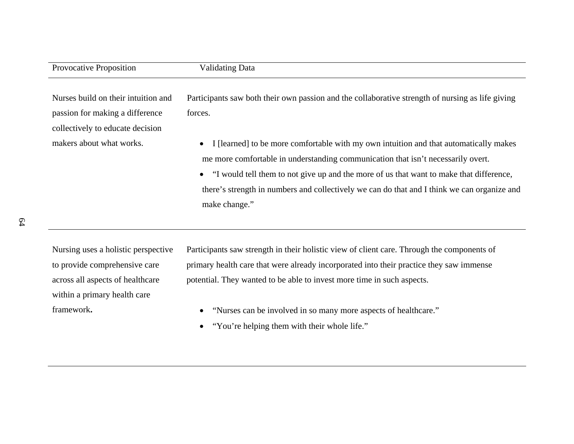| <b>Provocative Proposition</b>                                                                             | <b>Validating Data</b>                                                                                                                                                                                                                                                                                                                                                                              |
|------------------------------------------------------------------------------------------------------------|-----------------------------------------------------------------------------------------------------------------------------------------------------------------------------------------------------------------------------------------------------------------------------------------------------------------------------------------------------------------------------------------------------|
| Nurses build on their intuition and<br>passion for making a difference<br>collectively to educate decision | Participants saw both their own passion and the collaborative strength of nursing as life giving<br>forces.                                                                                                                                                                                                                                                                                         |
| makers about what works.                                                                                   | I [learned] to be more comfortable with my own intuition and that automatically makes<br>$\bullet$<br>me more comfortable in understanding communication that isn't necessarily overt.<br>• "I would tell them to not give up and the more of us that want to make that difference,<br>there's strength in numbers and collectively we can do that and I think we can organize and<br>make change." |

Nursing uses a holistic perspective to provide comprehensive care across all aspects of healthcare within a primary health care framework**.** 

Participants saw strength in their holistic view of client care. Through the components of primary health care that were already incorporated into their practice they saw immense potential. They wanted to be able to invest more time in such aspects.

- "Nurses can be involved in so many more aspects of healthcare."
- "You're helping them with their whole life."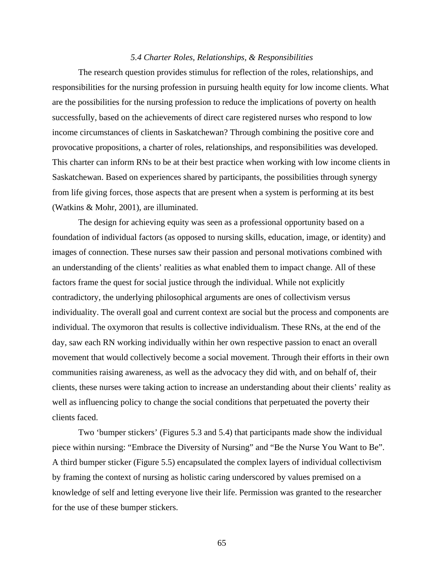#### *5.4 Charter Roles, Relationships, & Responsibilities*

 The research question provides stimulus for reflection of the roles, relationships, and responsibilities for the nursing profession in pursuing health equity for low income clients. What are the possibilities for the nursing profession to reduce the implications of poverty on health successfully, based on the achievements of direct care registered nurses who respond to low income circumstances of clients in Saskatchewan? Through combining the positive core and provocative propositions, a charter of roles, relationships, and responsibilities was developed. This charter can inform RNs to be at their best practice when working with low income clients in Saskatchewan. Based on experiences shared by participants, the possibilities through synergy from life giving forces, those aspects that are present when a system is performing at its best (Watkins & Mohr, 2001), are illuminated.

 The design for achieving equity was seen as a professional opportunity based on a foundation of individual factors (as opposed to nursing skills, education, image, or identity) and images of connection. These nurses saw their passion and personal motivations combined with an understanding of the clients' realities as what enabled them to impact change. All of these factors frame the quest for social justice through the individual. While not explicitly contradictory, the underlying philosophical arguments are ones of collectivism versus individuality. The overall goal and current context are social but the process and components are individual. The oxymoron that results is collective individualism. These RNs, at the end of the day, saw each RN working individually within her own respective passion to enact an overall movement that would collectively become a social movement. Through their efforts in their own communities raising awareness, as well as the advocacy they did with, and on behalf of, their clients, these nurses were taking action to increase an understanding about their clients' reality as well as influencing policy to change the social conditions that perpetuated the poverty their clients faced.

 Two 'bumper stickers' (Figures 5.3 and 5.4) that participants made show the individual piece within nursing: "Embrace the Diversity of Nursing" and "Be the Nurse You Want to Be". A third bumper sticker (Figure 5.5) encapsulated the complex layers of individual collectivism by framing the context of nursing as holistic caring underscored by values premised on a knowledge of self and letting everyone live their life. Permission was granted to the researcher for the use of these bumper stickers.

 $\sim$  65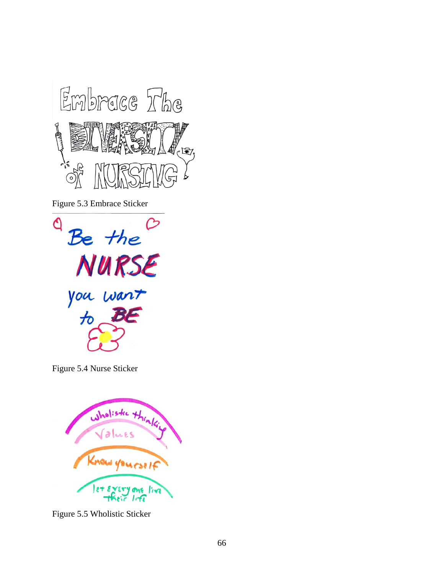

Figure 5.3 Embrace Sticker



Figure 5.4 Nurse Sticker



Figure 5.5 Wholistic Sticker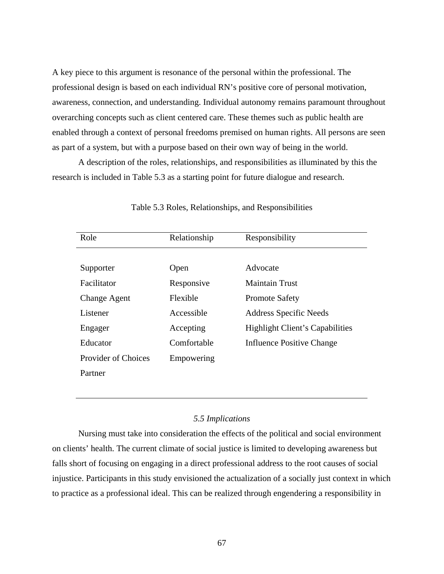A key piece to this argument is resonance of the personal within the professional. The professional design is based on each individual RN's positive core of personal motivation, awareness, connection, and understanding. Individual autonomy remains paramount throughout overarching concepts such as client centered care. These themes such as public health are enabled through a context of personal freedoms premised on human rights. All persons are seen as part of a system, but with a purpose based on their own way of being in the world.

 A description of the roles, relationships, and responsibilities as illuminated by this the research is included in Table 5.3 as a starting point for future dialogue and research.

| Role                       | Relationship | Responsibility                         |
|----------------------------|--------------|----------------------------------------|
|                            |              |                                        |
| Supporter                  | Open         | Advocate                               |
| Facilitator                | Responsive   | Maintain Trust                         |
| <b>Change Agent</b>        | Flexible     | <b>Promote Safety</b>                  |
| Listener                   | Accessible   | <b>Address Specific Needs</b>          |
| Engager                    | Accepting    | <b>Highlight Client's Capabilities</b> |
| Educator                   | Comfortable  | Influence Positive Change              |
| <b>Provider of Choices</b> | Empowering   |                                        |
| Partner                    |              |                                        |
|                            |              |                                        |

#### Table 5.3 Roles, Relationships, and Responsibilities

## *5.5 Implications*

 Nursing must take into consideration the effects of the political and social environment on clients' health. The current climate of social justice is limited to developing awareness but falls short of focusing on engaging in a direct professional address to the root causes of social injustice. Participants in this study envisioned the actualization of a socially just context in which to practice as a professional ideal. This can be realized through engendering a responsibility in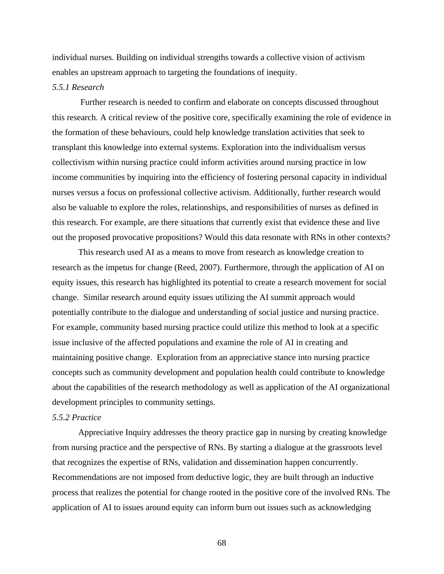individual nurses. Building on individual strengths towards a collective vision of activism enables an upstream approach to targeting the foundations of inequity.

## *5.5.1 Research*

Further research is needed to confirm and elaborate on concepts discussed throughout this research. A critical review of the positive core, specifically examining the role of evidence in the formation of these behaviours, could help knowledge translation activities that seek to transplant this knowledge into external systems. Exploration into the individualism versus collectivism within nursing practice could inform activities around nursing practice in low income communities by inquiring into the efficiency of fostering personal capacity in individual nurses versus a focus on professional collective activism. Additionally, further research would also be valuable to explore the roles, relationships, and responsibilities of nurses as defined in this research. For example, are there situations that currently exist that evidence these and live out the proposed provocative propositions? Would this data resonate with RNs in other contexts?

This research used AI as a means to move from research as knowledge creation to research as the impetus for change (Reed, 2007). Furthermore, through the application of AI on equity issues, this research has highlighted its potential to create a research movement for social change. Similar research around equity issues utilizing the AI summit approach would potentially contribute to the dialogue and understanding of social justice and nursing practice. For example, community based nursing practice could utilize this method to look at a specific issue inclusive of the affected populations and examine the role of AI in creating and maintaining positive change. Exploration from an appreciative stance into nursing practice concepts such as community development and population health could contribute to knowledge about the capabilities of the research methodology as well as application of the AI organizational development principles to community settings.

#### *5.5.2 Practice*

Appreciative Inquiry addresses the theory practice gap in nursing by creating knowledge from nursing practice and the perspective of RNs. By starting a dialogue at the grassroots level that recognizes the expertise of RNs, validation and dissemination happen concurrently. Recommendations are not imposed from deductive logic, they are built through an inductive process that realizes the potential for change rooted in the positive core of the involved RNs. The application of AI to issues around equity can inform burn out issues such as acknowledging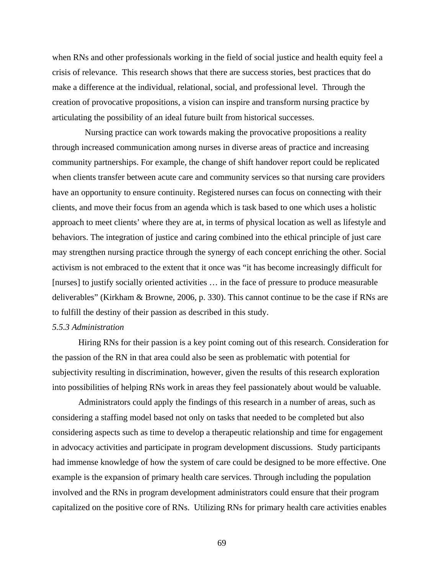when RNs and other professionals working in the field of social justice and health equity feel a crisis of relevance. This research shows that there are success stories, best practices that do make a difference at the individual, relational, social, and professional level. Through the creation of provocative propositions, a vision can inspire and transform nursing practice by articulating the possibility of an ideal future built from historical successes.

 Nursing practice can work towards making the provocative propositions a reality through increased communication among nurses in diverse areas of practice and increasing community partnerships. For example, the change of shift handover report could be replicated when clients transfer between acute care and community services so that nursing care providers have an opportunity to ensure continuity. Registered nurses can focus on connecting with their clients, and move their focus from an agenda which is task based to one which uses a holistic approach to meet clients' where they are at, in terms of physical location as well as lifestyle and behaviors. The integration of justice and caring combined into the ethical principle of just care may strengthen nursing practice through the synergy of each concept enriching the other. Social activism is not embraced to the extent that it once was "it has become increasingly difficult for [nurses] to justify socially oriented activities … in the face of pressure to produce measurable deliverables" (Kirkham & Browne, 2006, p. 330). This cannot continue to be the case if RNs are to fulfill the destiny of their passion as described in this study.

## *5.5.3 Administration*

 Hiring RNs for their passion is a key point coming out of this research. Consideration for the passion of the RN in that area could also be seen as problematic with potential for subjectivity resulting in discrimination, however, given the results of this research exploration into possibilities of helping RNs work in areas they feel passionately about would be valuable.

Administrators could apply the findings of this research in a number of areas, such as considering a staffing model based not only on tasks that needed to be completed but also considering aspects such as time to develop a therapeutic relationship and time for engagement in advocacy activities and participate in program development discussions. Study participants had immense knowledge of how the system of care could be designed to be more effective. One example is the expansion of primary health care services. Through including the population involved and the RNs in program development administrators could ensure that their program capitalized on the positive core of RNs. Utilizing RNs for primary health care activities enables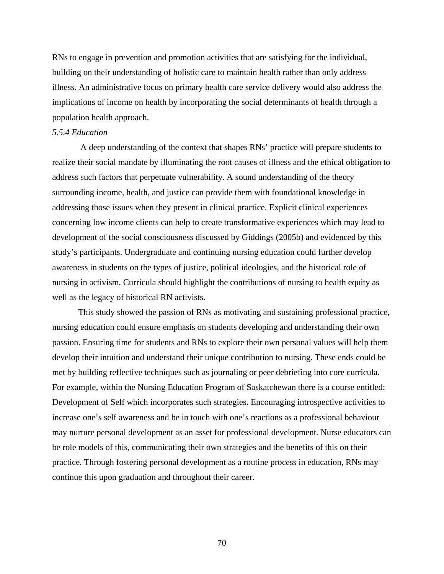RNs to engage in prevention and promotion activities that are satisfying for the individual, building on their understanding of holistic care to maintain health rather than only address illness. An administrative focus on primary health care service delivery would also address the implications of income on health by incorporating the social determinants of health through a population health approach.

# *5.5.4 Education*

A deep understanding of the context that shapes RNs' practice will prepare students to realize their social mandate by illuminating the root causes of illness and the ethical obligation to address such factors that perpetuate vulnerability. A sound understanding of the theory surrounding income, health, and justice can provide them with foundational knowledge in addressing those issues when they present in clinical practice. Explicit clinical experiences concerning low income clients can help to create transformative experiences which may lead to development of the social consciousness discussed by Giddings (2005b) and evidenced by this study's participants. Undergraduate and continuing nursing education could further develop awareness in students on the types of justice, political ideologies, and the historical role of nursing in activism. Curricula should highlight the contributions of nursing to health equity as well as the legacy of historical RN activists.

This study showed the passion of RNs as motivating and sustaining professional practice, nursing education could ensure emphasis on students developing and understanding their own passion. Ensuring time for students and RNs to explore their own personal values will help them develop their intuition and understand their unique contribution to nursing. These ends could be met by building reflective techniques such as journaling or peer debriefing into core curricula. For example, within the Nursing Education Program of Saskatchewan there is a course entitled: Development of Self which incorporates such strategies. Encouraging introspective activities to increase one's self awareness and be in touch with one's reactions as a professional behaviour may nurture personal development as an asset for professional development. Nurse educators can be role models of this, communicating their own strategies and the benefits of this on their practice. Through fostering personal development as a routine process in education, RNs may continue this upon graduation and throughout their career.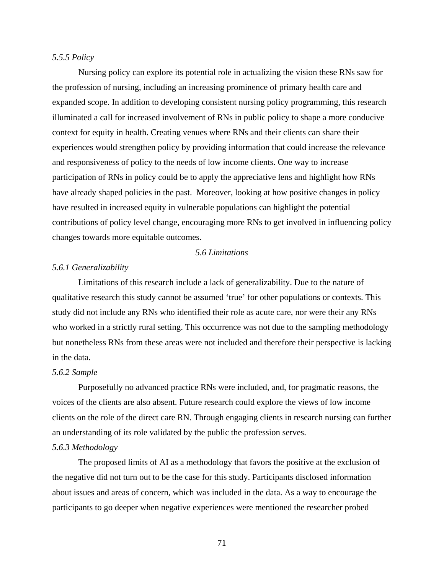### *5.5.5 Policy*

Nursing policy can explore its potential role in actualizing the vision these RNs saw for the profession of nursing, including an increasing prominence of primary health care and expanded scope. In addition to developing consistent nursing policy programming, this research illuminated a call for increased involvement of RNs in public policy to shape a more conducive context for equity in health. Creating venues where RNs and their clients can share their experiences would strengthen policy by providing information that could increase the relevance and responsiveness of policy to the needs of low income clients. One way to increase participation of RNs in policy could be to apply the appreciative lens and highlight how RNs have already shaped policies in the past. Moreover, looking at how positive changes in policy have resulted in increased equity in vulnerable populations can highlight the potential contributions of policy level change, encouraging more RNs to get involved in influencing policy changes towards more equitable outcomes.

## *5.6 Limitations*

#### *5.6.1 Generalizability*

Limitations of this research include a lack of generalizability. Due to the nature of qualitative research this study cannot be assumed 'true' for other populations or contexts. This study did not include any RNs who identified their role as acute care, nor were their any RNs who worked in a strictly rural setting. This occurrence was not due to the sampling methodology but nonetheless RNs from these areas were not included and therefore their perspective is lacking in the data.

#### *5.6.2 Sample*

Purposefully no advanced practice RNs were included, and, for pragmatic reasons, the voices of the clients are also absent. Future research could explore the views of low income clients on the role of the direct care RN. Through engaging clients in research nursing can further an understanding of its role validated by the public the profession serves.

### *5.6.3 Methodology*

The proposed limits of AI as a methodology that favors the positive at the exclusion of the negative did not turn out to be the case for this study. Participants disclosed information about issues and areas of concern, which was included in the data. As a way to encourage the participants to go deeper when negative experiences were mentioned the researcher probed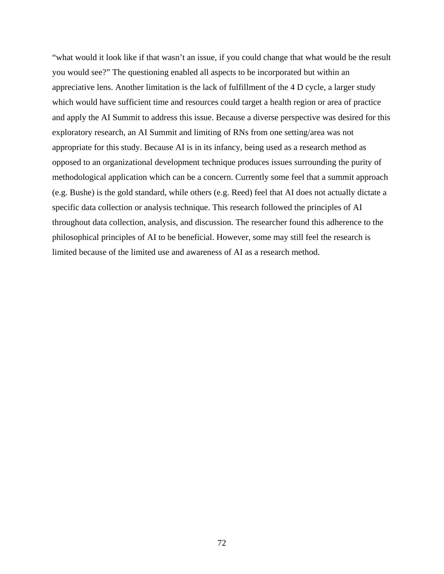"what would it look like if that wasn't an issue, if you could change that what would be the result you would see?" The questioning enabled all aspects to be incorporated but within an appreciative lens. Another limitation is the lack of fulfillment of the 4 D cycle, a larger study which would have sufficient time and resources could target a health region or area of practice and apply the AI Summit to address this issue. Because a diverse perspective was desired for this exploratory research, an AI Summit and limiting of RNs from one setting/area was not appropriate for this study. Because AI is in its infancy, being used as a research method as opposed to an organizational development technique produces issues surrounding the purity of methodological application which can be a concern. Currently some feel that a summit approach (e.g. Bushe) is the gold standard, while others (e.g. Reed) feel that AI does not actually dictate a specific data collection or analysis technique. This research followed the principles of AI throughout data collection, analysis, and discussion. The researcher found this adherence to the philosophical principles of AI to be beneficial. However, some may still feel the research is limited because of the limited use and awareness of AI as a research method.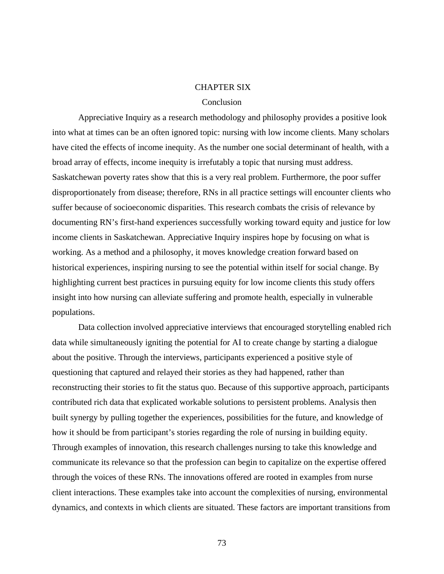### CHAPTER SIX

#### Conclusion

 Appreciative Inquiry as a research methodology and philosophy provides a positive look into what at times can be an often ignored topic: nursing with low income clients. Many scholars have cited the effects of income inequity. As the number one social determinant of health, with a broad array of effects, income inequity is irrefutably a topic that nursing must address. Saskatchewan poverty rates show that this is a very real problem. Furthermore, the poor suffer disproportionately from disease; therefore, RNs in all practice settings will encounter clients who suffer because of socioeconomic disparities. This research combats the crisis of relevance by documenting RN's first-hand experiences successfully working toward equity and justice for low income clients in Saskatchewan. Appreciative Inquiry inspires hope by focusing on what is working. As a method and a philosophy, it moves knowledge creation forward based on historical experiences, inspiring nursing to see the potential within itself for social change. By highlighting current best practices in pursuing equity for low income clients this study offers insight into how nursing can alleviate suffering and promote health, especially in vulnerable populations.

Data collection involved appreciative interviews that encouraged storytelling enabled rich data while simultaneously igniting the potential for AI to create change by starting a dialogue about the positive. Through the interviews, participants experienced a positive style of questioning that captured and relayed their stories as they had happened, rather than reconstructing their stories to fit the status quo. Because of this supportive approach, participants contributed rich data that explicated workable solutions to persistent problems. Analysis then built synergy by pulling together the experiences, possibilities for the future, and knowledge of how it should be from participant's stories regarding the role of nursing in building equity. Through examples of innovation, this research challenges nursing to take this knowledge and communicate its relevance so that the profession can begin to capitalize on the expertise offered through the voices of these RNs. The innovations offered are rooted in examples from nurse client interactions. These examples take into account the complexities of nursing, environmental dynamics, and contexts in which clients are situated. These factors are important transitions from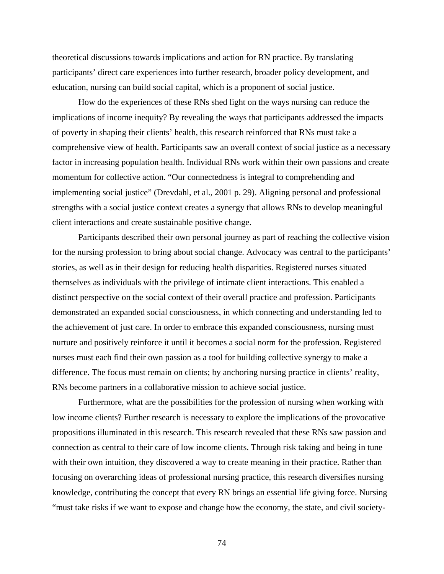theoretical discussions towards implications and action for RN practice. By translating participants' direct care experiences into further research, broader policy development, and education, nursing can build social capital, which is a proponent of social justice.

 How do the experiences of these RNs shed light on the ways nursing can reduce the implications of income inequity? By revealing the ways that participants addressed the impacts of poverty in shaping their clients' health, this research reinforced that RNs must take a comprehensive view of health. Participants saw an overall context of social justice as a necessary factor in increasing population health. Individual RNs work within their own passions and create momentum for collective action. "Our connectedness is integral to comprehending and implementing social justice" (Drevdahl, et al., 2001 p. 29). Aligning personal and professional strengths with a social justice context creates a synergy that allows RNs to develop meaningful client interactions and create sustainable positive change.

Participants described their own personal journey as part of reaching the collective vision for the nursing profession to bring about social change. Advocacy was central to the participants' stories, as well as in their design for reducing health disparities. Registered nurses situated themselves as individuals with the privilege of intimate client interactions. This enabled a distinct perspective on the social context of their overall practice and profession. Participants demonstrated an expanded social consciousness, in which connecting and understanding led to the achievement of just care. In order to embrace this expanded consciousness, nursing must nurture and positively reinforce it until it becomes a social norm for the profession. Registered nurses must each find their own passion as a tool for building collective synergy to make a difference. The focus must remain on clients; by anchoring nursing practice in clients' reality, RNs become partners in a collaborative mission to achieve social justice.

 Furthermore, what are the possibilities for the profession of nursing when working with low income clients? Further research is necessary to explore the implications of the provocative propositions illuminated in this research. This research revealed that these RNs saw passion and connection as central to their care of low income clients. Through risk taking and being in tune with their own intuition, they discovered a way to create meaning in their practice. Rather than focusing on overarching ideas of professional nursing practice, this research diversifies nursing knowledge, contributing the concept that every RN brings an essential life giving force. Nursing "must take risks if we want to expose and change how the economy, the state, and civil society-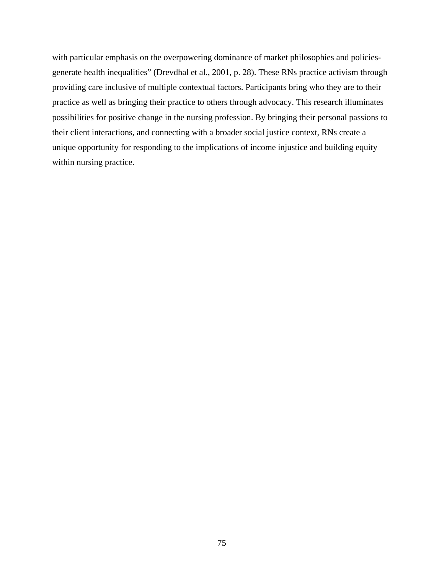with particular emphasis on the overpowering dominance of market philosophies and policiesgenerate health inequalities" (Drevdhal et al., 2001, p. 28). These RNs practice activism through providing care inclusive of multiple contextual factors. Participants bring who they are to their practice as well as bringing their practice to others through advocacy. This research illuminates possibilities for positive change in the nursing profession. By bringing their personal passions to their client interactions, and connecting with a broader social justice context, RNs create a unique opportunity for responding to the implications of income injustice and building equity within nursing practice.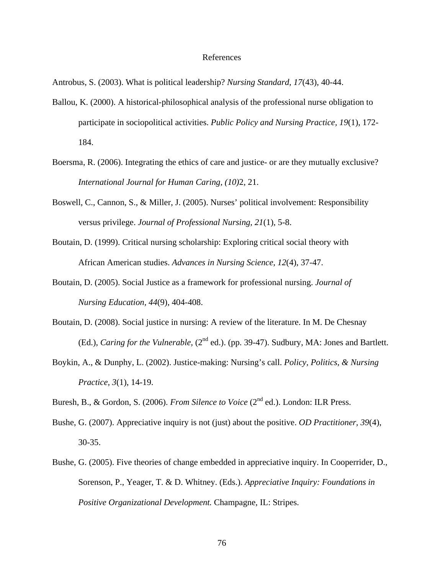#### References

Antrobus, S. (2003). What is political leadership? *Nursing Standard, 17*(43), 40-44.

- Ballou, K. (2000). A historical-philosophical analysis of the professional nurse obligation to participate in sociopolitical activities. *Public Policy and Nursing Practice, 19*(1), 172- 184.
- Boersma, R. (2006). Integrating the ethics of care and justice- or are they mutually exclusive? *International Journal for Human Caring, (10)*2, 21.
- Boswell, C., Cannon, S., & Miller, J. (2005). Nurses' political involvement: Responsibility versus privilege. *Journal of Professional Nursing, 21*(1), 5-8.
- Boutain, D. (1999). Critical nursing scholarship: Exploring critical social theory with African American studies. *Advances in Nursing Science, 12*(4), 37-47.
- Boutain, D. (2005). Social Justice as a framework for professional nursing. *Journal of Nursing Education, 44*(9), 404-408.
- Boutain, D. (2008). Social justice in nursing: A review of the literature. In M. De Chesnay (Ed.), *Caring for the Vulnerable*, (2<sup>nd</sup> ed.). (pp. 39-47). Sudbury, MA: Jones and Bartlett.
- Boykin, A., & Dunphy, L. (2002). Justice-making: Nursing's call. *Policy, Politics, & Nursing Practice, 3*(1), 14-19.

Buresh, B., & Gordon, S. (2006). *From Silence to Voice* (2nd ed.). London: ILR Press.

- Bushe, G. (2007). Appreciative inquiry is not (just) about the positive. *OD Practitioner, 39*(4), 30-35.
- Bushe, G. (2005). Five theories of change embedded in appreciative inquiry. In Cooperrider, D., Sorenson, P., Yeager, T. & D. Whitney. (Eds.). *Appreciative Inquiry: Foundations in Positive Organizational Development.* Champagne, IL: Stripes.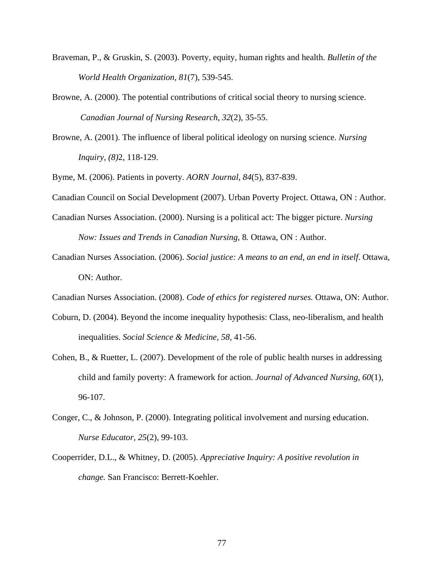- Braveman, P., & Gruskin, S. (2003). Poverty, equity, human rights and health. *Bulletin of the World Health Organization, 81*(7), 539-545.
- Browne, A. (2000). The potential contributions of critical social theory to nursing science. *Canadian Journal of Nursing Research*, *32*(2), 35-55.
- Browne, A. (2001). The influence of liberal political ideology on nursing science. *Nursing Inquiry, (8)*2, 118-129.

Byme, M. (2006). Patients in poverty. *AORN Journal, 84*(5), 837-839.

Canadian Council on Social Development (2007). Urban Poverty Project. Ottawa, ON : Author.

- Canadian Nurses Association. (2000). Nursing is a political act: The bigger picture. *Nursing Now: Issues and Trends in Canadian Nursing, 8. Ottawa, ON : Author.*
- Canadian Nurses Association. (2006). *Social justice: A means to an end, an end in itself*. Ottawa, ON: Author.

Canadian Nurses Association. (2008). *Code of ethics for registered nurses.* Ottawa, ON: Author.

- Coburn, D. (2004). Beyond the income inequality hypothesis: Class, neo-liberalism, and health inequalities. *Social Science & Medicine, 58,* 41-56.
- Cohen, B., & Ruetter, L. (2007). Development of the role of public health nurses in addressing child and family poverty: A framework for action. *Journal of Advanced Nursing, 60*(1), 96-107.
- Conger, C., & Johnson, P. (2000). Integrating political involvement and nursing education.  *Nurse Educator, 25*(2), 99-103.
- Cooperrider, D.L., & Whitney, D. (2005). *Appreciative Inquiry: A positive revolution in change.* San Francisco: Berrett-Koehler.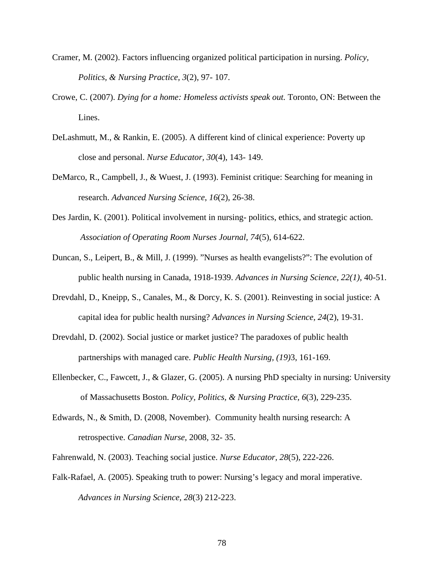- Cramer, M. (2002). Factors influencing organized political participation in nursing. *Policy, Politics, & Nursing Practice, 3*(2), 97- 107.
- Crowe, C. (2007). *Dying for a home: Homeless activists speak out.* Toronto, ON: Between the Lines.
- DeLashmutt, M., & Rankin, E. (2005). A different kind of clinical experience: Poverty up close and personal. *Nurse Educator, 30*(4), 143- 149.
- DeMarco, R., Campbell, J., & Wuest, J. (1993). Feminist critique: Searching for meaning in research. *Advanced Nursing Science*, *16*(2), 26-38.
- Des Jardin, K. (2001). Political involvement in nursing- politics, ethics, and strategic action.  *Association of Operating Room Nurses Journal, 74*(5), 614-622.
- Duncan, S., Leipert, B., & Mill, J. (1999). "Nurses as health evangelists?": The evolution of public health nursing in Canada, 1918-1939. *Advances in Nursing Science, 22(1),* 40-51.
- Drevdahl, D., Kneipp, S., Canales, M., & Dorcy, K. S. (2001). Reinvesting in social justice: A capital idea for public health nursing? *Advances in Nursing Science, 24*(2), 19-31.
- Drevdahl, D. (2002). Social justice or market justice? The paradoxes of public health partnerships with managed care. *Public Health Nursing, (19)*3, 161-169.
- Ellenbecker, C., Fawcett, J., & Glazer, G. (2005). A nursing PhD specialty in nursing: University of Massachusetts Boston. *Policy, Politics, & Nursing Practice, 6*(3), 229-235.
- Edwards, N., & Smith, D. (2008, November). Community health nursing research: A retrospective. *Canadian Nurse,* 2008*,* 32- 35.
- Fahrenwald, N. (2003). Teaching social justice. *Nurse Educator, 28*(5), 222-226.
- Falk-Rafael, A. (2005). Speaking truth to power: Nursing's legacy and moral imperative. *Advances in Nursing Science, 28*(3) 212-223.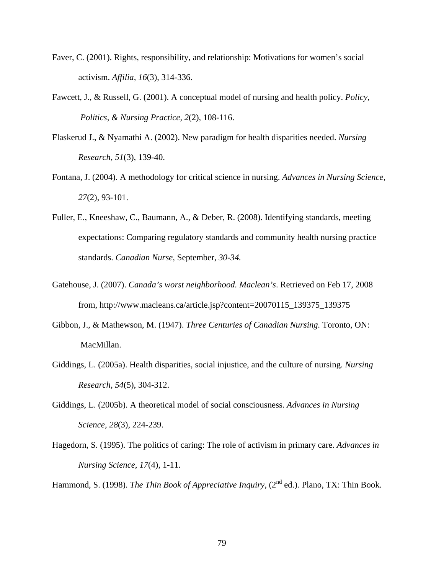- Faver, C. (2001). Rights, responsibility, and relationship: Motivations for women's social activism. *Affilia, 16*(3), 314-336.
- Fawcett, J., & Russell, G. (2001). A conceptual model of nursing and health policy. *Policy, Politics, & Nursing Practice, 2*(2), 108-116.
- Flaskerud J., & Nyamathi A. (2002). New paradigm for health disparities needed. *Nursing Research, 51*(3), 139-40.
- Fontana, J. (2004). A methodology for critical science in nursing. *Advances in Nursing Science*, *27*(2), 93-101.
- Fuller, E., Kneeshaw, C., Baumann, A., & Deber, R. (2008). Identifying standards, meeting expectations: Comparing regulatory standards and community health nursing practice standards. *Canadian Nurse*, September, *30-34.*
- Gatehouse, J. (2007). *Canada's worst neighborhood. Maclean's*. Retrieved on Feb 17, 2008 from, http://www.macleans.ca/article.jsp?content=20070115\_139375\_139375
- Gibbon, J., & Mathewson, M. (1947). *Three Centuries of Canadian Nursing.* Toronto, ON: MacMillan.
- Giddings, L. (2005a). Health disparities, social injustice, and the culture of nursing. *Nursing Research, 54*(5), 304-312.
- Giddings, L. (2005b). A theoretical model of social consciousness. *Advances in Nursing Science, 28*(3), 224-239.
- Hagedorn, S. (1995). The politics of caring: The role of activism in primary care. *Advances in Nursing Science, 17*(4), 1-11.

Hammond, S. (1998). *The Thin Book of Appreciative Inquiry*, (2<sup>nd</sup> ed.). Plano, TX: Thin Book.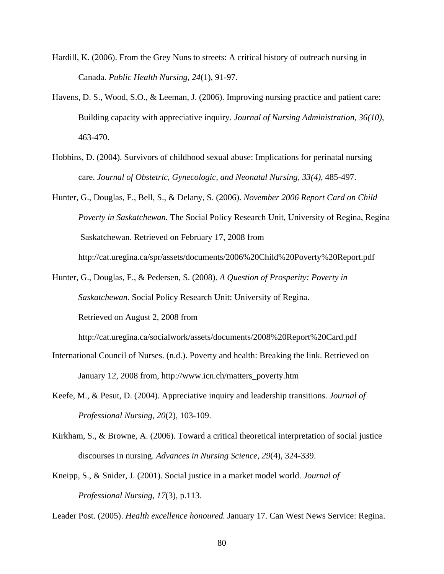- Hardill, K. (2006). From the Grey Nuns to streets: A critical history of outreach nursing in Canada. *Public Health Nursing, 24*(1), 91-97.
- Havens, D. S., Wood, S.O., & Leeman, J. (2006). Improving nursing practice and patient care: Building capacity with appreciative inquiry. *Journal of Nursing Administration, 36(10)*, 463-470.
- Hobbins, D. (2004). Survivors of childhood sexual abuse: Implications for perinatal nursing care. *Journal of Obstetric, Gynecologic, and Neonatal Nursing, 33(4),* 485-497.
- Hunter, G., Douglas, F., Bell, S., & Delany, S. (2006). *November 2006 Report Card on Child Poverty in Saskatchewan.* The Social Policy Research Unit, University of Regina, Regina Saskatchewan. Retrieved on February 17, 2008 from http://cat.uregina.ca/spr/assets/documents/2006%20Child%20Poverty%20Report.pdf
- Hunter, G., Douglas, F., & Pedersen, S. (2008). *A Question of Prosperity: Poverty in Saskatchewan.* Social Policy Research Unit: University of Regina. Retrieved on August 2, 2008 from

http://cat.uregina.ca/socialwork/assets/documents/2008%20Report%20Card.pdf

- International Council of Nurses. (n.d.). Poverty and health: Breaking the link. Retrieved on January 12, 2008 from, http://www.icn.ch/matters\_poverty.htm
- Keefe, M., & Pesut, D. (2004). Appreciative inquiry and leadership transitions. *Journal of Professional Nursing, 20*(2), 103-109.
- Kirkham, S., & Browne, A. (2006). Toward a critical theoretical interpretation of social justice discourses in nursing. *Advances in Nursing Science, 29*(4), 324-339.
- Kneipp, S., & Snider, J. (2001). Social justice in a market model world. *Journal of Professional Nursing, 17*(3), p.113.

Leader Post. (2005). *Health excellence honoured.* January 17. Can West News Service: Regina.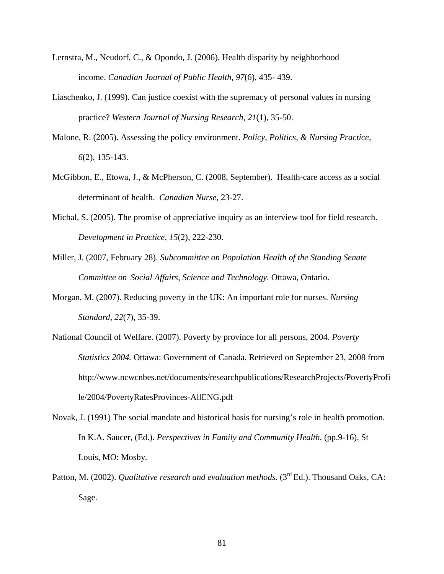- Lernstra, M., Neudorf, C., & Opondo, J. (2006). Health disparity by neighborhood income. *Canadian Journal of Public Health, 97*(6), 435- 439.
- Liaschenko, J. (1999). Can justice coexist with the supremacy of personal values in nursing practice? *Western Journal of Nursing Research, 21*(1), 35-50.
- Malone, R. (2005). Assessing the policy environment. *Policy, Politics, & Nursing Practice, 6*(2), 135-143.
- McGibbon, E., Etowa, J., & McPherson, C. (2008, September). Health-care access as a social determinant of health. *Canadian Nurse,* 23-27.
- Michal, S. (2005). The promise of appreciative inquiry as an interview tool for field research. *Development in Practice, 15*(2), 222-230.
- Miller, J. (2007, February 28). *Subcommittee on Population Health of the Standing Senate Committee on Social Affairs, Science and Technology.* Ottawa, Ontario.
- Morgan, M. (2007). Reducing poverty in the UK: An important role for nurses. *Nursing Standard, 22*(7), 35-39.
- National Council of Welfare. (2007). Poverty by province for all persons, 2004. *Poverty Statistics 2004.* Ottawa: Government of Canada. Retrieved on September 23, 2008 from http://www.ncwcnbes.net/documents/researchpublications/ResearchProjects/PovertyProfi le/2004/PovertyRatesProvinces-AllENG.pdf
- Novak, J. (1991) The social mandate and historical basis for nursing's role in health promotion. In K.A. Saucer, (Ed.). *Perspectives in Family and Community Health*. (pp.9-16). St Louis, MO: Mosby*.*
- Patton, M. (2002). *Qualitative research and evaluation methods.* (3<sup>rd</sup> Ed.). Thousand Oaks. CA: Sage.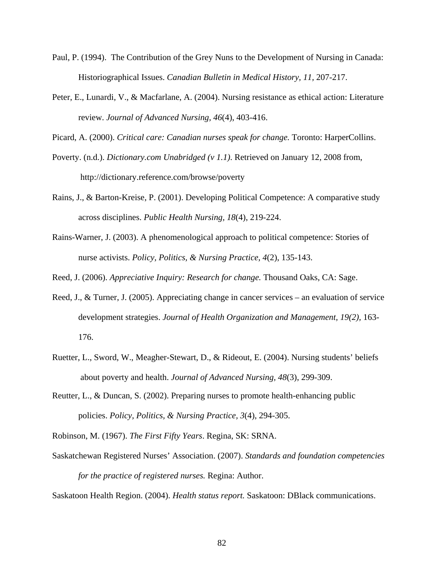- Paul, P. (1994). The Contribution of the Grey Nuns to the Development of Nursing in Canada: Historiographical Issues. *Canadian Bulletin in Medical History, 11,* 207-217.
- Peter, E., Lunardi, V., & Macfarlane, A. (2004). Nursing resistance as ethical action: Literature review. *Journal of Advanced Nursing, 46*(4), 403-416.

Picard, A. (2000). *Critical care: Canadian nurses speak for change.* Toronto: HarperCollins.

- Poverty. (n.d.). *Dictionary.com Unabridged (v 1.1)*. Retrieved on January 12, 2008 from, http://dictionary.reference.com/browse/poverty
- Rains, J., & Barton-Kreise, P. (2001). Developing Political Competence: A comparative study across disciplines. *Public Health Nursing, 18*(4), 219-224.
- Rains-Warner, J. (2003). A phenomenological approach to political competence: Stories of nurse activists. *Policy, Politics, & Nursing Practice, 4*(2), 135-143.

Reed, J. (2006). *Appreciative Inquiry: Research for change.* Thousand Oaks, CA: Sage.

- Reed, J., & Turner, J. (2005). Appreciating change in cancer services an evaluation of service development strategies. *Journal of Health Organization and Management, 19(2),* 163- 176.
- Ruetter, L., Sword, W., Meagher-Stewart, D., & Rideout, E. (2004). Nursing students' beliefs about poverty and health. *Journal of Advanced Nursing, 48*(3), 299-309.
- Reutter, L., & Duncan, S. (2002). Preparing nurses to promote health-enhancing public policies. *Policy, Politics, & Nursing Practice, 3*(4), 294-305.
- Robinson, M. (1967). *The First Fifty Years*. Regina, SK: SRNA.
- Saskatchewan Registered Nurses' Association. (2007). *Standards and foundation competencies for the practice of registered nurses.* Regina: Author.

Saskatoon Health Region. (2004). *Health status report.* Saskatoon: DBlack communications.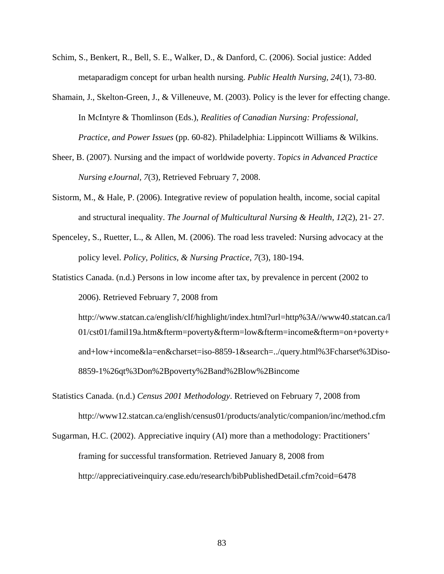- Schim, S., Benkert, R., Bell, S. E., Walker, D., & Danford, C. (2006). Social justice: Added metaparadigm concept for urban health nursing. *Public Health Nursing, 24*(1), 73-80.
- Shamain, J., Skelton-Green, J., & Villeneuve, M. (2003). Policy is the lever for effecting change. In McIntyre & Thomlinson (Eds.), *Realities of Canadian Nursing: Professional, Practice, and Power Issues* (pp. 60-82). Philadelphia: Lippincott Williams & Wilkins.
- Sheer, B. (2007). Nursing and the impact of worldwide poverty. *Topics in Advanced Practice Nursing eJournal, 7*(3), Retrieved February 7, 2008.
- Sistorm, M., & Hale, P. (2006). Integrative review of population health, income, social capital and structural inequality. *The Journal of Multicultural Nursing & Health, 12*(2), 21- 27.
- Spenceley, S., Ruetter, L., & Allen, M. (2006). The road less traveled: Nursing advocacy at the policy level. *Policy, Politics, & Nursing Practice, 7*(3), 180-194.
- Statistics Canada. (n.d.) Persons in low income after tax, by prevalence in percent (2002 to 2006). Retrieved February 7, 2008 from

 http://www.statcan.ca/english/clf/highlight/index.html?url=http%3A//www40.statcan.ca/l 01/cst01/famil19a.htm&fterm=poverty&fterm=low&fterm=income&fterm=on+poverty+ and+low+income&la=en&charset=iso-8859-1&search=../query.html%3Fcharset%3Diso- 8859-1%26qt%3Don%2Bpoverty%2Band%2Blow%2Bincome

- Statistics Canada. (n.d.) *Census 2001 Methodology*. Retrieved on February 7, 2008 from http://www12.statcan.ca/english/census01/products/analytic/companion/inc/method.cfm
- Sugarman, H.C. (2002). Appreciative inquiry (AI) more than a methodology: Practitioners' framing for successful transformation. Retrieved January 8, 2008 from http://appreciativeinquiry.case.edu/research/bibPublishedDetail.cfm?coid=6478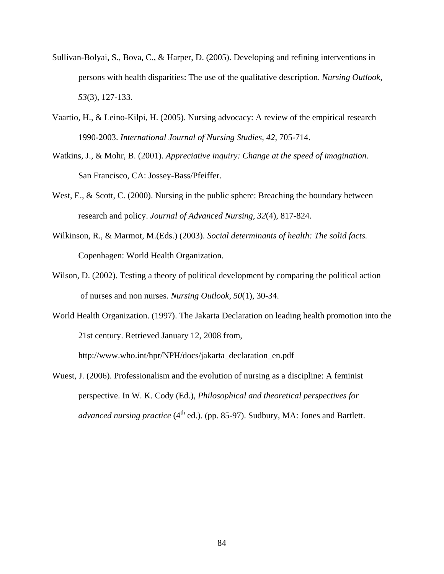- Sullivan-Bolyai, S., Bova, C., & Harper, D. (2005). Developing and refining interventions in persons with health disparities: The use of the qualitative description. *Nursing Outlook, 53*(3), 127-133.
- Vaartio, H., & Leino-Kilpi, H. (2005). Nursing advocacy: A review of the empirical research 1990-2003. *International Journal of Nursing Studies, 42*, 705-714.
- Watkins, J., & Mohr, B. (2001). *Appreciative inquiry: Change at the speed of imagination.* San Francisco, CA: Jossey-Bass/Pfeiffer.
- West, E., & Scott, C. (2000). Nursing in the public sphere: Breaching the boundary between research and policy. *Journal of Advanced Nursing, 32*(4), 817-824.
- Wilkinson, R., & Marmot, M.(Eds.) (2003). *Social determinants of health: The solid facts.*  Copenhagen: World Health Organization.
- Wilson, D. (2002). Testing a theory of political development by comparing the political action of nurses and non nurses. *Nursing Outlook, 50*(1), 30-34.
- World Health Organization. (1997). The Jakarta Declaration on leading health promotion into the 21st century. Retrieved January 12, 2008 from,

http://www.who.int/hpr/NPH/docs/jakarta\_declaration\_en.pdf

Wuest, J. (2006). Professionalism and the evolution of nursing as a discipline: A feminist perspective. In W. K. Cody (Ed.), *Philosophical and theoretical perspectives for advanced nursing practice* (4<sup>th</sup> ed.). (pp. 85-97). Sudbury, MA: Jones and Bartlett.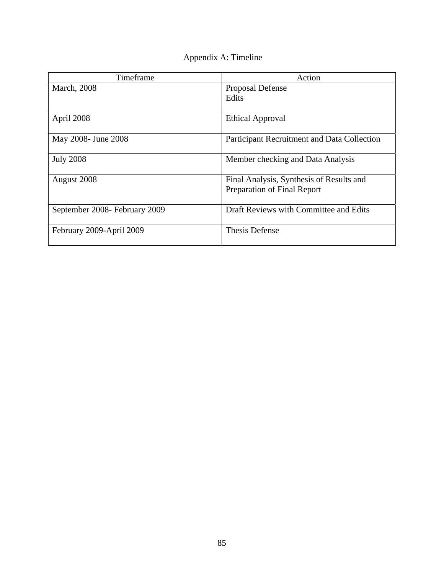| Appendix A: Timeline |  |
|----------------------|--|
|----------------------|--|

| Timeframe                     | Action                                                                  |
|-------------------------------|-------------------------------------------------------------------------|
| <b>March</b> , 2008           | Proposal Defense                                                        |
|                               | Edits                                                                   |
| April 2008                    | <b>Ethical Approval</b>                                                 |
| May 2008- June 2008           | Participant Recruitment and Data Collection                             |
| <b>July 2008</b>              | Member checking and Data Analysis                                       |
| August 2008                   | Final Analysis, Synthesis of Results and<br>Preparation of Final Report |
| September 2008- February 2009 | Draft Reviews with Committee and Edits                                  |
| February 2009-April 2009      | <b>Thesis Defense</b>                                                   |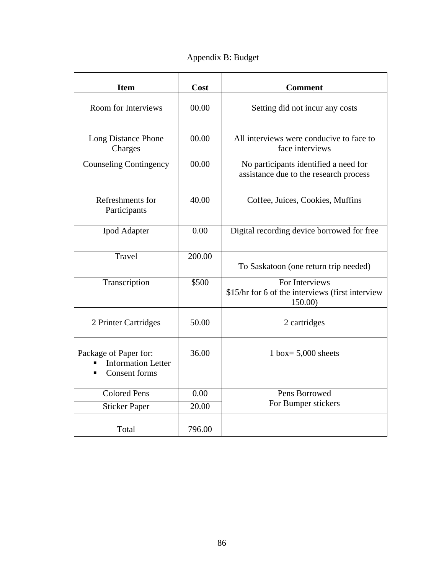Appendix B: Budget

| <b>Item</b>                                                                | Cost   | <b>Comment</b>                                                                  |
|----------------------------------------------------------------------------|--------|---------------------------------------------------------------------------------|
| <b>Room for Interviews</b>                                                 | 00.00  | Setting did not incur any costs                                                 |
| Long Distance Phone<br>Charges                                             | 00.00  | All interviews were conducive to face to<br>face interviews                     |
| <b>Counseling Contingency</b>                                              | 00.00  | No participants identified a need for<br>assistance due to the research process |
| Refreshments for<br>Participants                                           | 40.00  | Coffee, Juices, Cookies, Muffins                                                |
| <b>Ipod Adapter</b>                                                        | 0.00   | Digital recording device borrowed for free                                      |
| Travel                                                                     | 200.00 | To Saskatoon (one return trip needed)                                           |
| Transcription                                                              | \$500  | For Interviews<br>\$15/hr for 6 of the interviews (first interview<br>150.00)   |
| 2 Printer Cartridges                                                       | 50.00  | 2 cartridges                                                                    |
| Package of Paper for:<br><b>Information Letter</b><br><b>Consent forms</b> | 36.00  | 1 box= $5,000$ sheets                                                           |
| <b>Colored Pens</b>                                                        | 0.00   | Pens Borrowed                                                                   |
| <b>Sticker Paper</b>                                                       | 20.00  | For Bumper stickers                                                             |
| Total                                                                      | 796.00 |                                                                                 |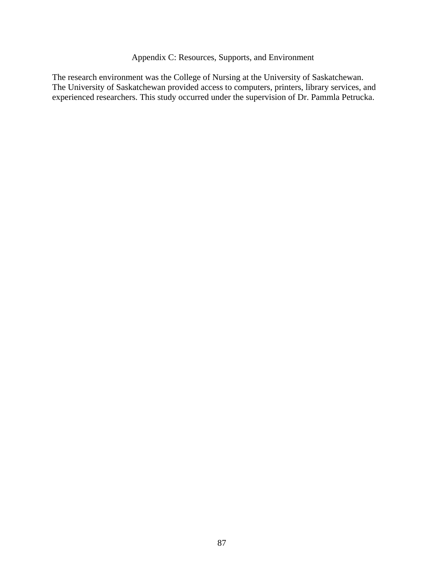# Appendix C: Resources, Supports, and Environment

The research environment was the College of Nursing at the University of Saskatchewan. The University of Saskatchewan provided access to computers, printers, library services, and experienced researchers. This study occurred under the supervision of Dr. Pammla Petrucka.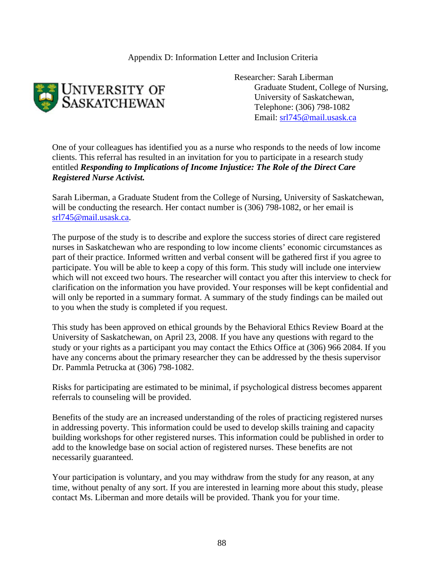Appendix D: Information Letter and Inclusion Criteria



Researcher: Sarah Liberman Graduate Student, College of Nursing, University of Saskatchewan, Telephone: (306) 798-1082 Email: srl745@mail.usask.ca

One of your colleagues has identified you as a nurse who responds to the needs of low income clients. This referral has resulted in an invitation for you to participate in a research study entitled *Responding to Implications of Income Injustice: The Role of the Direct Care Registered Nurse Activist.*

Sarah Liberman, a Graduate Student from the College of Nursing, University of Saskatchewan, will be conducting the research. Her contact number is (306) 798-1082, or her email is srl745@mail.usask.ca.

The purpose of the study is to describe and explore the success stories of direct care registered nurses in Saskatchewan who are responding to low income clients' economic circumstances as part of their practice. Informed written and verbal consent will be gathered first if you agree to participate. You will be able to keep a copy of this form. This study will include one interview which will not exceed two hours. The researcher will contact you after this interview to check for clarification on the information you have provided. Your responses will be kept confidential and will only be reported in a summary format. A summary of the study findings can be mailed out to you when the study is completed if you request.

This study has been approved on ethical grounds by the Behavioral Ethics Review Board at the University of Saskatchewan, on April 23, 2008. If you have any questions with regard to the study or your rights as a participant you may contact the Ethics Office at (306) 966 2084. If you have any concerns about the primary researcher they can be addressed by the thesis supervisor Dr. Pammla Petrucka at (306) 798-1082.

Risks for participating are estimated to be minimal, if psychological distress becomes apparent referrals to counseling will be provided.

Benefits of the study are an increased understanding of the roles of practicing registered nurses in addressing poverty. This information could be used to develop skills training and capacity building workshops for other registered nurses. This information could be published in order to add to the knowledge base on social action of registered nurses. These benefits are not necessarily guaranteed.

Your participation is voluntary, and you may withdraw from the study for any reason, at any time, without penalty of any sort. If you are interested in learning more about this study, please contact Ms. Liberman and more details will be provided. Thank you for your time.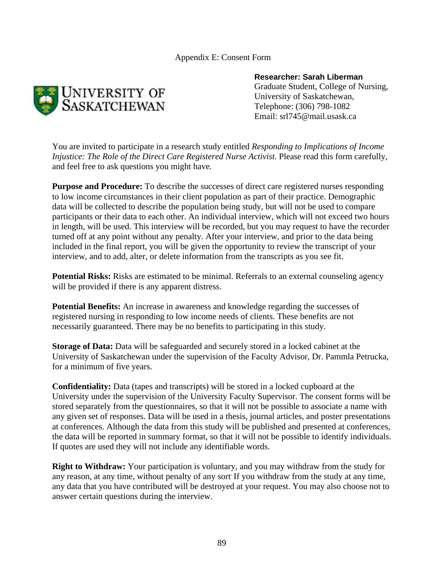Appendix E: Consent Form



## **Researcher: Sarah Liberman**

 Graduate Student, College of Nursing, University of Saskatchewan, Telephone: (306) 798-1082 Email: srl745@mail.usask.ca

You are invited to participate in a research study entitled *Responding to Implications of Income Injustice: The Role of the Direct Care Registered Nurse Activist.* Please read this form carefully, and feel free to ask questions you might have*.* 

**Purpose and Procedure:** To describe the successes of direct care registered nurses responding to low income circumstances in their client population as part of their practice. Demographic data will be collected to describe the population being study, but will not be used to compare participants or their data to each other. An individual interview, which will not exceed two hours in length, will be used. This interview will be recorded, but you may request to have the recorder turned off at any point without any penalty. After your interview, and prior to the data being included in the final report, you will be given the opportunity to review the transcript of your interview, and to add, alter, or delete information from the transcripts as you see fit.

**Potential Risks:** Risks are estimated to be minimal. Referrals to an external counseling agency will be provided if there is any apparent distress.

**Potential Benefits:** An increase in awareness and knowledge regarding the successes of registered nursing in responding to low income needs of clients. These benefits are not necessarily guaranteed. There may be no benefits to participating in this study.

**Storage of Data:** Data will be safeguarded and securely stored in a locked cabinet at the University of Saskatchewan under the supervision of the Faculty Advisor, Dr. Pammla Petrucka, for a minimum of five years.

**Confidentiality:** Data (tapes and transcripts) will be stored in a locked cupboard at the University under the supervision of the University Faculty Supervisor. The consent forms will be stored separately from the questionnaires, so that it will not be possible to associate a name with any given set of responses. Data will be used in a thesis, journal articles, and poster presentations at conferences. Although the data from this study will be published and presented at conferences, the data will be reported in summary format, so that it will not be possible to identify individuals. If quotes are used they will not include any identifiable words.

**Right to Withdraw:** Your participation is voluntary, and you may withdraw from the study for any reason, at any time, without penalty of any sort. If you withdraw from the study at any time, any data that you have contributed will be destroyed at your request. You may also choose not to answer certain questions during the interview.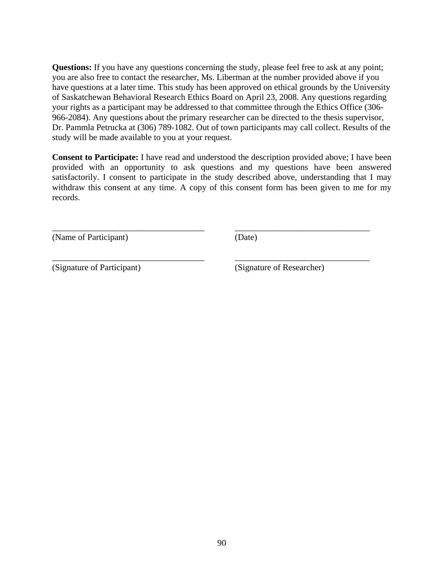**Questions:** If you have any questions concerning the study, please feel free to ask at any point; you are also free to contact the researcher, Ms. Liberman at the number provided above if you have questions at a later time. This study has been approved on ethical grounds by the University of Saskatchewan Behavioral Research Ethics Board on April 23, 2008. Any questions regarding your rights as a participant may be addressed to that committee through the Ethics Office (306- 966-2084). Any questions about the primary researcher can be directed to the thesis supervisor, Dr. Pammla Petrucka at (306) 789-1082. Out of town participants may call collect. Results of the study will be made available to you at your request.

**Consent to Participate:** I have read and understood the description provided above; I have been provided with an opportunity to ask questions and my questions have been answered satisfactorily. I consent to participate in the study described above, understanding that I may withdraw this consent at any time. A copy of this consent form has been given to me for my records.

\_\_\_\_\_\_\_\_\_\_\_\_\_\_\_\_\_\_\_\_\_\_\_\_\_\_\_\_\_\_\_\_\_\_\_ \_\_\_\_\_\_\_\_\_\_\_\_\_\_\_\_\_\_\_\_\_\_\_\_\_\_\_\_\_\_\_

\_\_\_\_\_\_\_\_\_\_\_\_\_\_\_\_\_\_\_\_\_\_\_\_\_\_\_\_\_\_\_\_\_\_\_ \_\_\_\_\_\_\_\_\_\_\_\_\_\_\_\_\_\_\_\_\_\_\_\_\_\_\_\_\_\_\_

(Name of Participant) (Date)

(Signature of Participant) (Signature of Researcher)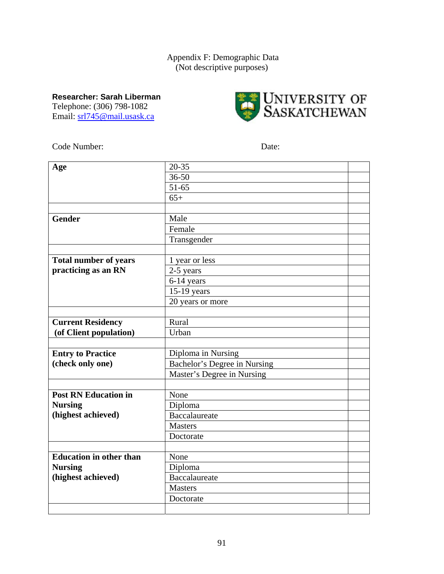# Appendix F: Demographic Data (Not descriptive purposes)

**Researcher: Sarah Liberman**  Telephone: (306) 798-1082

Email: srl745@mail.usask.ca



Code Number: Date:

| Age                            | $20 - 35$                    |  |
|--------------------------------|------------------------------|--|
|                                | $36 - 50$                    |  |
|                                | $51 - 65$                    |  |
|                                | $65+$                        |  |
|                                |                              |  |
| <b>Gender</b>                  | Male                         |  |
|                                | Female                       |  |
|                                | Transgender                  |  |
|                                |                              |  |
| <b>Total number of years</b>   | 1 year or less               |  |
| practicing as an RN            | 2-5 years                    |  |
|                                | 6-14 years                   |  |
|                                | 15-19 years                  |  |
|                                | 20 years or more             |  |
|                                |                              |  |
| <b>Current Residency</b>       | Rural                        |  |
| (of Client population)         | Urban                        |  |
|                                |                              |  |
| <b>Entry to Practice</b>       | Diploma in Nursing           |  |
| (check only one)               | Bachelor's Degree in Nursing |  |
|                                | Master's Degree in Nursing   |  |
|                                |                              |  |
| <b>Post RN Education in</b>    | None                         |  |
| <b>Nursing</b>                 | Diploma                      |  |
| (highest achieved)             | <b>Baccalaureate</b>         |  |
|                                | <b>Masters</b>               |  |
|                                | Doctorate                    |  |
|                                |                              |  |
| <b>Education in other than</b> | None                         |  |
| <b>Nursing</b>                 | Diploma                      |  |
| (highest achieved)             | <b>Baccalaureate</b>         |  |
|                                | <b>Masters</b>               |  |
|                                | Doctorate                    |  |
|                                |                              |  |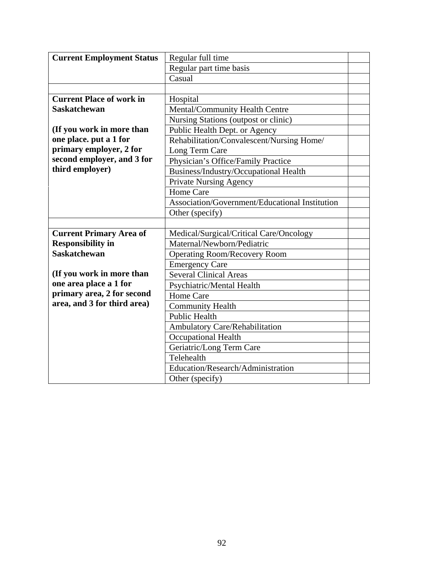| <b>Current Employment Status</b> | Regular full time                              |  |
|----------------------------------|------------------------------------------------|--|
|                                  | Regular part time basis                        |  |
|                                  | Casual                                         |  |
|                                  |                                                |  |
| <b>Current Place of work in</b>  | Hospital                                       |  |
| <b>Saskatchewan</b>              | Mental/Community Health Centre                 |  |
|                                  | Nursing Stations (outpost or clinic)           |  |
| (If you work in more than        | Public Health Dept. or Agency                  |  |
| one place. put a 1 for           | Rehabilitation/Convalescent/Nursing Home/      |  |
| primary employer, 2 for          | Long Term Care                                 |  |
| second employer, and 3 for       | Physician's Office/Family Practice             |  |
| third employer)                  | <b>Business/Industry/Occupational Health</b>   |  |
|                                  | <b>Private Nursing Agency</b>                  |  |
|                                  | Home Care                                      |  |
|                                  | Association/Government/Educational Institution |  |
|                                  | Other (specify)                                |  |
|                                  |                                                |  |
| <b>Current Primary Area of</b>   | Medical/Surgical/Critical Care/Oncology        |  |
| <b>Responsibility in</b>         | Maternal/Newborn/Pediatric                     |  |
| <b>Saskatchewan</b>              | <b>Operating Room/Recovery Room</b>            |  |
|                                  | <b>Emergency Care</b>                          |  |
| (If you work in more than        | <b>Several Clinical Areas</b>                  |  |
| one area place a 1 for           | Psychiatric/Mental Health                      |  |
| primary area, 2 for second       | Home Care                                      |  |
| area, and 3 for third area)      | <b>Community Health</b>                        |  |
|                                  | <b>Public Health</b>                           |  |
|                                  | Ambulatory Care/Rehabilitation                 |  |
|                                  | <b>Occupational Health</b>                     |  |
|                                  | Geriatric/Long Term Care                       |  |
|                                  | Telehealth                                     |  |
|                                  | Education/Research/Administration              |  |
|                                  | Other (specify)                                |  |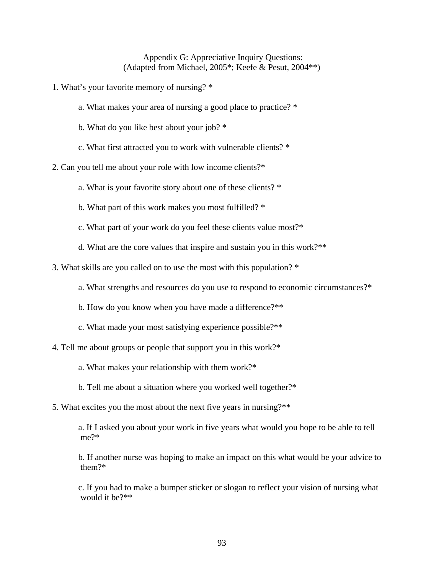Appendix G: Appreciative Inquiry Questions: (Adapted from Michael, 2005\*; Keefe & Pesut, 2004\*\*)

- 1. What's your favorite memory of nursing? \*
	- a. What makes your area of nursing a good place to practice? \*
	- b. What do you like best about your job? \*
	- c. What first attracted you to work with vulnerable clients? \*
- 2. Can you tell me about your role with low income clients?\*
	- a. What is your favorite story about one of these clients? \*
	- b. What part of this work makes you most fulfilled? \*
	- c. What part of your work do you feel these clients value most?\*
	- d. What are the core values that inspire and sustain you in this work?\*\*
- 3. What skills are you called on to use the most with this population? \*
	- a. What strengths and resources do you use to respond to economic circumstances?\*
	- b. How do you know when you have made a difference?\*\*
	- c. What made your most satisfying experience possible?\*\*
- 4. Tell me about groups or people that support you in this work?\*
	- a. What makes your relationship with them work?\*
	- b. Tell me about a situation where you worked well together?\*
- 5. What excites you the most about the next five years in nursing?\*\*
	- a. If I asked you about your work in five years what would you hope to be able to tell me?\*
	- b. If another nurse was hoping to make an impact on this what would be your advice to them?\*
	- c. If you had to make a bumper sticker or slogan to reflect your vision of nursing what would it be?\*\*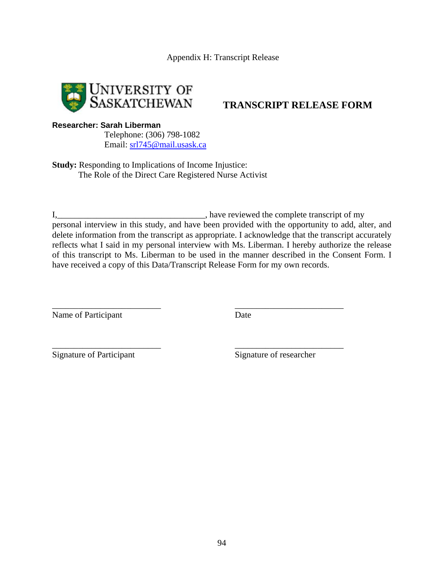

**TRANSCRIPT RELEASE FORM**

## **Researcher: Sarah Liberman**

 Telephone: (306) 798-1082 Email: srl745@mail.usask.ca

**Study:** Responding to Implications of Income Injustice: The Role of the Direct Care Registered Nurse Activist

I,\_\_\_\_\_\_\_\_\_\_\_\_\_\_\_\_\_\_\_\_\_\_\_\_\_\_\_\_\_\_\_\_\_\_, have reviewed the complete transcript of my personal interview in this study, and have been provided with the opportunity to add, alter, and delete information from the transcript as appropriate. I acknowledge that the transcript accurately reflects what I said in my personal interview with Ms. Liberman. I hereby authorize the release of this transcript to Ms. Liberman to be used in the manner described in the Consent Form. I have received a copy of this Data/Transcript Release Form for my own records.

\_\_\_\_\_\_\_\_\_\_\_\_\_\_\_\_\_\_\_\_\_\_\_\_\_ \_\_\_\_\_\_\_\_\_\_\_\_\_\_\_\_\_\_\_\_\_\_\_\_\_

\_\_\_\_\_\_\_\_\_\_\_\_\_\_\_\_\_\_\_\_\_\_\_\_\_ \_\_\_\_\_\_\_\_\_\_\_\_\_\_\_\_\_\_\_\_\_\_\_\_\_

Name of Participant Date

Signature of Participant Signature of researcher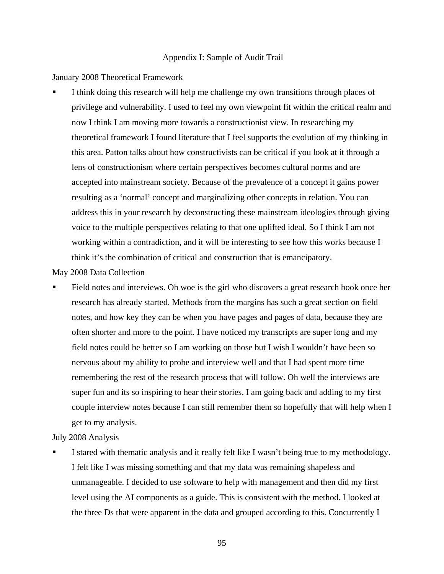#### Appendix I: Sample of Audit Trail

January 2008 Theoretical Framework

 I think doing this research will help me challenge my own transitions through places of privilege and vulnerability. I used to feel my own viewpoint fit within the critical realm and now I think I am moving more towards a constructionist view. In researching my theoretical framework I found literature that I feel supports the evolution of my thinking in this area. Patton talks about how constructivists can be critical if you look at it through a lens of constructionism where certain perspectives becomes cultural norms and are accepted into mainstream society. Because of the prevalence of a concept it gains power resulting as a 'normal' concept and marginalizing other concepts in relation. You can address this in your research by deconstructing these mainstream ideologies through giving voice to the multiple perspectives relating to that one uplifted ideal. So I think I am not working within a contradiction, and it will be interesting to see how this works because I think it's the combination of critical and construction that is emancipatory.

May 2008 Data Collection

 Field notes and interviews. Oh woe is the girl who discovers a great research book once her research has already started. Methods from the margins has such a great section on field notes, and how key they can be when you have pages and pages of data, because they are often shorter and more to the point. I have noticed my transcripts are super long and my field notes could be better so I am working on those but I wish I wouldn't have been so nervous about my ability to probe and interview well and that I had spent more time remembering the rest of the research process that will follow. Oh well the interviews are super fun and its so inspiring to hear their stories. I am going back and adding to my first couple interview notes because I can still remember them so hopefully that will help when I get to my analysis.

### July 2008 Analysis

 I stared with thematic analysis and it really felt like I wasn't being true to my methodology. I felt like I was missing something and that my data was remaining shapeless and unmanageable. I decided to use software to help with management and then did my first level using the AI components as a guide. This is consistent with the method. I looked at the three Ds that were apparent in the data and grouped according to this. Concurrently I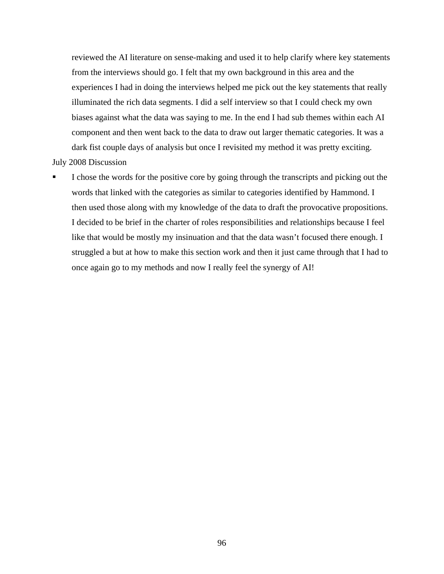reviewed the AI literature on sense-making and used it to help clarify where key statements from the interviews should go. I felt that my own background in this area and the experiences I had in doing the interviews helped me pick out the key statements that really illuminated the rich data segments. I did a self interview so that I could check my own biases against what the data was saying to me. In the end I had sub themes within each AI component and then went back to the data to draw out larger thematic categories. It was a dark fist couple days of analysis but once I revisited my method it was pretty exciting.

July 2008 Discussion

 I chose the words for the positive core by going through the transcripts and picking out the words that linked with the categories as similar to categories identified by Hammond. I then used those along with my knowledge of the data to draft the provocative propositions. I decided to be brief in the charter of roles responsibilities and relationships because I feel like that would be mostly my insinuation and that the data wasn't focused there enough. I struggled a but at how to make this section work and then it just came through that I had to once again go to my methods and now I really feel the synergy of AI!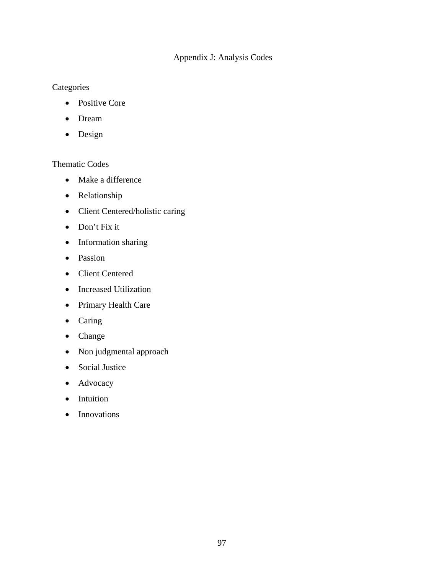# Appendix J: Analysis Codes

# **Categories**

- Positive Core
- Dream
- Design

# Thematic Codes

- Make a difference
- Relationship
- Client Centered/holistic caring
- Don't Fix it
- Information sharing
- Passion
- Client Centered
- Increased Utilization
- Primary Health Care
- Caring
- Change
- Non judgmental approach
- Social Justice
- Advocacy
- Intuition
- Innovations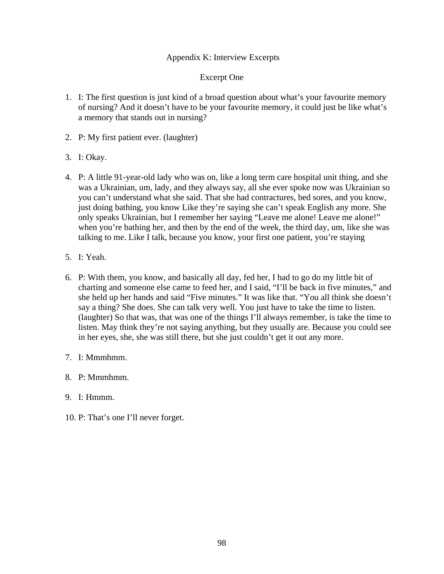# Appendix K: Interview Excerpts

## Excerpt One

- 1. I: The first question is just kind of a broad question about what's your favourite memory of nursing? And it doesn't have to be your favourite memory, it could just be like what's a memory that stands out in nursing?
- 2. P: My first patient ever. (laughter)
- 3. I: Okay.
- 4. P: A little 91-year-old lady who was on, like a long term care hospital unit thing, and she was a Ukrainian, um, lady, and they always say, all she ever spoke now was Ukrainian so you can't understand what she said. That she had contractures, bed sores, and you know, just doing bathing, you know Like they're saying she can't speak English any more. She only speaks Ukrainian, but I remember her saying "Leave me alone! Leave me alone!" when you're bathing her, and then by the end of the week, the third day, um, like she was talking to me. Like I talk, because you know, your first one patient, you're staying
- 5. I: Yeah.
- 6. P: With them, you know, and basically all day, fed her, I had to go do my little bit of charting and someone else came to feed her, and I said, "I'll be back in five minutes," and she held up her hands and said "Five minutes." It was like that. "You all think she doesn't say a thing? She does. She can talk very well. You just have to take the time to listen. (laughter) So that was, that was one of the things I'll always remember, is take the time to listen. May think they're not saying anything, but they usually are. Because you could see in her eyes, she, she was still there, but she just couldn't get it out any more.
- 7. I: Mmmhmm.
- 8. P: Mmmhmm.
- 9. I: Hmmm.
- 10. P: That's one I'll never forget.